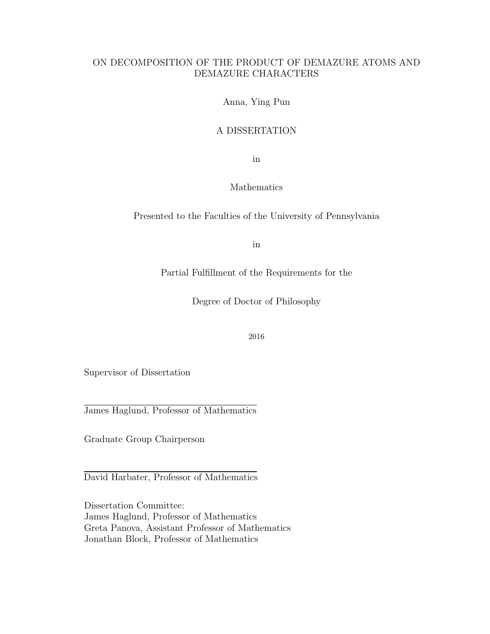### ON DECOMPOSITION OF THE PRODUCT OF DEMAZURE ATOMS AND DEMAZURE CHARACTERS

Anna, Ying Pun

### A DISSERTATION

in

### Mathematics

Presented to the Faculties of the University of Pennsylvania

in

Partial Fulfillment of the Requirements for the

Degree of Doctor of Philosophy

2016

Supervisor of Dissertation

James Haglund, Professor of Mathematics

Graduate Group Chairperson

David Harbater, Professor of Mathematics

Dissertation Committee: James Haglund, Professor of Mathematics Greta Panova, Assistant Professor of Mathematics Jonathan Block, Professor of Mathematics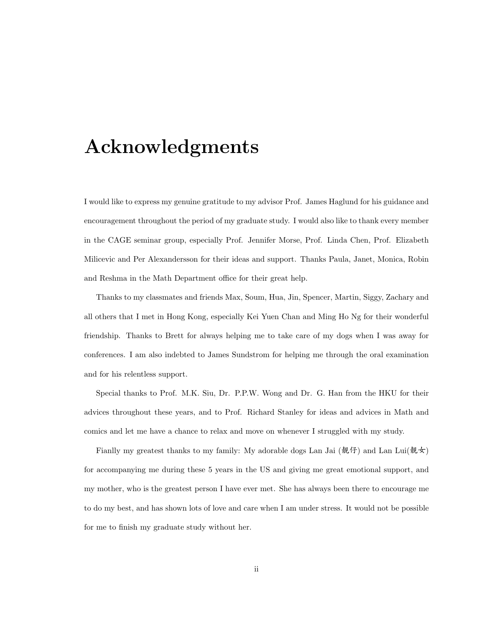## Acknowledgments

I would like to express my genuine gratitude to my advisor Prof. James Haglund for his guidance and encouragement throughout the period of my graduate study. I would also like to thank every member in the CAGE seminar group, especially Prof. Jennifer Morse, Prof. Linda Chen, Prof. Elizabeth Milicevic and Per Alexandersson for their ideas and support. Thanks Paula, Janet, Monica, Robin and Reshma in the Math Department office for their great help.

Thanks to my classmates and friends Max, Soum, Hua, Jin, Spencer, Martin, Siggy, Zachary and all others that I met in Hong Kong, especially Kei Yuen Chan and Ming Ho Ng for their wonderful friendship. Thanks to Brett for always helping me to take care of my dogs when I was away for conferences. I am also indebted to James Sundstrom for helping me through the oral examination and for his relentless support.

Special thanks to Prof. M.K. Siu, Dr. P.P.W. Wong and Dr. G. Han from the HKU for their advices throughout these years, and to Prof. Richard Stanley for ideas and advices in Math and comics and let me have a chance to relax and move on whenever I struggled with my study.

Fianlly my greatest thanks to my family: My adorable dogs Lan Jai (親仔) and Lan Lui(親女) for accompanying me during these 5 years in the US and giving me great emotional support, and my mother, who is the greatest person I have ever met. She has always been there to encourage me to do my best, and has shown lots of love and care when I am under stress. It would not be possible for me to finish my graduate study without her.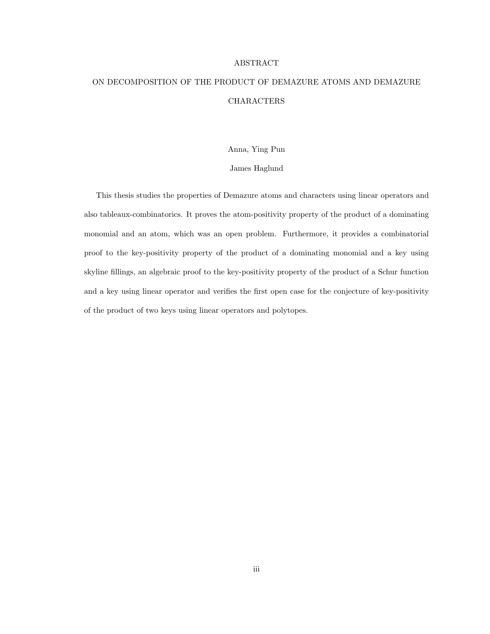#### ABSTRACT

### ON DECOMPOSITION OF THE PRODUCT OF DEMAZURE ATOMS AND DEMAZURE CHARACTERS

#### Anna, Ying Pun

#### James Haglund

This thesis studies the properties of Demazure atoms and characters using linear operators and also tableaux-combinatorics. It proves the atom-positivity property of the product of a dominating monomial and an atom, which was an open problem. Furthermore, it provides a combinatorial proof to the key-positivity property of the product of a dominating monomial and a key using skyline fillings, an algebraic proof to the key-positivity property of the product of a Schur function and a key using linear operator and verifies the first open case for the conjecture of key-positivity of the product of two keys using linear operators and polytopes.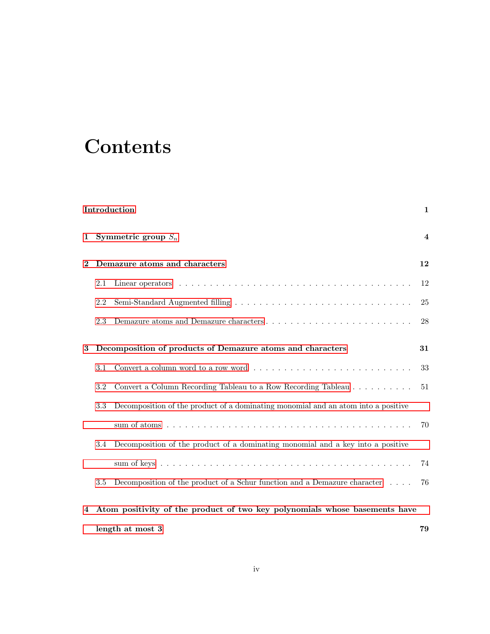# **Contents**

|                                               |     | Introduction                                                                                         | $\mathbf 1$ |  |  |
|-----------------------------------------------|-----|------------------------------------------------------------------------------------------------------|-------------|--|--|
| $\mathbf 1$                                   |     | Symmetric group $S_n$                                                                                | 4           |  |  |
| Demazure atoms and characters<br>$\mathbf{2}$ |     |                                                                                                      |             |  |  |
|                                               | 2.1 |                                                                                                      | 12          |  |  |
|                                               | 2.2 |                                                                                                      | 25          |  |  |
|                                               | 2.3 |                                                                                                      | 28          |  |  |
| 3                                             |     | Decomposition of products of Demazure atoms and characters                                           | 31          |  |  |
|                                               | 3.1 | Convert a column word to a row word $\ldots \ldots \ldots \ldots \ldots \ldots \ldots \ldots \ldots$ | 33          |  |  |
|                                               | 3.2 | Convert a Column Recording Tableau to a Row Recording Tableau                                        | 51          |  |  |
|                                               | 3.3 | Decomposition of the product of a dominating monomial and an atom into a positive                    |             |  |  |
|                                               |     |                                                                                                      | 70          |  |  |
|                                               | 3.4 | Decomposition of the product of a dominating monomial and a key into a positive                      |             |  |  |
|                                               |     |                                                                                                      | 74          |  |  |
|                                               | 3.5 | Decomposition of the product of a Schur function and a Demazure character $\dots$ .                  | 76          |  |  |
| 4                                             |     | Atom positivity of the product of two key polynomials whose basements have                           |             |  |  |
|                                               |     | length at most 3                                                                                     | 79          |  |  |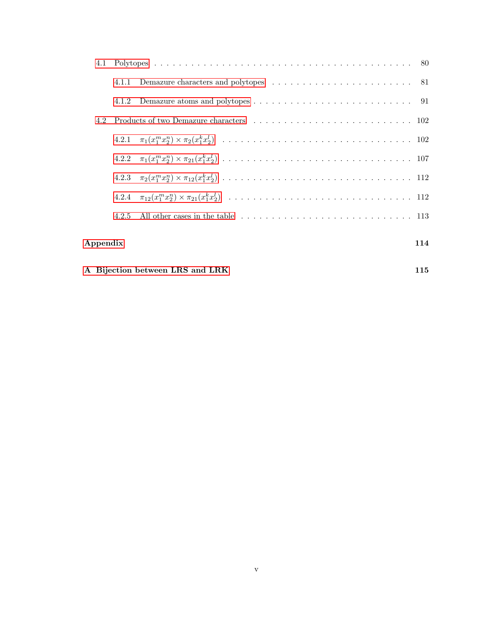| Appendix |       |                                                                                               | 114 |
|----------|-------|-----------------------------------------------------------------------------------------------|-----|
|          | 4.2.5 |                                                                                               |     |
|          |       |                                                                                               |     |
|          |       |                                                                                               |     |
|          |       |                                                                                               |     |
|          |       |                                                                                               |     |
| 4.2      |       |                                                                                               |     |
|          |       |                                                                                               |     |
|          |       | 4.1.1 Demazure characters and polytopes $\ldots \ldots \ldots \ldots \ldots \ldots \ldots$ 81 |     |
|          |       |                                                                                               |     |

| A Bijection between LRS and LRK |  |
|---------------------------------|--|
|---------------------------------|--|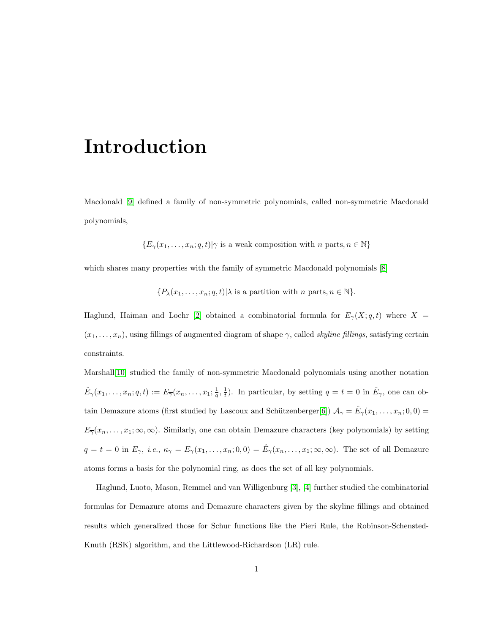### <span id="page-5-0"></span>Introduction

Macdonald [\[9\]](#page-124-0) defined a family of non-symmetric polynomials, called non-symmetric Macdonald polynomials,

 $\{E_{\gamma}(x_1,\ldots,x_n;q,t)|\gamma \mbox{ is a weak composition with }n \mbox{ parts}, n \in \mathbb{N}\}$ 

which shares many properties with the family of symmetric Macdonald polynomials [\[8\]](#page-124-1)

 ${P_{\lambda}(x_1, ..., x_n; q, t)}\lambda$  is a partition with n parts,  $n \in \mathbb{N}$ .

Haglund, Haiman and Loehr [\[2\]](#page-123-0) obtained a combinatorial formula for  $E_{\gamma}(X; q, t)$  where  $X =$  $(x_1, \ldots, x_n)$ , using fillings of augmented diagram of shape  $\gamma$ , called *skyline fillings*, satisfying certain constraints.

Marshall[\[10\]](#page-124-2) studied the family of non-symmetric Macdonald polynomials using another notation  $\hat{E}_{\gamma}(x_1,\ldots,x_n;q,t) := E_{\overline{\gamma}}(x_n,\ldots,x_1;\frac{1}{q},\frac{1}{t}).$  In particular, by setting  $q = t = 0$  in  $\hat{E}_{\gamma}$ , one can ob-tain Demazure atoms (first studied by Lascoux and Schützenberger[\[6\]](#page-123-1))  $\mathcal{A}_{\gamma} = \hat{E}_{\gamma}(x_1,\ldots,x_n;0,0)$  $E_{\overline{\gamma}}(x_n,\ldots,x_1;\infty,\infty)$ . Similarly, one can obtain Demazure characters (key polynomials) by setting  $q = t = 0$  in  $E_{\gamma}$ , *i.e.*,  $\kappa_{\gamma} = E_{\gamma}(x_1, \ldots, x_n; 0, 0) = \hat{E}_{\overline{\gamma}}(x_n, \ldots, x_1; \infty, \infty)$ . The set of all Demazure atoms forms a basis for the polynomial ring, as does the set of all key polynomials.

Haglund, Luoto, Mason, Remmel and van Willigenburg [\[3\]](#page-123-2), [\[4\]](#page-123-3) further studied the combinatorial formulas for Demazure atoms and Demazure characters given by the skyline fillings and obtained results which generalized those for Schur functions like the Pieri Rule, the Robinson-Schensted-Knuth (RSK) algorithm, and the Littlewood-Richardson (LR) rule.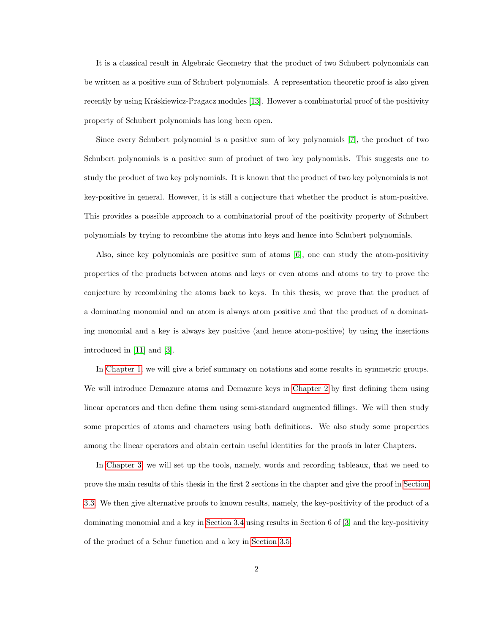It is a classical result in Algebraic Geometry that the product of two Schubert polynomials can be written as a positive sum of Schubert polynomials. A representation theoretic proof is also given recently by using Kráskiewicz-Pragacz modules [\[13\]](#page-124-3). However a combinatorial proof of the positivity property of Schubert polynomials has long been open.

Since every Schubert polynomial is a positive sum of key polynomials [\[7\]](#page-123-4), the product of two Schubert polynomials is a positive sum of product of two key polynomials. This suggests one to study the product of two key polynomials. It is known that the product of two key polynomials is not key-positive in general. However, it is still a conjecture that whether the product is atom-positive. This provides a possible approach to a combinatorial proof of the positivity property of Schubert polynomials by trying to recombine the atoms into keys and hence into Schubert polynomials.

Also, since key polynomials are positive sum of atoms [\[6\]](#page-123-1), one can study the atom-positivity properties of the products between atoms and keys or even atoms and atoms to try to prove the conjecture by recombining the atoms back to keys. In this thesis, we prove that the product of a dominating monomial and an atom is always atom positive and that the product of a dominating monomial and a key is always key positive (and hence atom-positive) by using the insertions introduced in [\[11\]](#page-124-4) and [\[3\]](#page-123-2).

In [Chapter 1,](#page-8-0) we will give a brief summary on notations and some results in symmetric groups. We will introduce Demazure atoms and Demazure keys in [Chapter 2](#page-16-0) by first defining them using linear operators and then define them using semi-standard augmented fillings. We will then study some properties of atoms and characters using both definitions. We also study some properties among the linear operators and obtain certain useful identities for the proofs in later Chapters.

In [Chapter 3,](#page-35-0) we will set up the tools, namely, words and recording tableaux, that we need to prove the main results of this thesis in the first 2 sections in the chapter and give the proof in [Section](#page-74-0) [3.3.](#page-74-0) We then give alternative proofs to known results, namely, the key-positivity of the product of a dominating monomial and a key in [Section 3.4](#page-78-0) using results in Section 6 of [\[3\]](#page-123-2) and the key-positivity of the product of a Schur function and a key in [Section 3.5.](#page-80-0)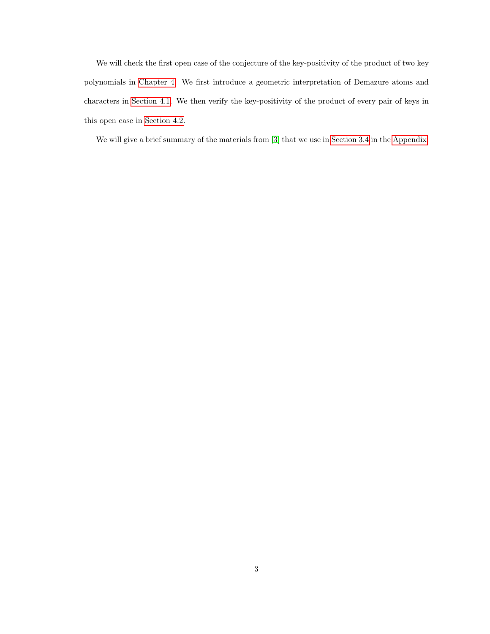We will check the first open case of the conjecture of the key-positivity of the product of two key polynomials in [Chapter 4.](#page-83-0) We first introduce a geometric interpretation of Demazure atoms and characters in [Section 4.1.](#page-84-0) We then verify the key-positivity of the product of every pair of keys in this open case in [Section 4.2.](#page-106-0)

We will give a brief summary of the materials from [\[3\]](#page-123-2) that we use in [Section 3.4](#page-78-0) in the [Appendix.](#page-118-0)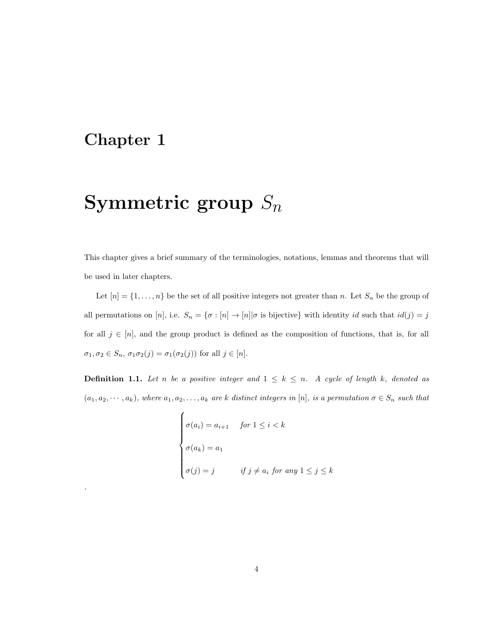### <span id="page-8-0"></span>Chapter 1

.

# Symmetric group  $S_n$

This chapter gives a brief summary of the terminologies, notations, lemmas and theorems that will be used in later chapters.

Let  $[n] = \{1, \ldots, n\}$  be the set of all positive integers not greater than n. Let  $S_n$  be the group of all permutations on [n], i.e.  $S_n = \{ \sigma : [n] \to [n] | \sigma \text{ is bijective} \}$  with identity id such that  $id(j) = j$ for all  $j \in [n]$ , and the group product is defined as the composition of functions, that is, for all  $\sigma_1, \sigma_2 \in S_n,$   $\sigma_1 \sigma_2(j) = \sigma_1(\sigma_2(j))$  for all  $j \in [n].$ 

**Definition 1.1.** Let n be a positive integer and  $1 \leq k \leq n$ . A cycle of length k, denoted as  $(a_1, a_2, \dots, a_k)$ , where  $a_1, a_2, \dots, a_k$  are k distinct integers in [n], is a permutation  $\sigma \in S_n$  such that

$$
\begin{cases}\n\sigma(a_i) = a_{i+1} & \text{for } 1 \le i < k \\
\sigma(a_k) = a_1 & \\
\sigma(j) = j & \text{if } j \neq a_i \text{ for any } 1 \le j \le k\n\end{cases}
$$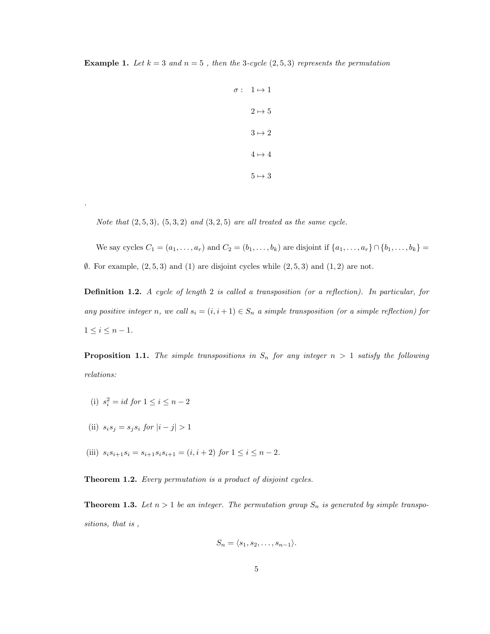```
\sigma : \quad 1 \mapsto 12 \mapsto 53 \mapsto 24 \mapsto 45 \mapsto 3
```
Note that  $(2, 5, 3)$ ,  $(5, 3, 2)$  and  $(3, 2, 5)$  are all treated as the same cycle.

We say cycles  $C_1 = (a_1, ..., a_r)$  and  $C_2 = (b_1, ..., b_k)$  are disjoint if  $\{a_1, ..., a_r\} \cap \{b_1, ..., b_k\}$  $\emptyset$ . For example,  $(2, 5, 3)$  and  $(1)$  are disjoint cycles while  $(2, 5, 3)$  and  $(1, 2)$  are not.

**Definition 1.2.** A cycle of length 2 is called a transposition (or a reflection). In particular, for any positive integer n, we call  $s_i = (i, i + 1) \in S_n$  a simple transposition (or a simple reflection) for  $1 \leq i \leq n-1$ .

<span id="page-9-3"></span>**Proposition 1.1.** The simple transpositions in  $S_n$  for any integer  $n > 1$  satisfy the following relations:

(i)  $s_i^2 = id \text{ for } 1 \leq i \leq n-2$ 

<span id="page-9-2"></span>.

- (ii)  $s_i s_j = s_j s_i$  for  $|i j| > 1$
- (iii)  $s_i s_{i+1} s_i = s_{i+1} s_i s_{i+1} = (i, i+2)$  for  $1 \le i \le n-2$ .

<span id="page-9-1"></span><span id="page-9-0"></span>Theorem 1.2. Every permutation is a product of disjoint cycles.

**Theorem 1.3.** Let  $n > 1$  be an integer. The permutation group  $S_n$  is generated by simple transpositions, that is ,

$$
S_n = \langle s_1, s_2, \dots, s_{n-1} \rangle.
$$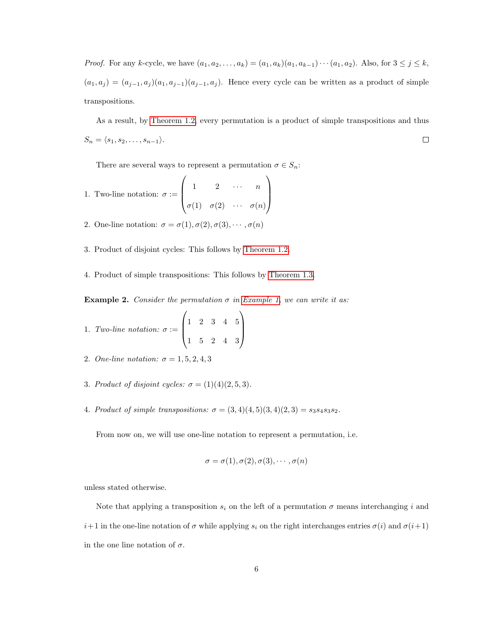*Proof.* For any k-cycle, we have  $(a_1, a_2, \ldots, a_k) = (a_1, a_k)(a_1, a_{k-1})\cdots(a_1, a_2)$ . Also, for  $3 \leq j \leq k$ ,  $(a_1, a_j) = (a_{j-1}, a_j)(a_1, a_{j-1})(a_{j-1}, a_j)$ . Hence every cycle can be written as a product of simple transpositions.

As a result, by [Theorem 1.2,](#page-9-0) every permutation is a product of simple transpositions and thus  $S_n = \langle s_1, s_2, \ldots, s_{n-1} \rangle.$  $\Box$ 

There are several ways to represent a permutation  $\sigma \in S_n$ :

1. Two-line notation: 
$$
\sigma := \begin{pmatrix} 1 & 2 & \cdots & n \\ \sigma(1) & \sigma(2) & \cdots & \sigma(n) \end{pmatrix}
$$

- 2. One-line notation:  $\sigma = \sigma(1), \sigma(2), \sigma(3), \cdots, \sigma(n)$
- 3. Product of disjoint cycles: This follows by [Theorem 1.2.](#page-9-0)
- 4. Product of simple transpositions: This follows by [Theorem 1.3.](#page-9-1)

**Example 2.** Consider the permutation  $\sigma$  in [Example 1,](#page-9-2) we can write it as:

1. Two-line notation: 
$$
\sigma := \begin{pmatrix} 1 & 2 & 3 & 4 & 5 \\ 1 & 5 & 2 & 4 & 3 \end{pmatrix}
$$

- 2. One-line notation:  $\sigma = 1, 5, 2, 4, 3$
- <span id="page-10-0"></span>3. Product of disjoint cycles:  $\sigma = (1)(4)(2, 5, 3)$ .
- 4. Product of simple transpositions:  $\sigma = (3, 4)(4, 5)(3, 4)(2, 3) = s_3 s_4 s_3 s_2$ .

From now on, we will use one-line notation to represent a permutation, i.e.

$$
\sigma = \sigma(1), \sigma(2), \sigma(3), \cdots, \sigma(n)
$$

unless stated otherwise.

Note that applying a transposition  $s_i$  on the left of a permutation  $\sigma$  means interchanging i and  $i+1$  in the one-line notation of  $\sigma$  while applying  $s_i$  on the right interchanges entries  $\sigma(i)$  and  $\sigma(i+1)$ in the one line notation of  $\sigma$ .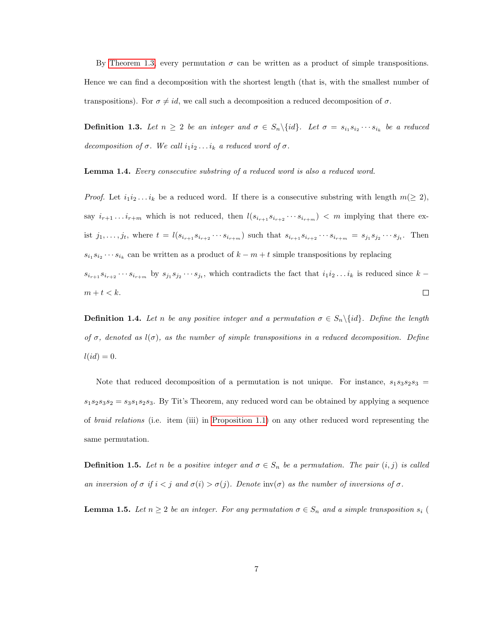By [Theorem 1.3,](#page-9-1) every permutation  $\sigma$  can be written as a product of simple transpositions. Hence we can find a decomposition with the shortest length (that is, with the smallest number of transpositions). For  $\sigma \neq id$ , we call such a decomposition a reduced decomposition of  $\sigma$ .

**Definition 1.3.** Let  $n \geq 2$  be an integer and  $\sigma \in S_n \setminus \{id\}$ . Let  $\sigma = s_{i_1} s_{i_2} \cdots s_{i_k}$  be a reduced decomposition of  $\sigma$ . We call  $i_1 i_2 \ldots i_k$  a reduced word of  $\sigma$ .

<span id="page-11-2"></span>Lemma 1.4. Every consecutive substring of a reduced word is also a reduced word.

*Proof.* Let  $i_1 i_2 \ldots i_k$  be a reduced word. If there is a consecutive substring with length  $m(\geq 2)$ , say  $i_{r+1} \ldots i_{r+m}$  which is not reduced, then  $l(s_{i_{r+1}} s_{i_{r+2}} \cdots s_{i_{r+m}}) < m$  implying that there exist  $j_1, \ldots, j_t$ , where  $t = l(s_{i_{r+1}} s_{i_{r+2}} \cdots s_{i_{r+m}})$  such that  $s_{i_{r+1}} s_{i_{r+2}} \cdots s_{i_{r+m}} = s_{j_1} s_{j_2} \cdots s_{j_t}$ . Then  $s_{i_1} s_{i_2} \cdots s_{i_k}$  can be written as a product of  $k - m + t$  simple transpositions by replacing  $s_{i_{r+1}}s_{i_{r+2}}\cdots s_{i_{r+m}}$  by  $s_{j_1}s_{j_2}\cdots s_{j_t}$ , which contradicts the fact that  $i_1i_2\ldots i_k$  is reduced since  $k \Box$  $m + t < k$ .

<span id="page-11-1"></span>**Definition 1.4.** Let n be any positive integer and a permutation  $\sigma \in S_n \setminus \{id\}$ . Define the length of  $\sigma$ , denoted as  $l(\sigma)$ , as the number of simple transpositions in a reduced decomposition. Define  $l(id) = 0.$ 

Note that reduced decomposition of a permutation is not unique. For instance,  $s_1s_3s_2s_3$  =  $s_1s_2s_3s_2 = s_3s_1s_2s_3$ . By Tit's Theorem, any reduced word can be obtained by applying a sequence of braid relations (i.e. item (iii) in [Proposition 1.1\)](#page-9-3) on any other reduced word representing the same permutation.

**Definition 1.5.** Let n be a positive integer and  $\sigma \in S_n$  be a permutation. The pair  $(i, j)$  is called an inversion of  $\sigma$  if  $i < j$  and  $\sigma(i) > \sigma(j)$ . Denote  $inv(\sigma)$  as the number of inversions of  $\sigma$ .

<span id="page-11-0"></span>**Lemma 1.5.** Let  $n \geq 2$  be an integer. For any permutation  $\sigma \in S_n$  and a simple transposition  $s_i$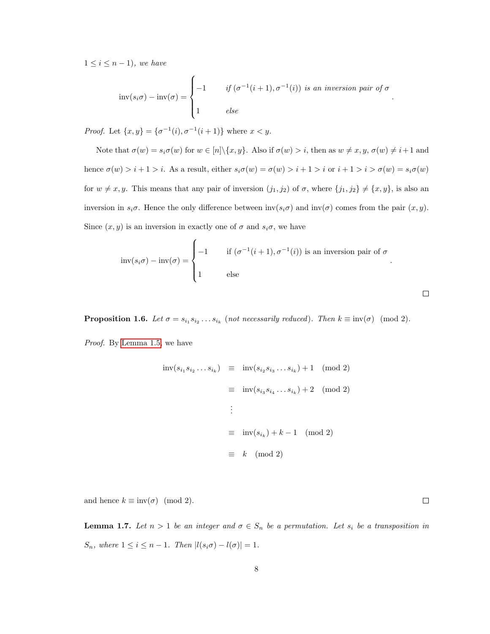$1 \leq i \leq n-1$ , we have

$$
inv(s_i \sigma) - inv(\sigma) = \begin{cases} -1 & \text{if } (\sigma^{-1}(i+1), \sigma^{-1}(i)) \text{ is an inversion pair of } \sigma \\ 1 & \text{else} \end{cases}
$$

*Proof.* Let  $\{x, y\} = \{\sigma^{-1}(i), \sigma^{-1}(i+1)\}\$  where  $x < y$ .

Note that  $\sigma(w) = s_i \sigma(w)$  for  $w \in [n] \setminus \{x, y\}$ . Also if  $\sigma(w) > i$ , then as  $w \neq x, y, \sigma(w) \neq i+1$  and hence  $\sigma(w) > i + 1 > i$ . As a result, either  $s_i \sigma(w) = \sigma(w) > i + 1 > i$  or  $i + 1 > i > \sigma(w) = s_i \sigma(w)$ for  $w \neq x, y$ . This means that any pair of inversion  $(j_1, j_2)$  of  $\sigma$ , where  $\{j_1, j_2\} \neq \{x, y\}$ , is also an inversion in  $s_i\sigma$ . Hence the only difference between  $inv(s_i\sigma)$  and  $inv(\sigma)$  comes from the pair  $(x, y)$ . Since  $(x, y)$  is an inversion in exactly one of  $\sigma$  and  $s_i\sigma$ , we have

$$
inv(s_i \sigma) - inv(\sigma) = \begin{cases} -1 & \text{if } (\sigma^{-1}(i+1), \sigma^{-1}(i)) \text{ is an inversion pair of } \sigma \\ 1 & \text{else} \end{cases}.
$$

**Proposition 1.6.** Let  $\sigma = s_{i_1} s_{i_2} \dots s_{i_k}$  (not necessarily reduced). Then  $k \equiv inv(\sigma) \pmod{2}$ .

Proof. By [Lemma 1.5,](#page-11-0) we have

$$
\text{inv}(s_{i_1} s_{i_2} \dots s_{i_k}) \equiv \text{inv}(s_{i_2} s_{i_3} \dots s_{i_k}) + 1 \pmod{2}
$$

$$
\equiv \text{inv}(s_{i_3} s_{i_4} \dots s_{i_k}) + 2 \pmod{2}
$$

$$
\vdots
$$

$$
\equiv \text{inv}(s_{i_k}) + k - 1 \pmod{2}
$$

$$
\equiv k \pmod{2}
$$

<span id="page-12-0"></span>and hence  $k \equiv inv(\sigma) \pmod{2}$ .

**Lemma 1.7.** Let  $n > 1$  be an integer and  $\sigma \in S_n$  be a permutation. Let  $s_i$  be a transposition in  $S_n$ , where  $1 \leq i \leq n-1$ . Then  $|l(s_i\sigma) - l(\sigma)| = 1$ .

 $\Box$ 

 $\Box$ 

.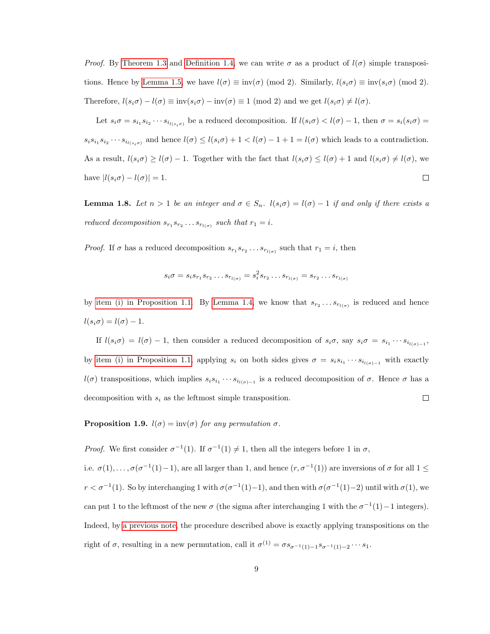*Proof.* By [Theorem 1.3](#page-9-1) and [Definition 1.4,](#page-11-1) we can write  $\sigma$  as a product of  $l(\sigma)$  simple transposi-tions. Hence by [Lemma 1.5,](#page-11-0) we have  $l(\sigma) \equiv inv(\sigma) \pmod{2}$ . Similarly,  $l(s_i\sigma) \equiv inv(s_i\sigma) \pmod{2}$ . Therefore,  $l(s_i\sigma) - l(\sigma) \equiv inv(s_i\sigma) - inv(\sigma) \equiv 1 \pmod{2}$  and we get  $l(s_i\sigma) \neq l(\sigma)$ .

Let  $s_i\sigma = s_{i_1}s_{i_2}\cdots s_{i_{l(s_i\sigma)}}$  be a reduced decomposition. If  $l(s_i\sigma) < l(\sigma) - 1$ , then  $\sigma = s_i(s_i\sigma) =$  $s_i s_{i_1} s_{i_2} \cdots s_{i_{l(s_i\sigma)}}$  and hence  $l(\sigma) \leq l(s_i\sigma) + 1 < l(\sigma) - 1 + 1 = l(\sigma)$  which leads to a contradiction. As a result,  $l(s_i\sigma) \geq l(\sigma) - 1$ . Together with the fact that  $l(s_i\sigma) \leq l(\sigma) + 1$  and  $l(s_i\sigma) \neq l(\sigma)$ , we  $\Box$ have  $|l(s_i\sigma) - l(\sigma)| = 1$ .

<span id="page-13-0"></span>**Lemma 1.8.** Let  $n > 1$  be an integer and  $\sigma \in S_n$ .  $l(s_i\sigma) = l(\sigma) - 1$  if and only if there exists a reduced decomposition  $s_{r_1} s_{r_2} \ldots s_{r_{l(\sigma)}}$  such that  $r_1 = i$ .

*Proof.* If  $\sigma$  has a reduced decomposition  $s_{r_1} s_{r_2} \dots s_{r_{l(\sigma)}}$  such that  $r_1 = i$ , then

$$
s_i \sigma = s_i s_{r_1} s_{r_2} \dots s_{r_{l(\sigma)}} = s_i^2 s_{r_2} \dots s_{r_{l(\sigma)}} = s_{r_2} \dots s_{r_{l(\sigma)}}
$$

by [item \(i\) in Proposition 1.1.](#page-9-3) By [Lemma 1.4,](#page-11-2) we know that  $s_{r_2} \ldots s_{r_{l(\sigma)}}$  is reduced and hence  $l(s_i\sigma) = l(\sigma) - 1.$ 

If  $l(s_i\sigma) = l(\sigma) - 1$ , then consider a reduced decomposition of  $s_i\sigma$ , say  $s_i\sigma = s_{i_1} \cdots s_{i_{l(\sigma)-1}}$ , by [item \(i\) in Proposition 1.1,](#page-9-3) applying  $s_i$  on both sides gives  $\sigma = s_i s_{i_1} \cdots s_{i_{l(\sigma)-1}}$  with exactly  $l(\sigma)$  transpositions, which implies  $s_i s_{i_1} \cdots s_{i_{l(\sigma)-1}}$  is a reduced decomposition of  $\sigma$ . Hence  $\sigma$  has a decomposition with  $s_i$  as the leftmost simple transposition.  $\Box$ 

**Proposition 1.9.**  $l(\sigma) = inv(\sigma)$  for any permutation  $\sigma$ .

*Proof.* We first consider  $\sigma^{-1}(1)$ . If  $\sigma^{-1}(1) \neq 1$ , then all the integers before 1 in  $\sigma$ ,

i.e.  $\sigma(1), \ldots, \sigma(\sigma^{-1}(1)-1)$ , are all larger than 1, and hence  $(r, \sigma^{-1}(1))$  are inversions of  $\sigma$  for all  $1 \leq$  $r < \sigma^{-1}(1)$ . So by interchanging 1 with  $\sigma(\sigma^{-1}(1)-1)$ , and then with  $\sigma(\sigma^{-1}(1)-2)$  until with  $\sigma(1)$ , we can put 1 to the leftmost of the new  $\sigma$  (the sigma after interchanging 1 with the  $\sigma^{-1}(1) - 1$  integers). Indeed, by [a previous note,](#page-10-0) the procedure described above is exactly applying transpositions on the right of  $\sigma$ , resulting in a new permutation, call it  $\sigma^{(1)} = \sigma s_{\sigma^{-1}(1)-1} s_{\sigma^{-1}(1)-2} \cdots s_1$ .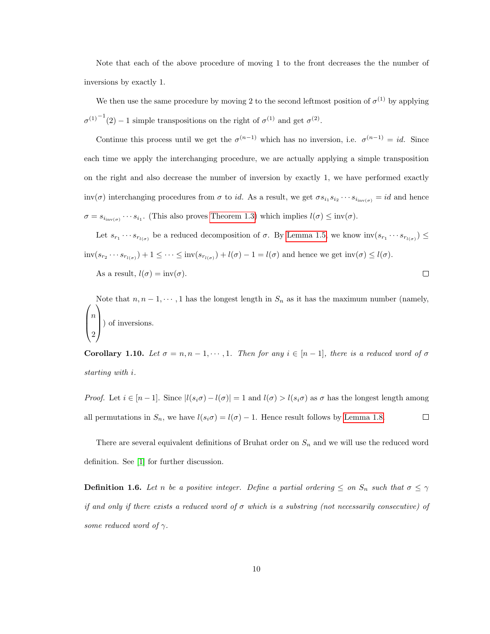Note that each of the above procedure of moving 1 to the front decreases the the number of inversions by exactly 1.

We then use the same procedure by moving 2 to the second leftmost position of  $\sigma^{(1)}$  by applying  $\sigma^{(1)}{}^{-1}(2) - 1$  simple transpositions on the right of  $\sigma^{(1)}$  and get  $\sigma^{(2)}$ .

Continue this process until we get the  $\sigma^{(n-1)}$  which has no inversion, i.e.  $\sigma^{(n-1)} = id$ . Since each time we apply the interchanging procedure, we are actually applying a simple transposition on the right and also decrease the number of inversion by exactly 1, we have performed exactly  $\text{inv}(\sigma)$  interchanging procedures from  $\sigma$  to id. As a result, we get  $\sigma s_{i_1} s_{i_2} \cdots s_{i_{\text{inv}(\sigma)}} = id$  and hence  $\sigma = s_{i_{\text{inv}(\sigma)}} \cdots s_{i_1}$ . (This also proves [Theorem 1.3\)](#page-9-1) which implies  $l(\sigma) \leq \text{inv}(\sigma)$ .

Let  $s_{r_1}\cdots s_{r_{l(\sigma)}}$  be a reduced decomposition of  $\sigma$ . By [Lemma 1.5,](#page-11-0) we know  $\text{inv}(s_{r_1}\cdots s_{r_{l(\sigma)}}) \leq$  $inv(s_{r_2}\cdots s_{r_{l(\sigma)}})+1 \leq \cdots \leq inv(s_{r_{l(\sigma)}})+l(\sigma)-1=l(\sigma)$  and hence we get  $inv(\sigma) \leq l(\sigma)$ .

As a result,  $l(\sigma) = inv(\sigma)$ .

 $\Box$ 

 $\sqrt{ }$ Note that  $n, n-1, \dots, 1$  has the longest length in  $S_n$  as it has the maximum number (namely,  $\overline{\phantom{a}}$ n 2  $\setminus$ ) of inversions.

Corollary 1.10. Let  $\sigma = n, n - 1, \cdots, 1$ . Then for any  $i \in [n - 1]$ , there is a reduced word of  $\sigma$ starting with i.

*Proof.* Let  $i \in [n-1]$ . Since  $|l(s_i\sigma) - l(\sigma)| = 1$  and  $l(\sigma) > l(s_i\sigma)$  as  $\sigma$  has the longest length among all permutations in  $S_n$ , we have  $l(s_i\sigma) = l(\sigma) - 1$ . Hence result follows by [Lemma 1.8.](#page-13-0)  $\Box$ 

There are several equivalent definitions of Bruhat order on  $S_n$  and we will use the reduced word definition. See [\[1\]](#page-123-5) for further discussion.

**Definition 1.6.** Let n be a positive integer. Define a partial ordering  $\leq$  on  $S_n$  such that  $\sigma \leq \gamma$ if and only if there exists a reduced word of  $\sigma$  which is a substring (not necessarily consecutive) of some reduced word of  $\gamma$ .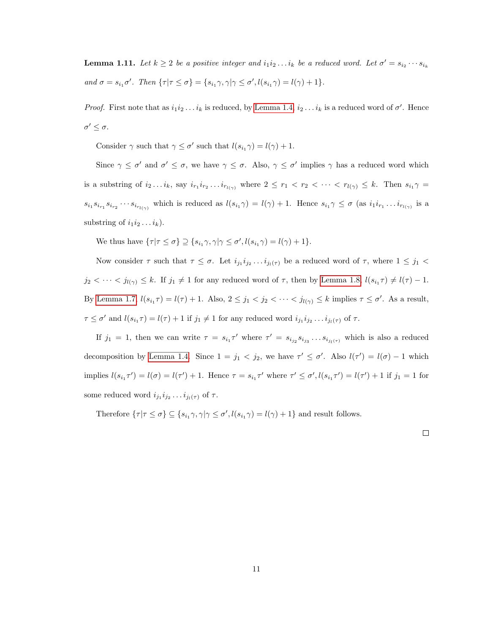<span id="page-15-0"></span>**Lemma 1.11.** Let  $k \geq 2$  be a positive integer and  $i_1 i_2 \ldots i_k$  be a reduced word. Let  $\sigma' = s_{i_2} \cdots s_{i_k}$ and  $\sigma = s_{i_1} \sigma'$ . Then  $\{\tau | \tau \leq \sigma\} = \{s_{i_1} \gamma, \gamma | \gamma \leq \sigma', l(s_{i_1} \gamma) = l(\gamma) + 1\}.$ 

*Proof.* First note that as  $i_1 i_2 ... i_k$  is reduced, by [Lemma 1.4,](#page-11-2)  $i_2 ... i_k$  is a reduced word of  $\sigma'$ . Hence  $\sigma' \leq \sigma$ .

Consider  $\gamma$  such that  $\gamma \leq \sigma'$  such that  $l(s_{i_1}\gamma) = l(\gamma) + 1$ .

Since  $\gamma \leq \sigma'$  and  $\sigma' \leq \sigma$ , we have  $\gamma \leq \sigma$ . Also,  $\gamma \leq \sigma'$  implies  $\gamma$  has a reduced word which is a substring of  $i_2 \tildot i_k$ , say  $i_{r_1} i_{r_2} \tildot i_{r_{l(\gamma)}}$  where  $2 \leq r_1 < r_2 < \cdots < r_{l(\gamma)} \leq k$ . Then  $s_{i_1} \gamma =$  $s_{i_1}s_{i_{r_1}}s_{i_{r_2}}\cdots s_{i_{r_{l(\gamma)}}}$  which is reduced as  $l(s_{i_1}\gamma)=l(\gamma)+1$ . Hence  $s_{i_1}\gamma\leq\sigma$  (as  $i_1i_{r_1}\ldots i_{r_{l(\gamma)}}$  is a substring of  $i_1i_2 \ldots i_k$ ).

We thus have  $\{\tau | \tau \leq \sigma\} \supseteq \{s_{i_1}\gamma, \gamma | \gamma \leq \sigma', l(s_{i_1}\gamma) = l(\gamma) + 1\}.$ 

Now consider  $\tau$  such that  $\tau \leq \sigma$ . Let  $i_{j_1} i_{j_2} \ldots i_{j_l(\tau)}$  be a reduced word of  $\tau$ , where  $1 \leq j_1$  $j_2 < \cdots < j_{l(\gamma)} \leq k$ . If  $j_1 \neq 1$  for any reduced word of  $\tau$ , then by [Lemma 1.8,](#page-13-0)  $l(s_{i_1}\tau) \neq l(\tau) - 1$ . By [Lemma 1.7,](#page-12-0)  $l(s_{i_1}\tau) = l(\tau) + 1$ . Also,  $2 \leq j_1 < j_2 < \cdots < j_{l(\gamma)} \leq k$  implies  $\tau \leq \sigma'$ . As a result,  $\tau \leq \sigma'$  and  $l(s_{i_1}\tau) = l(\tau) + 1$  if  $j_1 \neq 1$  for any reduced word  $i_{j_1}i_{j_2} \ldots i_{j_l(\tau)}$  of  $\tau$ .

If  $j_1 = 1$ , then we can write  $\tau = s_{i_1} \tau'$  where  $\tau' = s_{i_{j_2}} s_{i_{j_3}} \dots s_{i_{j_l}(\tau)}$  which is also a reduced decomposition by [Lemma 1.4.](#page-11-2) Since  $1 = j_1 < j_2$ , we have  $\tau' \leq \sigma'$ . Also  $l(\tau') = l(\sigma) - 1$  which implies  $l(s_{i_1}\tau') = l(\sigma) = l(\tau') + 1$ . Hence  $\tau = s_{i_1}\tau'$  where  $\tau' \leq \sigma', l(s_{i_1}\tau') = l(\tau') + 1$  if  $j_1 = 1$  for some reduced word  $i_{j_1} i_{j_2} \dots i_{j_l(\tau)}$  of  $\tau$ .

Therefore  $\{\tau | \tau \leq \sigma\} \subseteq \{s_{i_1} \gamma, \gamma | \gamma \leq \sigma', l(s_{i_1} \gamma) = l(\gamma) + 1\}$  and result follows.

 $\Box$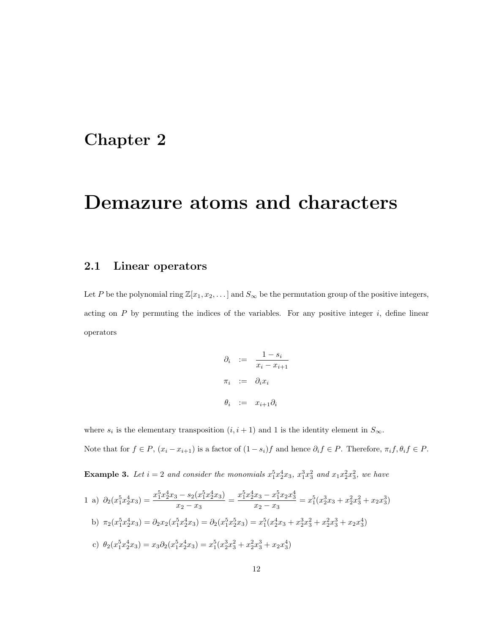### <span id="page-16-0"></span>Chapter 2

### Demazure atoms and characters

### <span id="page-16-1"></span>2.1 Linear operators

Let P be the polynomial ring  $\mathbb{Z}[x_1, x_2, \ldots]$  and  $S_{\infty}$  be the permutation group of the positive integers, acting on  $P$  by permuting the indices of the variables. For any positive integer  $i$ , define linear operators

$$
\partial_i := \frac{1 - s_i}{x_i - x_{i+1}}
$$
  

$$
\pi_i := \partial_i x_i
$$
  

$$
\theta_i := x_{i+1} \partial_i
$$

where  $s_i$  is the elementary transposition  $(i, i + 1)$  and 1 is the identity element in  $S_{\infty}$ . Note that for  $f \in P$ ,  $(x_i - x_{i+1})$  is a factor of  $(1 - s_i)f$  and hence  $\partial_i f \in P$ . Therefore,  $\pi_i f, \theta_i f \in P$ .

**Example 3.** Let  $i = 2$  and consider the monomials  $x_1^5x_2^4x_3$ ,  $x_1^3x_3^2$  and  $x_1x_2^2x_3^2$ , we have

1 a) 
$$
\partial_2(x_1^5 x_2^4 x_3) = \frac{x_1^5 x_2^4 x_3 - s_2(x_1^5 x_2^4 x_3)}{x_2 - x_3} = \frac{x_1^5 x_2^4 x_3 - x_1^5 x_2 x_3^4}{x_2 - x_3} = x_1^5 (x_2^3 x_3 + x_2^2 x_3^2 + x_2 x_3^3)
$$
  
\nb)  $\pi_2(x_1^5 x_2^4 x_3) = \partial_2 x_2 (x_1^5 x_2^4 x_3) = \partial_2(x_1^5 x_2^5 x_3) = x_1^5 (x_2^4 x_3 + x_2^3 x_3^2 + x_2^2 x_3^3 + x_2 x_3^4)$   
\nc)  $\theta_2(x_1^5 x_2^4 x_3) = x_3 \partial_2(x_1^5 x_2^4 x_3) = x_1^5 (x_2^3 x_3^2 + x_2^2 x_3^3 + x_2 x_3^4)$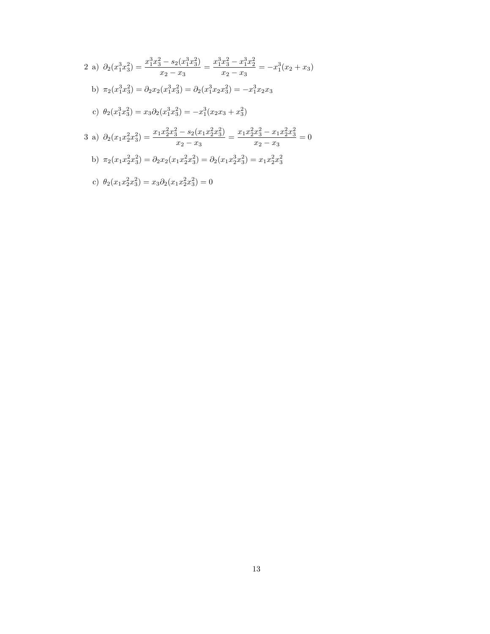2 a) 
$$
\partial_2(x_1^3 x_3^2) = \frac{x_1^3 x_3^2 - s_2(x_1^3 x_3^2)}{x_2 - x_3} = \frac{x_1^3 x_3^2 - x_1^3 x_2^2}{x_2 - x_3} = -x_1^3 (x_2 + x_3)
$$
  
\nb)  $\pi_2(x_1^3 x_3^2) = \partial_2 x_2(x_1^3 x_3^2) = \partial_2(x_1^3 x_2 x_3^2) = -x_1^3 x_2 x_3$   
\nc)  $\theta_2(x_1^3 x_3^2) = x_3 \partial_2(x_1^3 x_3^2) = -x_1^3 (x_2 x_3 + x_3^2)$   
\n3 a)  $\partial_2(x_1 x_2^2 x_3^2) = \frac{x_1 x_2^2 x_3^2 - s_2(x_1 x_2^2 x_3^2)}{x_2 - x_3} = \frac{x_1 x_2^2 x_3^2 - x_1 x_2^2 x_3^2}{x_2 - x_3} = 0$   
\nb)  $\pi_2(x_1 x_2^2 x_3^2) = \partial_2 x_2(x_1 x_2^2 x_3^2) = \partial_2(x_1 x_2^3 x_3^2) = x_1 x_2^2 x_3^2$   
\nc)  $\theta_2(x_1 x_2^2 x_3^2) = x_3 \partial_2(x_1 x_2^2 x_3^2) = 0$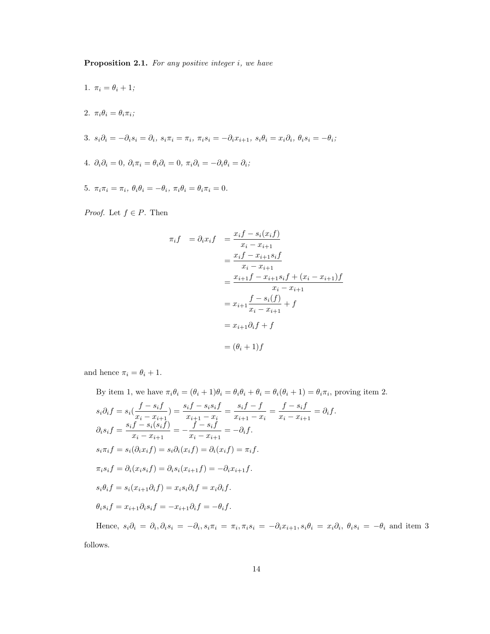<span id="page-18-0"></span>**Proposition 2.1.** For any positive integer  $i$ , we have

- 1.  $\pi_i = \theta_i + 1;$
- 2.  $\pi_i \theta_i = \theta_i \pi_i;$
- 3.  $s_i\partial_i = -\partial_i s_i = \partial_i$ ,  $s_i\pi_i = \pi_i$ ,  $\pi_i s_i = -\partial_i x_{i+1}$ ,  $s_i\theta_i = x_i\partial_i$ ,  $\theta_i s_i = -\theta_i$ ;
- 4.  $\partial_i \partial_i = 0$ ,  $\partial_i \pi_i = \theta_i \partial_i = 0$ ,  $\pi_i \partial_i = -\partial_i \theta_i = \partial_i$ ;
- 5.  $\pi_i \pi_i = \pi_i$ ,  $\theta_i \theta_i = -\theta_i$ ,  $\pi_i \theta_i = \theta_i \pi_i = 0$ .

*Proof.* Let  $f \in P$ . Then

$$
\pi_i f = \partial_i x_i f = \frac{x_i f - s_i(x_i f)}{x_i - x_{i+1}}
$$
  
= 
$$
\frac{x_i f - x_{i+1} s_i f}{x_i - x_{i+1}}
$$
  
= 
$$
\frac{x_{i+1} f - x_{i+1} s_i f + (x_i - x_{i+1}) f}{x_i - x_{i+1}}
$$
  
= 
$$
x_{i+1} \frac{f - s_i(f)}{x_i - x_{i+1}} + f
$$
  
= 
$$
x_{i+1} \partial_i f + f
$$
  
= 
$$
(\theta_i + 1) f
$$

and hence  $\pi_i = \theta_i + 1$ .

By item 1, we have  $\pi_i \theta_i = (\theta_i + 1)\theta_i = \theta_i \theta_i + \theta_i = \theta_i (\theta_i + 1) = \theta_i \pi_i$ , proving item 2.

$$
s_i \partial_i f = s_i \left( \frac{f - s_i f}{x_i - x_{i+1}} \right) = \frac{s_i f - s_i s_i f}{x_{i+1} - x_i} = \frac{s_i f - f}{x_{i+1} - x_i} = \frac{f - s_i f}{x_i - x_{i+1}} = \partial_i f.
$$
  
\n
$$
\partial_i s_i f = \frac{s_i f - s_i (s_i f)}{x_i - x_{i+1}} = -\frac{f - s_i f}{x_i - x_{i+1}} = -\partial_i f.
$$
  
\n
$$
s_i \pi_i f = s_i (\partial_i x_i f) = s_i \partial_i (x_i f) = \partial_i (x_i f) = \pi_i f.
$$
  
\n
$$
\pi_i s_i f = \partial_i (x_i s_i f) = \partial_i s_i (x_{i+1} f) = -\partial_i x_{i+1} f.
$$
  
\n
$$
s_i \theta_i f = s_i (x_{i+1} \partial_i f) = x_i s_i \partial_i f = x_i \partial_i f.
$$
  
\n
$$
\theta_i s_i f = x_{i+1} \partial_i s_i f = -x_{i+1} \partial_i f = -\theta_i f.
$$

Hence,  $s_i\partial_i = \partial_i, \partial_i s_i = -\partial_i, s_i\pi_i = \pi_i, \pi_i s_i = -\partial_i x_{i+1}, s_i\theta_i = x_i\partial_i, \theta_i s_i = -\theta_i$  and item 3 follows.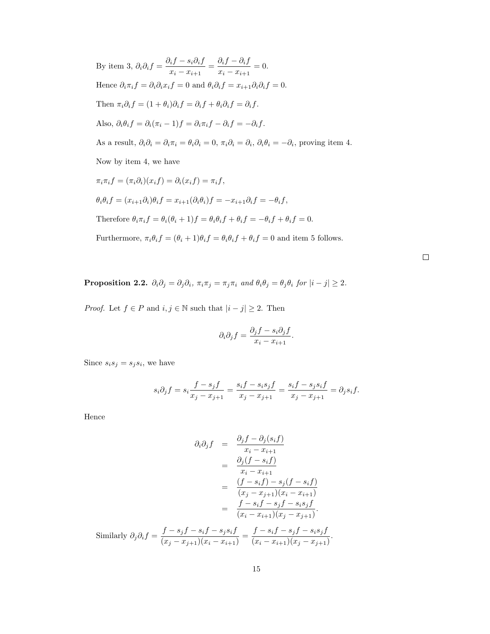By item 3,  $\partial_i \partial_i f = \frac{\partial_i f - s_i \partial_i f}{\partial x_i}$  $\frac{\partial_i f - s_i \partial_i f}{x_i - x_{i+1}} = \frac{\partial_i f - \partial_i f}{x_i - x_{i+1}}$  $\frac{v_{ij} - v_{ij}}{x_i - x_{i+1}} = 0.$ Hence  $\partial_i \pi_i f = \partial_i \partial_i x_i f = 0$  and  $\theta_i \partial_i f = x_{i+1} \partial_i \partial_i f = 0$ . Then  $\pi_i \partial_i f = (1 + \theta_i) \partial_i f = \partial_i f + \theta_i \partial_i f = \partial_i f$ . Also,  $\partial_i \theta_i f = \partial_i (\pi_i - 1)f = \partial_i \pi_i f - \partial_i f = -\partial_i f$ . As a result,  $\partial_i \partial_i = \partial_i \pi_i = \theta_i \partial_i = 0$ ,  $\pi_i \partial_i = \partial_i$ ,  $\partial_i \theta_i = -\partial_i$ , proving item 4. Now by item 4, we have  $\pi_i \pi_i f = (\pi_i \partial_i)(x_i f) = \partial_i(x_i f) = \pi_i f,$  $\theta_i \theta_i f = (x_{i+1} \partial_i) \theta_i f = x_{i+1} (\partial_i \theta_i) f = -x_{i+1} \partial_i f = -\theta_i f,$ Therefore  $\theta_i \pi_i f = \theta_i (\theta_i + 1) f = \theta_i \theta_i f + \theta_i f = -\theta_i f + \theta_i f = 0.$ 

Furthermore,  $\pi_i \theta_i f = (\theta_i + 1)\theta_i f = \theta_i \theta_i f + \theta_i f = 0$  and item 5 follows.

|  | I |  |
|--|---|--|
|  |   |  |
|  |   |  |
|  |   |  |

<span id="page-19-0"></span>**Proposition 2.2.**  $\partial_i \partial_j = \partial_j \partial_i$ ,  $\pi_i \pi_j = \pi_j \pi_i$  and  $\theta_i \theta_j = \theta_j \theta_i$  for  $|i - j| \geq 2$ .

*Proof.* Let  $f \in P$  and  $i, j \in \mathbb{N}$  such that  $|i - j| \ge 2$ . Then

$$
\partial_i \partial_j f = \frac{\partial_j f - s_i \partial_j f}{x_i - x_{i+1}}.
$$

Since  $s_i s_j = s_j s_i$ , we have

$$
s_i \partial_j f = s_i \frac{f - s_j f}{x_j - x_{j+1}} = \frac{s_i f - s_i s_j f}{x_j - x_{j+1}} = \frac{s_i f - s_j s_i f}{x_j - x_{j+1}} = \partial_j s_i f.
$$

Hence

$$
\partial_i \partial_j f = \frac{\partial_j f - \partial_j (s_i f)}{x_i - x_{i+1}} \n= \frac{\partial_j (f - s_i f)}{x_i - x_{i+1}} \n= \frac{(f - s_i f) - s_j (f - s_i f)}{(x_j - x_{j+1})(x_i - x_{i+1})} \n= \frac{f - s_i f - s_j f - s_i s_j f}{(x_i - x_{i+1})(x_j - x_{j+1})}.
$$

Similarly  $\partial_j \partial_i f = \frac{f - s_j f - s_i f - s_j s_i f}{(g - s_j f)(g - s_j f)}$  $\frac{f - s_j f - s_i f - s_j s_i f}{(x_j - x_{j+1})(x_i - x_{i+1})} = \frac{f - s_i f - s_j f - s_i s_j f}{(x_i - x_{i+1})(x_j - x_{j+1})}$  $\frac{y - c_{ij} - c_{j}y - c_{i}c_{j}y}{(x_{i} - x_{i+1})(x_{j} - x_{j+1})}$ .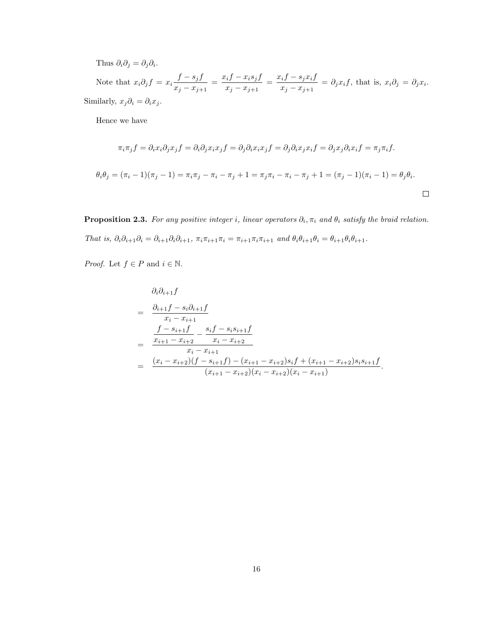Thus  $\partial_i \partial_j = \partial_j \partial_i$ .

Note that  $x_i \partial_j f = x_i \frac{f - s_j f}{f}$  $\frac{f - s_j f}{x_j - x_{j+1}} = \frac{x_i f - x_i s_j f}{x_j - x_{j+1}}$  $\frac{x_i f - x_i s_j f}{x_j - x_{j+1}} = \frac{x_i f - s_j x_i f}{x_j - x_{j+1}}$  $\frac{x_j - x_{j+1}}{x_j - x_{j+1}} = \partial_j x_i f$ , that is,  $x_i \partial_j = \partial_j x_i$ . Similarly,  $x_j\partial_i = \partial_i x_j$ .

Hence we have

$$
\pi_i \pi_j f = \partial_i x_i \partial_j x_j f = \partial_i \partial_j x_i x_j f = \partial_j \partial_i x_i x_j f = \partial_j \partial_i x_j x_i f = \partial_j x_j \partial_i x_i f = \pi_j \pi_i f.
$$
  

$$
\theta_i \theta_j = (\pi_i - 1)(\pi_j - 1) = \pi_i \pi_j - \pi_i - \pi_j + 1 = \pi_j \pi_i - \pi_i - \pi_j + 1 = (\pi_j - 1)(\pi_i - 1) = \theta_j \theta_i.
$$

<span id="page-20-0"></span>**Proposition 2.3.** For any positive integer i, linear operators  $\partial_i$ ,  $\pi_i$  and  $\theta_i$  satisfy the braid relation.  $\textit{That is, } \partial_i\partial_{i+1}\partial_i=\partial_{i+1}\partial_i\partial_{i+1}, \ \pi_i\pi_{i+1}\pi_i=\pi_{i+1}\pi_i\pi_{i+1} \ \ \textit{and} \ \theta_i\theta_{i+1}\theta_i=\theta_{i+1}\theta_i\theta_{i+1}.$ 

*Proof.* Let  $f \in P$  and  $i \in \mathbb{N}$ .

$$
\partial_i \partial_{i+1} f
$$
\n
$$
= \frac{\partial_{i+1} f - s_i \partial_{i+1} f}{x_i - x_{i+1}}
$$
\n
$$
= \frac{\frac{f - s_{i+1}f}{x_{i+1} - x_{i+2}} - \frac{s_i f - s_i s_{i+1}f}{x_i - x_{i+2}}}{x_i - x_{i+1}}
$$
\n
$$
= \frac{(x_i - x_{i+2})(f - s_{i+1}f) - (x_{i+1} - x_{i+2})s_i f + (x_{i+1} - x_{i+2})s_i s_{i+1}f}{(x_{i+1} - x_{i+2})(x_i - x_{i+2})}
$$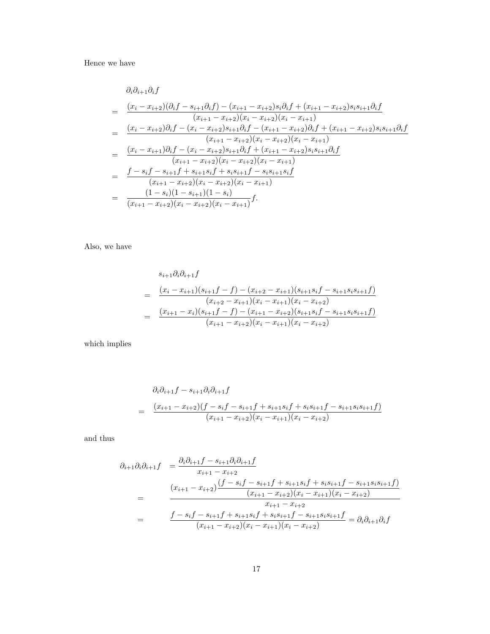Hence we have

$$
\partial_i \partial_{i+1} \partial_i f
$$
\n
$$
= \frac{(x_i - x_{i+2})(\partial_i f - s_{i+1}\partial_i f) - (x_{i+1} - x_{i+2})s_i\partial_i f + (x_{i+1} - x_{i+2})s_i s_{i+1}\partial_i f}{(x_{i+1} - x_{i+2})(x_i - x_{i+1})}
$$
\n
$$
= \frac{(x_i - x_{i+2})\partial_i f - (x_i - x_{i+2})s_{i+1}\partial_i f - (x_{i+1} - x_{i+2})\partial_i f + (x_{i+1} - x_{i+2})s_i s_{i+1}\partial_i f}{(x_{i+1} - x_{i+2})(x_i - x_{i+2})(x_i - x_{i+1})}
$$
\n
$$
= \frac{(x_i - x_{i+1})\partial_i f - (x_i - x_{i+2})s_{i+1}\partial_i f + (x_{i+1} - x_{i+2})s_i s_{i+1}\partial_i f}{(x_{i+1} - x_{i+2})(x_i - x_{i+2})(x_i - x_{i+1})}
$$
\n
$$
= \frac{f - s_i f - s_{i+1} f + s_{i+1} s_i f + s_i s_{i+1} f - s_i s_{i+1} s_i f}{(x_{i+1} - x_{i+2})(x_i - x_{i+2})(x_i - x_{i+1})}
$$
\n
$$
= \frac{(1 - s_i)(1 - s_{i+1})(1 - s_i)}{(x_{i+1} - x_{i+2})(x_i - x_{i+2})(x_i - x_{i+1})} f.
$$

Also, we have

$$
s_{i+1}\partial_i\partial_{i+1}f
$$
\n
$$
= \frac{(x_i - x_{i+1})(s_{i+1}f - f) - (x_{i+2} - x_{i+1})(s_{i+1}s_if - s_{i+1}s_is_{i+1}f)}{(x_{i+2} - x_{i+1})(x_i - x_{i+1})(x_i - x_{i+2})}
$$
\n
$$
= \frac{(x_{i+1} - x_i)(s_{i+1}f - f) - (x_{i+1} - x_{i+2})(s_{i+1}s_if - s_{i+1}s_is_{i+1}f)}{(x_{i+1} - x_{i+2})(x_i - x_{i+1})(x_i - x_{i+2})}
$$

which implies

$$
\partial_i \partial_{i+1} f - s_{i+1} \partial_i \partial_{i+1} f
$$
\n
$$
= \frac{(x_{i+1} - x_{i+2})(f - s_i f - s_{i+1} f + s_{i+1} s_i f + s_i s_{i+1} f - s_{i+1} s_i s_{i+1} f)}{(x_{i+1} - x_{i+2})(x_i - x_{i+1})(x_i - x_{i+2})}
$$

and thus

$$
\partial_{i+1}\partial_i\partial_{i+1}f = \frac{\partial_i\partial_{i+1}f - s_{i+1}\partial_i\partial_{i+1}f}{x_{i+1} - x_{i+2}} \n= \frac{(x_{i+1} - x_{i+2})\frac{(f - s_i f - s_{i+1}f + s_{i+1}s_i f + s_i s_{i+1}f - s_{i+1}s_i s_{i+1}f)}{(x_{i+1} - x_{i+2})(x_i - x_{i+1})(x_i - x_{i+2})}}{x_{i+1} - x_{i+2}} \n= \frac{f - s_i f - s_{i+1}f + s_{i+1}s_i f + s_i s_{i+1}f - s_{i+1}s_i s_{i+1}f}{(x_{i+1} - x_{i+2})(x_i - x_{i+1})(x_i - x_{i+2})} = \partial_i\partial_{i+1}\partial_i f
$$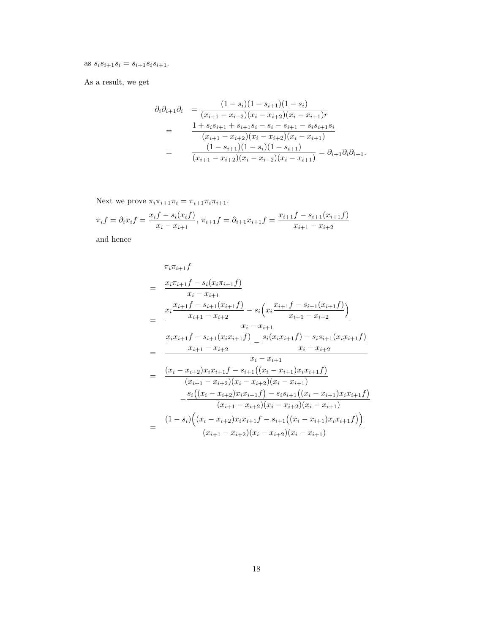as  $s_i s_{i+1} s_i = s_{i+1} s_i s_{i+1}$ .

As a result, we get

$$
\partial_i \partial_{i+1} \partial_i = \frac{(1-s_i)(1-s_{i+1})(1-s_i)}{(x_{i+1}-x_{i+2})(x_i-x_{i+2})(x_i-x_{i+1})r}
$$
  
= 
$$
\frac{1+s_is_{i+1}+s_{i+1}s_i-s_i-s_{i+1}-s_is_{i+1}s_i}{(x_{i+1}-x_{i+2})(x_i-x_{i+2})(x_i-x_{i+1})}
$$
  
= 
$$
\frac{(1-s_{i+1})(1-s_i)(1-s_{i+1})}{(x_{i+1}-x_{i+2})(x_i-x_{i+2})(x_i-x_{i+1})} = \partial_{i+1} \partial_i \partial_{i+1}.
$$

Next we prove  $\pi_i \pi_{i+1} \pi_i = \pi_{i+1} \pi_i \pi_{i+1}$ .

$$
\pi_i f = \partial_i x_i f = \frac{x_i f - s_i(x_i f)}{x_i - x_{i+1}}, \ \pi_{i+1} f = \partial_{i+1} x_{i+1} f = \frac{x_{i+1} f - s_{i+1}(x_{i+1} f)}{x_{i+1} - x_{i+2}}
$$

and hence

$$
\pi_{i}\pi_{i+1}f
$$
\n
$$
= \frac{x_{i}\pi_{i+1}f - s_{i}(x_{i}\pi_{i+1}f)}{x_{i} - x_{i+1}}
$$
\n
$$
= \frac{x_{i}\frac{x_{i+1}f - s_{i+1}(x_{i+1}f)}{x_{i+1} - x_{i+2}} - s_{i}\left(x_{i}\frac{x_{i+1}f - s_{i+1}(x_{i+1}f)}{x_{i+1} - x_{i+2}}\right)}{x_{i} - x_{i+1}}
$$
\n
$$
= \frac{x_{i}x_{i+1}f - s_{i+1}(x_{i}x_{i+1}f) - s_{i}(x_{i}x_{i+1}f) - s_{i}s_{i+1}(x_{i}x_{i+1}f)}{x_{i} - x_{i+2}}
$$
\n
$$
= \frac{(x_{i} - x_{i+2})x_{i}x_{i+1}f - s_{i+1}\left((x_{i} - x_{i+1})x_{i}x_{i+1}f\right)}{x_{i} - x_{i+2}}
$$
\n
$$
= \frac{s_{i}\left((x_{i} - x_{i+2})x_{i}x_{i+1}f\right) - s_{i}s_{i+1}\left((x_{i} - x_{i+1})x_{i}x_{i+1}f\right)}{(x_{i+1} - x_{i+2})(x_{i} - x_{i+2})(x_{i} - x_{i+1})}
$$
\n
$$
= \frac{(1 - s_{i})\left((x_{i} - x_{i+2})x_{i}x_{i+1}f - s_{i+1}\left((x_{i} - x_{i+1})x_{i}x_{i+1}f\right)\right)}{(x_{i+1} - x_{i+2})(x_{i} - x_{i+2})(x_{i} - x_{i+1})}
$$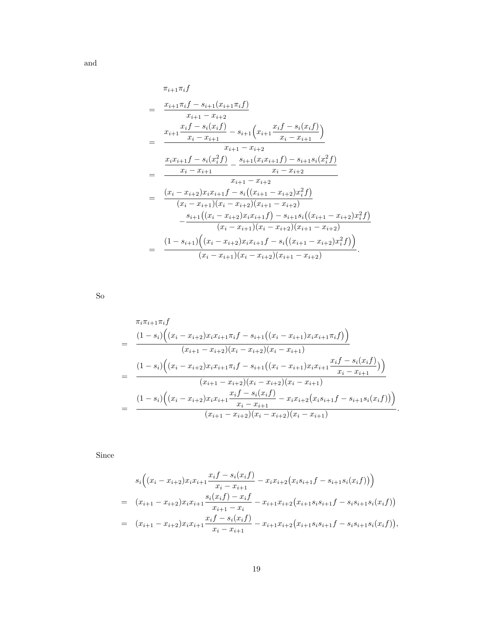$$
\pi_{i+1}\pi_{i}f
$$
\n
$$
= \frac{x_{i+1}\pi_{i}f - s_{i+1}(x_{i+1}\pi_{i}f)}{x_{i+1} - x_{i+2}}
$$
\n
$$
= \frac{x_{i+1}f - s_{i}(x_{i}f)}{x_{i} - x_{i+1}} - s_{i+1}(x_{i+1}\frac{x_{i}f - s_{i}(x_{i}f)}{x_{i} - x_{i+1}})
$$
\n
$$
= \frac{x_{i}x_{i+1}f - s_{i}(x_{i}^{2}f)}{x_{i} - x_{i+1}} - \frac{s_{i+1}(x_{i}x_{i+1}f) - s_{i+1}s_{i}(x_{i}^{2}f)}{x_{i} - x_{i+2}}
$$
\n
$$
= \frac{(x_{i} - x_{i+2})x_{i}x_{i+1}f - s_{i}((x_{i+1} - x_{i+2})x_{i}^{2}f)}{(x_{i} - x_{i+1})(x_{i} - x_{i+2})(x_{i+1} - x_{i+2})}
$$
\n
$$
- \frac{s_{i+1}((x_{i} - x_{i+2})x_{i}x_{i+1}f) - s_{i+1}s_{i}((x_{i+1} - x_{i+2})x_{i}^{2}f)}{(x_{i} - x_{i+1})(x_{i} - x_{i+2})(x_{i+1} - x_{i+2})}
$$
\n
$$
= \frac{(1 - s_{i+1})((x_{i} - x_{i+2})x_{i}x_{i+1}f - s_{i}((x_{i+1} - x_{i+2})x_{i}^{2}f))}{(x_{i} - x_{i+1})(x_{i} - x_{i+2})(x_{i+1} - x_{i+2})}
$$

So

$$
\pi_i \pi_{i+1} \pi_i f
$$
\n
$$
= \frac{(1-s_i)\Big((x_i - x_{i+2})x_i x_{i+1} \pi_i f - s_{i+1}\big((x_i - x_{i+1})x_i x_{i+1} \pi_i f\big)\Big)}{(x_{i+1} - x_{i+2})(x_i - x_{i+2})(x_i - x_{i+1})}
$$
\n
$$
= \frac{(1-s_i)\Big((x_i - x_{i+2})x_i x_{i+1} \pi_i f - s_{i+1}\big((x_i - x_{i+1})x_i x_{i+1} \frac{x_i f - s_i(x_i f)}{x_i - x_{i+1}}\big)\Big)}{(x_{i+1} - x_{i+2})(x_i - x_{i+2})(x_i - x_{i+1})}
$$
\n
$$
= \frac{(1-s_i)\Big((x_i - x_{i+2})x_i x_{i+1} \frac{x_i f - s_i(x_i f)}{x_i - x_{i+1}} - x_i x_{i+2}\big(x_i s_{i+1} f - s_{i+1} s_i(x_i f)\big)\Big)}{(x_{i+1} - x_{i+2})(x_i - x_{i+2})(x_i - x_{i+1})}.
$$

Since

$$
s_i\Big((x_i-x_{i+2})x_ix_{i+1}\frac{x_if-s_i(x_if)}{x_i-x_{i+1}}-x_ix_{i+2}\big(x_is_{i+1}f-s_{i+1}s_i(x_if)\big)\Big)
$$
  
=  $(x_{i+1}-x_{i+2})x_ix_{i+1}\frac{s_i(x_if)-x_if}{x_{i+1}-x_i}-x_{i+1}x_{i+2}\big(x_{i+1}s_is_{i+1}f-s_is_{i+1}s_i(x_if)\big)$   
=  $(x_{i+1}-x_{i+2})x_ix_{i+1}\frac{x_if-s_i(x_if)}{x_i-x_{i+1}}-x_{i+1}x_{i+2}\big(x_{i+1}s_is_{i+1}f-s_is_{i+1}s_i(x_if)\big),$ 

and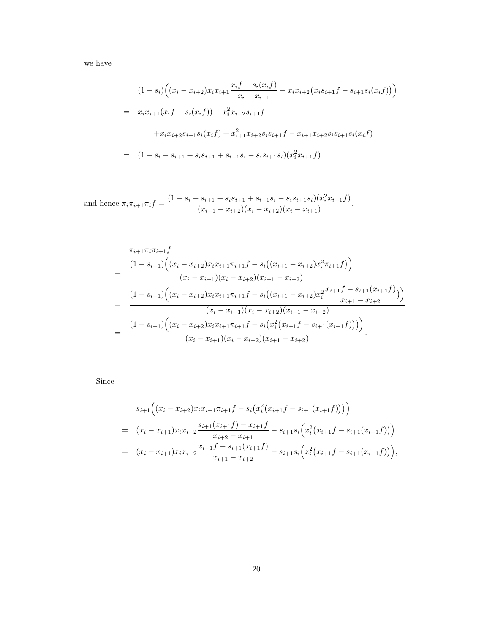we have

$$
(1 - s_i) \Big( (x_i - x_{i+2}) x_i x_{i+1} \frac{x_i f - s_i(x_i f)}{x_i - x_{i+1}} - x_i x_{i+2} (x_i s_{i+1} f - s_{i+1} s_i(x_i f)) \Big)
$$
  
= 
$$
x_i x_{i+1} (x_i f - s_i(x_i f)) - x_i^2 x_{i+2} s_{i+1} f
$$
  
+
$$
x_i x_{i+2} s_{i+1} s_i(x_i f) + x_{i+1}^2 x_{i+2} s_i s_{i+1} f - x_{i+1} x_{i+2} s_i s_{i+1} s_i(x_i f)
$$
  
= 
$$
(1 - s_i - s_{i+1} + s_i s_{i+1} + s_{i+1} s_i - s_i s_{i+1} s_i)(x_i^2 x_{i+1} f)
$$

and hence 
$$
\pi_i \pi_{i+1} \pi_i f = \frac{(1 - s_i - s_{i+1} + s_i s_{i+1} + s_{i+1} s_i - s_i s_{i+1} s_i)(x_i^2 x_{i+1} f)}{(x_{i+1} - x_{i+2})(x_i - x_{i+2})(x_i - x_{i+1})}.
$$

$$
\frac{\pi_{i+1}\pi_i\pi_{i+1}f}{(1-s_{i+1})\Big((x_i-x_{i+2})x_ix_{i+1}\pi_{i+1}f-s_i\big((x_{i+1}-x_{i+2})x_i^2\pi_{i+1}f\big)\Big)}{(x_i-x_{i+1})(x_i-x_{i+2})(x_{i+1}-x_{i+2})}
$$
\n
$$
=\frac{(1-s_{i+1})\Big((x_i-x_{i+2})x_ix_{i+1}\pi_{i+1}f-s_i\big((x_{i+1}-x_{i+2})x_i^2\frac{x_{i+1}f-s_{i+1}(x_{i+1}f)}{x_{i+1}-x_{i+2}}\big)\Big)}{(x_i-x_{i+1})(x_i-x_{i+2})(x_{i+1}-x_{i+2})}
$$
\n
$$
=\frac{(1-s_{i+1})\Big((x_i-x_{i+2})x_ix_{i+1}\pi_{i+1}f-s_i\big(x_i^2\big(x_{i+1}f-s_{i+1}(x_{i+1}f)\big)\big)\Big)}{(x_i-x_{i+1})(x_i-x_{i+2})(x_{i+1}-x_{i+2})}.
$$

Since

$$
s_{i+1}((x_i - x_{i+2})x_ix_{i+1}\pi_{i+1}f - s_i(x_i^2(x_{i+1}f - s_{i+1}(x_{i+1}f))))
$$
  
= 
$$
(x_i - x_{i+1})x_ix_{i+2}\frac{s_{i+1}(x_{i+1}f) - x_{i+1}f}{x_{i+2} - x_{i+1}} - s_{i+1}s_i(x_i^2(x_{i+1}f - s_{i+1}(x_{i+1}f)))
$$
  
= 
$$
(x_i - x_{i+1})x_ix_{i+2}\frac{x_{i+1}f - s_{i+1}(x_{i+1}f)}{x_{i+1} - x_{i+2}} - s_{i+1}s_i(x_i^2(x_{i+1}f - s_{i+1}(x_{i+1}f)))
$$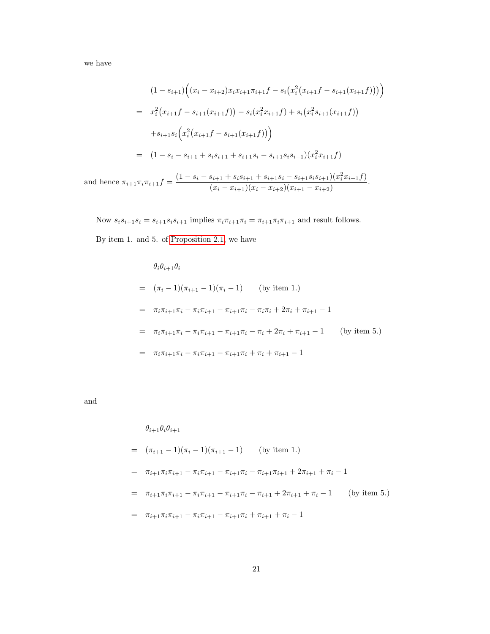we have

$$
(1 - s_{i+1}) \Big( (x_i - x_{i+2}) x_i x_{i+1} \pi_{i+1} f - s_i \big( x_i^2 (x_{i+1} f - s_{i+1} (x_{i+1} f)) \big) \Big)
$$
  
\n
$$
= x_i^2 (x_{i+1} f - s_{i+1} (x_{i+1} f)) - s_i (x_i^2 x_{i+1} f) + s_i \big( x_i^2 s_{i+1} (x_{i+1} f) \big)
$$
  
\n
$$
+ s_{i+1} s_i \Big( x_i^2 (x_{i+1} f - s_{i+1} (x_{i+1} f)) \Big)
$$
  
\n
$$
= (1 - s_i - s_{i+1} + s_i s_{i+1} + s_{i+1} s_i - s_{i+1} s_i s_{i+1}) (x_i^2 x_{i+1} f)
$$
  
\nand hence  $\pi_{i+1} \pi_i \pi_{i+1} f = \frac{(1 - s_i - s_{i+1} + s_i s_{i+1} + s_{i+1} s_i - s_{i+1} s_i s_{i+1}) (x_i^2 x_{i+1} f)}{(x_i - x_{i+1}) (x_i - x_{i+2}) (x_{i+1} - x_{i+2})}.$ 

Now  $s_is_{i+1}s_i = s_{i+1}s_is_{i+1}$  implies  $\pi_i\pi_{i+1}\pi_i = \pi_{i+1}\pi_i\pi_{i+1}$  and result follows. By item 1. and 5. of [Proposition 2.1,](#page-18-0) we have

$$
\theta_i \theta_{i+1} \theta_i
$$
\n
$$
= (\pi_i - 1)(\pi_{i+1} - 1)(\pi_i - 1) \qquad \text{(by item 1.)}
$$
\n
$$
= \pi_i \pi_{i+1} \pi_i - \pi_i \pi_{i+1} - \pi_{i+1} \pi_i - \pi_i \pi_i + 2\pi_i + \pi_{i+1} - 1
$$
\n
$$
= \pi_i \pi_{i+1} \pi_i - \pi_i \pi_{i+1} - \pi_{i+1} \pi_i - \pi_i + 2\pi_i + \pi_{i+1} - 1 \qquad \text{(by item 5.)}
$$
\n
$$
= \pi_i \pi_{i+1} \pi_i - \pi_i \pi_{i+1} - \pi_{i+1} \pi_i + \pi_i + \pi_{i+1} - 1
$$

and

$$
\theta_{i+1}\theta_i\theta_{i+1}
$$

$$
= (\pi_{i+1} - 1)(\pi_i - 1)(\pi_{i+1} - 1)
$$
 (by item 1.)  
\n
$$
= \pi_{i+1}\pi_i\pi_{i+1} - \pi_i\pi_{i+1} - \pi_{i+1}\pi_i - \pi_{i+1}\pi_{i+1} + 2\pi_{i+1} + \pi_i - 1
$$
  
\n
$$
= \pi_{i+1}\pi_i\pi_{i+1} - \pi_i\pi_{i+1} - \pi_{i+1}\pi_i - \pi_{i+1} + 2\pi_{i+1} + \pi_i - 1
$$
 (by item 5.)

$$
= \pi_{i+1}\pi_i\pi_{i+1} - \pi_i\pi_{i+1} - \pi_{i+1}\pi_i + \pi_{i+1} + \pi_i - 1
$$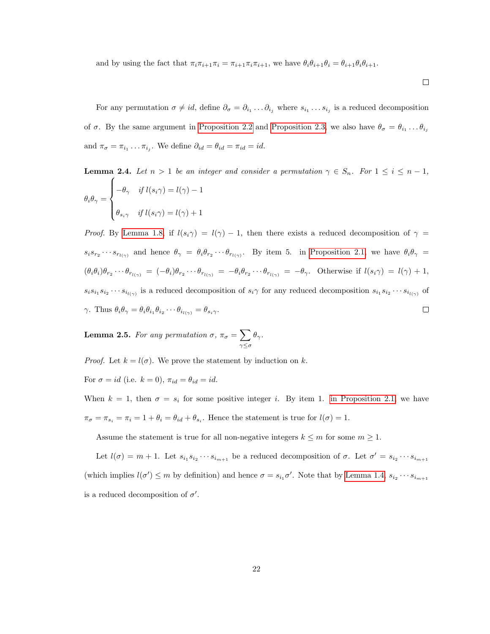and by using the fact that  $\pi_i \pi_{i+1} \pi_i = \pi_{i+1} \pi_i \pi_{i+1}$ , we have  $\theta_i \theta_{i+1} \theta_i = \theta_{i+1} \theta_i \theta_{i+1}$ .

 $\Box$ 

For any permutation  $\sigma \neq id$ , define  $\partial_{\sigma} = \partial_{i_1} \dots \partial_{i_j}$  where  $s_{i_1} \dots s_{i_j}$  is a reduced decomposition of  $\sigma$ . By the same argument in [Proposition 2.2](#page-19-0) and [Proposition 2.3,](#page-20-0) we also have  $\theta_{\sigma} = \theta_{i_1} \dots \theta_{i_j}$ and  $\pi_{\sigma} = \pi_{i_1} \dots \pi_{i_j}$ . We define  $\partial_{id} = \theta_{id} = \pi_{id} = id$ .

<span id="page-26-0"></span>**Lemma 2.4.** Let  $n > 1$  be an integer and consider a permutation  $\gamma \in S_n$ . For  $1 \leq i \leq n-1$ ,  $\theta_i\theta_\gamma=$  $\sqrt{ }$  $\int$  $\overline{\mathcal{L}}$  $-\theta_{\gamma}$  if  $l(s_i\gamma) = l(\gamma) - 1$  $\theta_{s_i\gamma}$  if  $l(s_i\gamma) = l(\gamma) + 1$ 

*Proof.* By [Lemma 1.8,](#page-13-0) if  $l(s_i\gamma) = l(\gamma) - 1$ , then there exists a reduced decomposition of  $\gamma$  $s_i s_{r_2} \cdots s_{r_{l(\gamma)}}$  and hence  $\theta_{\gamma} = \theta_i \theta_{r_2} \cdots \theta_{r_{l(\gamma)}}$ . By item 5. in [Proposition 2.1,](#page-18-0) we have  $\theta_i \theta_{\gamma} =$  $(\theta_i \theta_i) \theta_{r_2} \cdots \theta_{r_{l(\gamma)}} = (-\theta_i) \theta_{r_2} \cdots \theta_{r_{l(\gamma)}} = -\theta_i \theta_{r_2} \cdots \theta_{r_{l(\gamma)}} = -\theta_{\gamma}$ . Otherwise if  $l(s_i \gamma) = l(\gamma) + 1$ ,  $s_i s_{i_1} s_{i_2} \cdots s_{i_{l(\gamma)}}$  is a reduced decomposition of  $s_i \gamma$  for any reduced decomposition  $s_{i_1} s_{i_2} \cdots s_{i_{l(\gamma)}}$  of  $\Box$  $\gamma$ . Thus  $\theta_i \theta_\gamma = \theta_i \theta_{i_1} \theta_{i_2} \cdots \theta_{i_{l(\gamma)}} = \theta_{s_i \gamma}$ .

<span id="page-26-1"></span>**Lemma 2.5.** For any permutation  $\sigma$ ,  $\pi_{\sigma} = \sum$ γ≤σ  $\theta_{\gamma}$ .

*Proof.* Let  $k = l(\sigma)$ . We prove the statement by induction on k.

For  $\sigma = id$  (i.e.  $k = 0$ ),  $\pi_{id} = \theta_{id} = id$ .

When  $k = 1$ , then  $\sigma = s_i$  for some positive integer i. By item 1. [in Proposition 2.1,](#page-18-0) we have  $\pi_{\sigma} = \pi_{s_i} = \pi_i = 1 + \theta_i = \theta_{id} + \theta_{s_i}$ . Hence the statement is true for  $l(\sigma) = 1$ .

Assume the statement is true for all non-negative integers  $k \le m$  for some  $m \ge 1$ .

Let  $l(\sigma) = m + 1$ . Let  $s_{i_1} s_{i_2} \cdots s_{i_{m+1}}$  be a reduced decomposition of  $\sigma$ . Let  $\sigma' = s_{i_2} \cdots s_{i_{m+1}}$ (which implies  $l(\sigma') \leq m$  by definition) and hence  $\sigma = s_{i_1} \sigma'$ . Note that by [Lemma 1.4,](#page-11-2)  $s_{i_2} \cdots s_{i_{m+1}}$ is a reduced decomposition of  $\sigma'$ .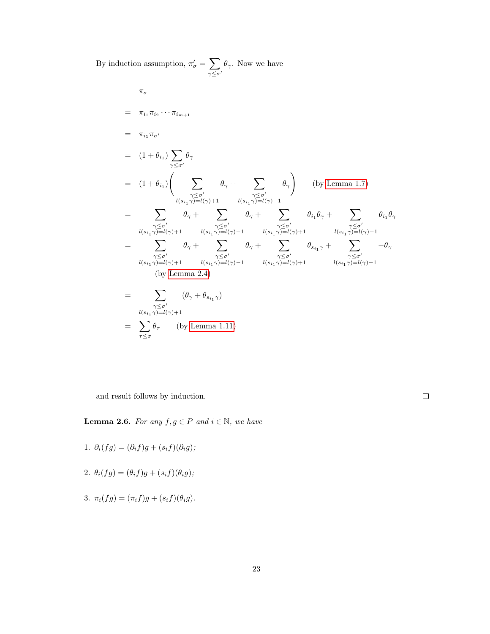By induction assumption,  $\pi'_{\sigma} = \sum$  $\gamma \leq \sigma'$  $\theta_{\gamma}$ . Now we have

$$
\pi_{\sigma}
$$
\n
$$
= \pi_{i_1}\pi_{i_2}\cdots\pi_{i_{m+1}}
$$
\n
$$
= \pi_{i_1}\pi_{\sigma'}
$$
\n
$$
= (1 + \theta_{i_1})\left(\sum_{\substack{\gamma \leq \sigma' \\ l(s_{i_1}\gamma) = l(\gamma)+1}} \theta_{\gamma} + \sum_{\substack{\gamma \leq \sigma' \\ l(s_{i_1}\gamma) = l(\gamma)+1}} \theta_{\gamma}\right) \quad \text{(by Lemma 1.7)}
$$
\n
$$
= \sum_{\substack{\gamma \leq \sigma' \\ l(s_{i_1}\gamma) = l(\gamma)+1}} \theta_{\gamma} + \sum_{\substack{\gamma \leq \sigma' \\ l(s_{i_1}\gamma) = l(\gamma)-1}} \theta_{\gamma} + \sum_{\substack{\gamma \leq \sigma' \\ l(s_{i_1}\gamma) = l(\gamma)-1}} \theta_{\gamma} + \sum_{\substack{\gamma \leq \sigma' \\ l(s_{i_1}\gamma) = l(\gamma)-1}} \theta_{i_1}\theta_{\gamma} + \sum_{\substack{\gamma \leq \sigma' \\ l(s_{i_1}\gamma) = l(\gamma)+1}} \theta_{i_1}\theta_{\gamma} + \sum_{\substack{\gamma \leq \sigma' \\ l(s_{i_1}\gamma) = l(\gamma)+1}} \theta_{s_{i_1}\gamma} + \sum_{\substack{\gamma \leq \sigma' \\ l(s_{i_1}\gamma) = l(\gamma)-1}} \theta_{s_{i_1}\gamma} + \sum_{\substack{\gamma \leq \sigma' \\ l(s_{i_1}\gamma) = l(\gamma)-1}} \theta_{s_{i_1}\gamma}
$$
\n(by Lemma 2.4)\n
$$
= \sum_{\substack{\gamma \leq \sigma' \\ l(s_{i_1}\gamma) = l(\gamma)+1}} (\theta_{\gamma} + \theta_{s_{i_1}\gamma})
$$
\n
$$
= \sum_{\substack{\gamma \leq \sigma' \\ l(s_{i_1}\gamma) = l(\gamma)+1}} (\theta_{\gamma} + \theta_{s_{i_1}\gamma})
$$
\n
$$
= \sum_{\gamma \leq \sigma'} \theta_{\gamma} \quad \text{(by Lemma 1.11)}
$$

and result follows by induction.

**Lemma 2.6.** For any  $f, g \in P$  and  $i \in \mathbb{N}$ , we have

- 1.  $\partial_i(fg) = (\partial_i f)g + (s_i f)(\partial_i g);$
- 2.  $\theta_i(fg) = (\theta_i f)g + (s_i f)(\theta_i g);$
- 3.  $\pi_i(fg) = (\pi_i f)g + (s_i f)(\theta_i g)$ .

 $\hfill \square$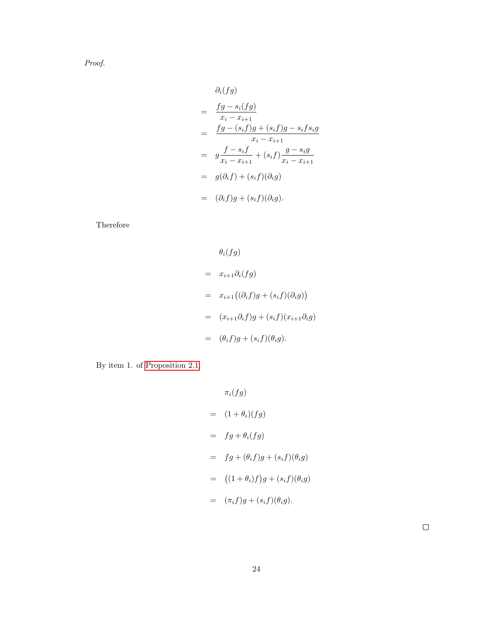Proof.

$$
\partial_i(fg)
$$
\n
$$
= \frac{fg - s_i(fg)}{x_i - x_{i+1}}
$$
\n
$$
= \frac{fg - (s_i f)g + (s_i f)g - s_i f s_i g}{x_i - x_{i+1}}
$$
\n
$$
= g \frac{f - s_i f}{x_i - x_{i+1}} + (s_i f) \frac{g - s_i g}{x_i - x_{i+1}}
$$
\n
$$
= g(\partial_i f) + (s_i f)(\partial_i g)
$$
\n
$$
= (\partial_i f)g + (s_i f)(\partial_i g).
$$

Therefore

$$
\theta_i(fg)
$$
  
=  $x_{i+1}\partial_i(fg)$   
=  $x_{i+1}((\partial_i f)g + (s_i f)(\partial_i g))$   
=  $(x_{i+1}\partial_i f)g + (s_i f)(x_{i+1}\partial_i g)$   
=  $(\theta_i f)g + (s_i f)(\theta_i g).$ 

By item 1. of [Proposition 2.1,](#page-18-0)

$$
\pi_i(fg)
$$
  
=  $(1 + \theta_i)(fg)$   
=  $fg + \theta_i(fg)$   
=  $fg + (\theta_i f)g + (s_i f)(\theta_i g)$   
=  $((1 + \theta_i)f)g + (s_i f)(\theta_i g)$   
=  $(\pi_i f)g + (s_i f)(\theta_i g)$ .

 $\hfill \square$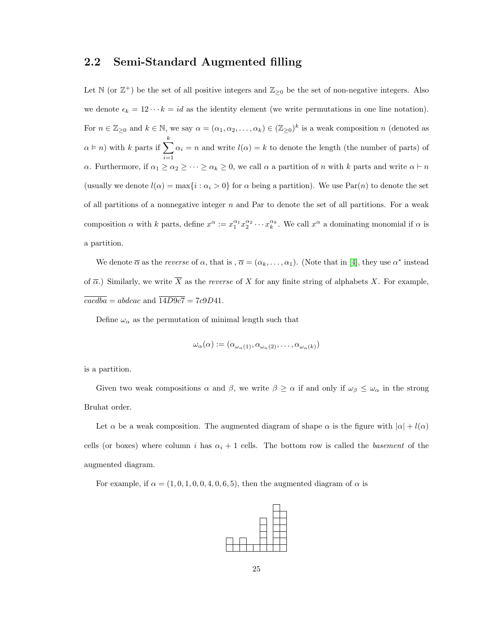#### <span id="page-29-0"></span>2.2 Semi-Standard Augmented filling

Let N (or  $\mathbb{Z}^+$ ) be the set of all positive integers and  $\mathbb{Z}_{\geq 0}$  be the set of non-negative integers. Also we denote  $\epsilon_k = 12 \cdots k = id$  as the identity element (we write permutations in one line notation). For  $n \in \mathbb{Z}_{\geq 0}$  and  $k \in \mathbb{N}$ , we say  $\alpha = (\alpha_1, \alpha_2, \dots, \alpha_k) \in (\mathbb{Z}_{\geq 0})^k$  is a weak composition n (denoted as  $\alpha \models n$ ) with k parts if  $\sum_{n=1}^k$  $i=1$  $\alpha_i = n$  and write  $l(\alpha) = k$  to denote the length (the number of parts) of  $\alpha$ . Furthermore, if  $\alpha_1 \ge \alpha_2 \ge \cdots \ge \alpha_k \ge 0$ , we call  $\alpha$  a partition of n with k parts and write  $\alpha \vdash n$ (usually we denote  $l(\alpha) = \max\{i : \alpha_i > 0\}$  for  $\alpha$  being a partition). We use  $\text{Par}(n)$  to denote the set of all partitions of a nonnegative integer  $n$  and Par to denote the set of all partitions. For a weak composition  $\alpha$  with k parts, define  $x^{\alpha} := x_1^{\alpha_1} x_2^{\alpha_2} \cdots x_k^{\alpha_k}$ . We call  $x^{\alpha}$  a dominating monomial if  $\alpha$  is a partition.

We denote  $\overline{\alpha}$  as the *reverse* of  $\alpha$ , that is,  $\overline{\alpha} = (\alpha_k, \dots, \alpha_1)$ . (Note that in [\[4\]](#page-123-3), they use  $\alpha^*$  instead of  $\overline{\alpha}$ .) Similarly, we write  $\overline{X}$  as the *reverse* of X for any finite string of alphabets X. For example,  $\overline{cacdba} = abdcac$  and  $\overline{14D9c7} = 7c9D41$ .

Define  $\omega_{\alpha}$  as the permutation of minimal length such that

$$
\omega_{\alpha}(\alpha) := (\alpha_{\omega_{\alpha}(1)}, \alpha_{\omega_{\alpha}(2)}, \dots, \alpha_{\omega_{\alpha}(k)})
$$

is a partition.

Given two weak compositions  $\alpha$  and  $\beta$ , we write  $\beta \geq \alpha$  if and only if  $\omega_{\beta} \leq \omega_{\alpha}$  in the strong Bruhat order.

Let  $\alpha$  be a weak composition. The augmented diagram of shape  $\alpha$  is the figure with  $|\alpha| + l(\alpha)$ cells (or boxes) where column i has  $\alpha_i + 1$  cells. The bottom row is called the basement of the augmented diagram.

For example, if  $\alpha = (1, 0, 1, 0, 0, 4, 0, 6, 5)$ , then the augmented diagram of  $\alpha$  is

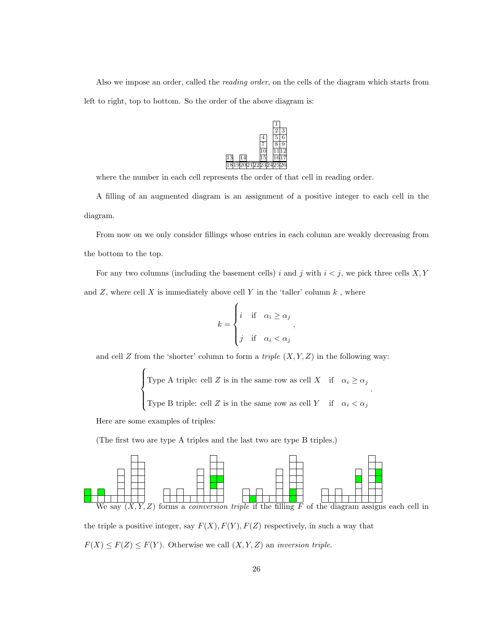Also we impose an order, called the *reading order*, on the cells of the diagram which starts from left to right, top to bottom. So the order of the above diagram is:



where the number in each cell represents the order of that cell in reading order.

A filling of an augmented diagram is an assignment of a positive integer to each cell in the diagram.

From now on we only consider fillings whose entries in each column are weakly decreasing from the bottom to the top.

For any two columns (including the basement cells) i and j with  $i < j$ , we pick three cells  $X, Y$ and  $Z$ , where cell  $X$  is immediately above cell  $Y$  in the 'taller' column  $k$ , where

$$
k = \begin{cases} i & \text{if } \alpha_i \ge \alpha_j \\ j & \text{if } \alpha_i < \alpha_j \end{cases}
$$

and cell Z from the 'shorter' column to form a *triple*  $(X, Y, Z)$  in the following way:

 $\epsilon$ 

 $\sqrt{ }$  $\int$ Type A triple: cell Z is in the same row as cell X if  $\alpha_i \ge \alpha_j$ .

 $\overline{\mathcal{L}}$ Type B triple: cell Z is in the same row as cell Y if  $\alpha_i < \alpha_j$ 

Here are some examples of triples:

(The first two are type A triples and the last two are type B triples.)



the triple a positive integer, say  $F(X), F(Y), F(Z)$  respectively, in such a way that

 $F(X) \leq F(Z) \leq F(Y)$ . Otherwise we call  $(X, Y, Z)$  an *inversion triple*.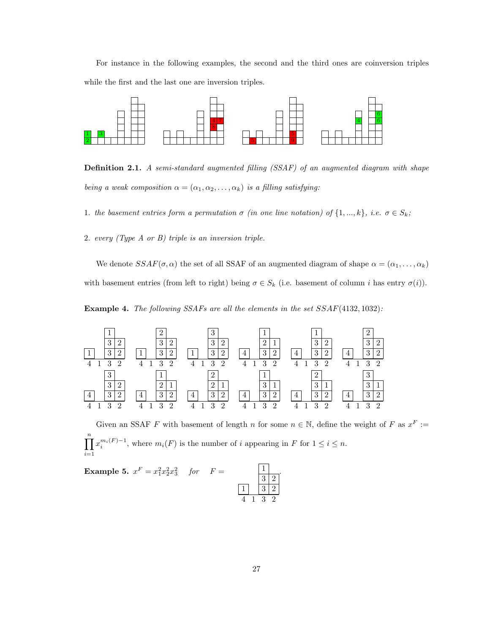For instance in the following examples, the second and the third ones are coinversion triples while the first and the last one are inversion triples.



Definition 2.1. A semi-standard augmented filling (SSAF) of an augmented diagram with shape being a weak composition  $\alpha = (\alpha_1, \alpha_2, \dots, \alpha_k)$  is a filling satisfying:

- 1. the basement entries form a permutation  $\sigma$  (in one line notation) of  $\{1, ..., k\}$ , i.e.  $\sigma \in S_k$ ;
- 2. every (Type A or B) triple is an inversion triple.

We denote  $SSAF(\sigma, \alpha)$  the set of all SSAF of an augmented diagram of shape  $\alpha = (\alpha_1, \dots, \alpha_k)$ with basement entries (from left to right) being  $\sigma \in S_k$  (i.e. basement of column *i* has entry  $\sigma(i)$ ).

Example 4. The following SSAFs are all the elements in the set SSAF(4132, 1032):

| ᅩ<br>3<br>ച<br>∠<br>3<br>$\Omega$<br>3<br>2<br>4 | ച<br>3<br>٠,<br>3<br>≘<br>-1<br>3<br>$\overline{2}$<br>4 | J.<br>3<br>٠,<br>∠<br>ച<br>$\Omega$<br>.,<br>3<br>$\overline{2}$<br>4 | ി<br>റ<br>$\overline{2}$<br>4<br>$\cdot$<br>3<br>$\overline{2}$<br>4 | 3<br>٠,<br>3<br>ച<br>4<br>3<br>$\overline{2}$ | 2<br>3<br>$\Omega$<br>3<br>ച<br>$\overline{ }$<br>3<br>$\overline{2}$<br>4 |
|--------------------------------------------------|----------------------------------------------------------|-----------------------------------------------------------------------|----------------------------------------------------------------------|-----------------------------------------------|----------------------------------------------------------------------------|
| 3<br>3<br>ച<br>∠<br>3<br>$\Omega$<br>4<br>ച<br>റ | $\overline{2}$<br>3<br>റ<br>4<br>ച<br>ച                  | റ<br>∠<br>٠,<br>$\overline{a}$<br>3<br>ച<br>4<br>$\mathfrak{D}$       | 3<br>റ<br>$\overline{2}$<br>4<br>۲.<br>ച<br>2<br>4                   | റ<br>3<br>3<br>ച<br>4<br>∠<br>2               | 3<br>3<br>3<br>ച<br>4<br>ച<br>$\overline{2}$                               |

Given an SSAF F with basement of length n for some  $n \in \mathbb{N}$ , define the weight of F as  $x^F :=$  $\prod^n$  $i=1$  $x_i^{m_i(F)-1}$ , where  $m_i(F)$  is the number of i appearing in F for  $1 \le i \le n$ .

| <b>Example 5.</b> $x^F = x_1^2 x_2^2 x_3^2$ for $F =$ |  |                                     |  |  |
|-------------------------------------------------------|--|-------------------------------------|--|--|
|                                                       |  |                                     |  |  |
|                                                       |  | $\boxed{1}$ $\boxed{3}$ $\boxed{2}$ |  |  |
|                                                       |  | 4 1 3 2                             |  |  |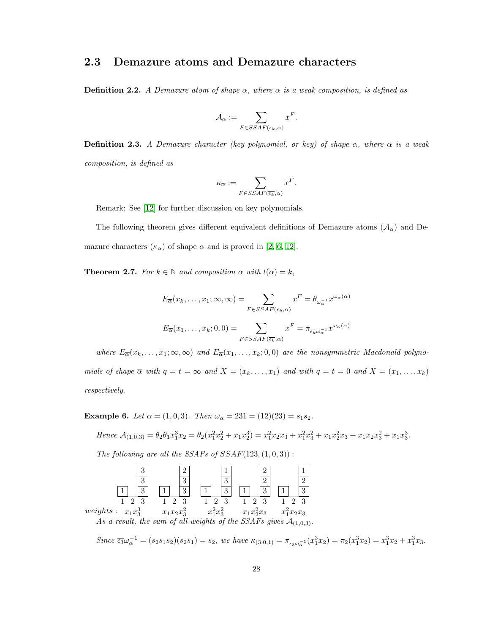#### <span id="page-32-0"></span>2.3 Demazure atoms and Demazure characters

**Definition 2.2.** A Demazure atom of shape  $\alpha$ , where  $\alpha$  is a weak composition, is defined as

$$
\mathcal{A}_{\alpha} := \sum_{F \in SSAF(\epsilon_k, \alpha)} x^F.
$$

**Definition 2.3.** A Demazure character (key polynomial, or key) of shape  $\alpha$ , where  $\alpha$  is a weak composition, is defined as

$$
\kappa_{\overline{\alpha}} := \sum_{F \in SSAF(\overline{\epsilon_k}, \alpha)} x^F.
$$

Remark: See [\[12\]](#page-124-5) for further discussion on key polynomials.

The following theorem gives different equivalent definitions of Demazure atoms  $(\mathcal{A}_{\alpha})$  and Demazure characters  $(\kappa_{\overline{\alpha}})$  of shape  $\alpha$  and is proved in [\[2,](#page-123-0) [6,](#page-123-1) [12\]](#page-124-5).

<span id="page-32-1"></span>**Theorem 2.7.** For  $k \in \mathbb{N}$  and composition  $\alpha$  with  $l(\alpha) = k$ ,

$$
E_{\overline{\alpha}}(x_k, \dots, x_1; \infty, \infty) = \sum_{F \in SSAF(\epsilon_k, \alpha)} x^F = \theta_{\omega_{\alpha}^{-1}} x^{\omega_{\alpha}(\alpha)}
$$

$$
E_{\overline{\alpha}}(x_1, \dots, x_k; 0, 0) = \sum_{F \in SSAF(\overline{\epsilon_k}, \alpha)} x^F = \pi_{\overline{\epsilon_k} \omega_{\alpha}^{-1}} x^{\omega_{\alpha}(\alpha)}
$$

where  $E_{\overline{\alpha}}(x_k,\ldots,x_1;\infty,\infty)$  and  $E_{\overline{\alpha}}(x_1,\ldots,x_k;0,0)$  are the nonsymmetric Macdonald polynomials of shape  $\overline{\alpha}$  with  $q = t = \infty$  and  $X = (x_k, \ldots, x_1)$  and with  $q = t = 0$  and  $X = (x_1, \ldots, x_k)$ respectively.

Example 6. Let  $\alpha = (1, 0, 3)$ . Then  $\omega_{\alpha} = 231 = (12)(23) = s_1s_2$ .

Hence 
$$
\mathcal{A}_{(1,0,3)} = \theta_2 \theta_1 x_1^3 x_2 = \theta_2 (x_1^2 x_2^2 + x_1 x_2^3) = x_1^2 x_2 x_3 + x_1^2 x_3^2 + x_1 x_2^2 x_3 + x_1 x_2 x_3^2 + x_1 x_3^3.
$$

The following are all the SSAFs of  $SSAF(123, (1, 0, 3))$ :



 $Since \ \overline{\epsilon_3} \omega_\alpha^{-1} = (s_2 s_1 s_2)(s_2 s_1) = s_2, \ we \ have \ \kappa_{(3,0,1)} = \pi_{\overline{\epsilon_3} \omega_\alpha^{-1}}(x_1^3 x_2) = \pi_2(x_1^3 x_2) = x_1^3 x_2 + x_1^3 x_3.$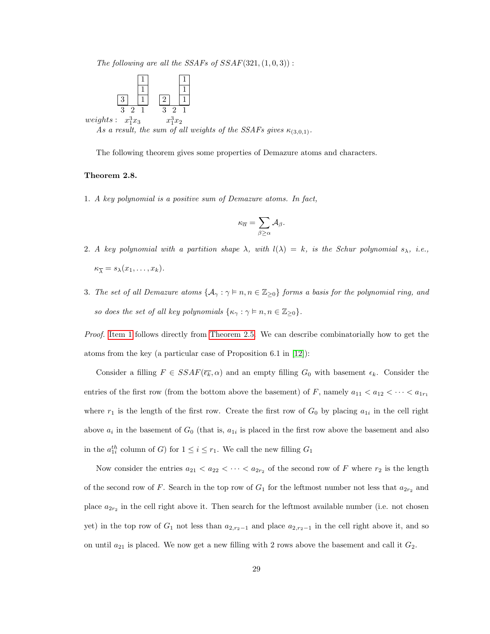The following are all the SSAFs of  $SSAF(321, (1, 0, 3))$ :



 $weights: x_1^3x_3$  $x_1^3x_2$ As a result, the sum of all weights of the SSAFs gives  $\kappa_{(3,0,1)}$ .

The following theorem gives some properties of Demazure atoms and characters.

#### <span id="page-33-3"></span><span id="page-33-0"></span>Theorem 2.8.

1. A key polynomial is a positive sum of Demazure atoms. In fact,

$$
\kappa_{\overline{\alpha}} = \sum_{\beta \geq \alpha} A_{\beta}.
$$

- <span id="page-33-1"></span>2. A key polynomial with a partition shape  $\lambda$ , with  $l(\lambda) = k$ , is the Schur polynomial  $s_{\lambda}$ , i.e.,  $\kappa_{\overline{\lambda}} = s_{\lambda}(x_1, \ldots, x_k).$
- <span id="page-33-2"></span>3. The set of all Demazure atoms  $\{A_\gamma : \gamma \models n, n \in \mathbb{Z}_{\geq 0}\}$  forms a basis for the polynomial ring, and so does the set of all key polynomials  $\{\kappa_\gamma : \gamma \models n, n \in \mathbb{Z}_{\geq 0}\}.$

Proof. [Item 1](#page-33-0) follows directly from [Theorem 2.5.](#page-26-1) We can describe combinatorially how to get the atoms from the key (a particular case of Proposition 6.1 in [\[12\]](#page-124-5)):

Consider a filling  $F \in SSAF(\overline{\epsilon_k}, \alpha)$  and an empty filling  $G_0$  with basement  $\epsilon_k$ . Consider the entries of the first row (from the bottom above the basement) of F, namely  $a_{11} < a_{12} < \cdots < a_{1r_1}$ where  $r_1$  is the length of the first row. Create the first row of  $G_0$  by placing  $a_{1i}$  in the cell right above  $a_i$  in the basement of  $G_0$  (that is,  $a_{1i}$  is placed in the first row above the basement and also in the  $a_{1i}^{th}$  column of G) for  $1 \leq i \leq r_1$ . We call the new filling  $G_1$ 

Now consider the entries  $a_{21} < a_{22} < \cdots < a_{2r_2}$  of the second row of F where  $r_2$  is the length of the second row of F. Search in the top row of  $G_1$  for the leftmost number not less that  $a_{2r_2}$  and place  $a_{2r_2}$  in the cell right above it. Then search for the leftmost available number (i.e. not chosen yet) in the top row of  $G_1$  not less than  $a_{2,r_2-1}$  and place  $a_{2,r_2-1}$  in the cell right above it, and so on until  $a_{21}$  is placed. We now get a new filling with 2 rows above the basement and call it  $G_2$ .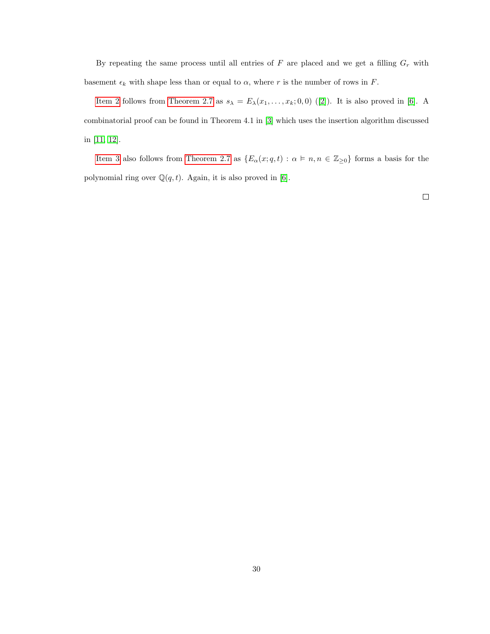By repeating the same process until all entries of  $F$  are placed and we get a filling  $G_r$  with basement  $\epsilon_k$  with shape less than or equal to  $\alpha$ , where r is the number of rows in F.

[Item 2](#page-33-1) follows from [Theorem 2.7](#page-32-1) as  $s_{\lambda} = E_{\lambda}(x_1, \ldots, x_k; 0, 0)$  ([\[2\]](#page-123-0)). It is also proved in [\[6\]](#page-123-1). A combinatorial proof can be found in Theorem 4.1 in [\[3\]](#page-123-2) which uses the insertion algorithm discussed in [\[11,](#page-124-4) [12\]](#page-124-5).

[Item 3](#page-33-2) also follows from [Theorem 2.7](#page-32-1) as  $\{E_{\alpha}(x;q,t): \alpha \models n, n \in \mathbb{Z}_{\geq 0}\}$  forms a basis for the polynomial ring over  $\mathbb Q(q,t).$  Again, it is also proved in [\[6\]](#page-123-1).

 $\Box$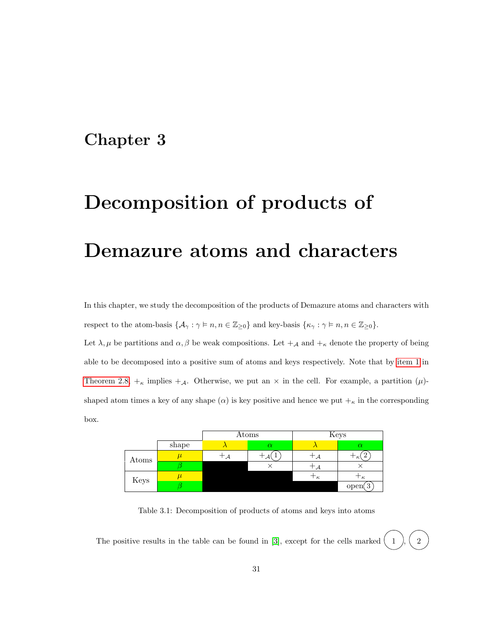### <span id="page-35-0"></span>Chapter 3

# Decomposition of products of Demazure atoms and characters

In this chapter, we study the decomposition of the products of Demazure atoms and characters with respect to the atom-basis  $\{\mathcal{A}_\gamma: \gamma \vDash n, n \in \mathbb{Z}_{\geq 0}\}$  and key-basis  $\{\kappa_\gamma: \gamma \vDash n, n \in \mathbb{Z}_{\geq 0}\}.$ 

Let  $\lambda, \mu$  be partitions and  $\alpha, \beta$  be weak compositions. Let  $+_{\mathcal{A}}$  and  $+_{\kappa}$  denote the property of being able to be decomposed into a positive sum of atoms and keys respectively. Note that by [item 1](#page-33-0) in [Theorem 2.8,](#page-33-3)  $+_{\kappa}$  implies  $+_{\mathcal{A}}$ . Otherwise, we put an  $\times$  in the cell. For example, a partition  $(\mu)$ shaped atom times a key of any shape  $(\alpha)$  is key positive and hence we put  $+_{\kappa}$  in the corresponding box.

|       |       | Atoms |               | Keys            |                  |  |
|-------|-------|-------|---------------|-----------------|------------------|--|
|       | shape |       |               |                 |                  |  |
| Atoms |       | ΤА    | $\perp$ . $A$ | ТА              | 工ん               |  |
|       |       |       |               | ΤА              |                  |  |
| Keys  |       |       |               | $\top_{\kappa}$ | $\tau_{\kappa}$  |  |
|       |       |       |               |                 | ാ<br>open(<br>۰J |  |

Table 3.1: Decomposition of products of atoms and keys into atoms

The positive results in the table can be found in [\[3\]](#page-123-2), except for the cells marked  $\begin{pmatrix} 1 \end{pmatrix}$ ,  $\begin{pmatrix} 2 \end{pmatrix}$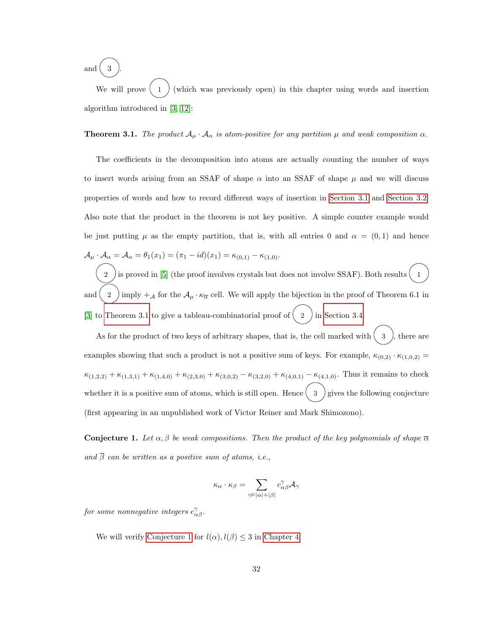and  $\langle 3 \rangle$ 

We will prove  $\begin{pmatrix} 1 \end{pmatrix}$  (which was previously open) in this chapter using words and insertion algorithm introduced in [\[3,](#page-123-0) [12\]](#page-124-0):

<span id="page-36-0"></span>**Theorem 3.1.** The product  $A_\mu \cdot A_\alpha$  is atom-positive for any partition  $\mu$  and weak composition  $\alpha$ .

The coefficients in the decomposition into atoms are actually counting the number of ways to insert words arising from an SSAF of shape  $\alpha$  into an SSAF of shape  $\mu$  and we will discuss properties of words and how to record different ways of insertion in [Section 3.1](#page-37-0) and [Section 3.2.](#page-55-0) Also note that the product in the theorem is not key positive. A simple counter example would be just putting  $\mu$  as the empty partition, that is, with all entries 0 and  $\alpha = (0, 1)$  and hence  $A_{\mu} \cdot A_{\alpha} = A_{\alpha} = \theta_1(x_1) = (\pi_1 - id)(x_1) = \kappa_{(0,1)} - \kappa_{(1,0)}.$ 2 is proved in [\[5\]](#page-123-1) (the proof involves crystals but does not involve SSAF). Both results  $\begin{pmatrix} 1 \end{pmatrix}$ and  $\binom{2}{\text{imply}} +\mathcal{A}$  for the  $\mathcal{A}_{\mu} \cdot \kappa_{\overline{\alpha}}$  cell. We will apply the bijection in the proof of Theorem 6.1 in [\[3\]](#page-123-0) to [Theorem 3.1](#page-36-0) to give a tableau-combinatorial proof of  $\begin{pmatrix} 2 \end{pmatrix}$  in [Section 3.4.](#page-78-0)

As for the product of two keys of arbitrary shapes, that is, the cell marked with  $\begin{pmatrix} 3 \end{pmatrix}$ , there are examples showing that such a product is not a positive sum of keys. For example,  $\kappa_{(0,2)} \cdot \kappa_{(1,0,2)} =$  $\kappa_{(1,2,2)} + \kappa_{(1,3,1)} + \kappa_{(1,4,0)} + \kappa_{(2,3,0)} + \kappa_{(3,0,2)} - \kappa_{(3,2,0)} + \kappa_{(4,0,1)} - \kappa_{(4,1,0)}$ . Thus it remains to check whether it is a positive sum of atoms, which is still open. Hence  $\begin{pmatrix} 3 \end{pmatrix}$  gives the following conjecture (first appearing in an unpublished work of Victor Reiner and Mark Shimozono).

<span id="page-36-1"></span>**Conjecture 1.** Let  $\alpha, \beta$  be weak compositions. Then the product of the key polynomials of shape  $\overline{\alpha}$ and  $\overline{\beta}$  can be written as a positive sum of atoms, i.e.,

$$
\kappa_\alpha \cdot \kappa_\beta = \sum_{\gamma \vdash |\alpha| + |\beta|} c_{\alpha\beta}^\gamma \mathcal{A}_\gamma
$$

for some nonnegative integers  $c_{\alpha\beta}^{\gamma}$ .

We will verify [Conjecture 1](#page-36-1) for  $l(\alpha)$ ,  $l(\beta) \leq 3$  in [Chapter 4.](#page-83-0)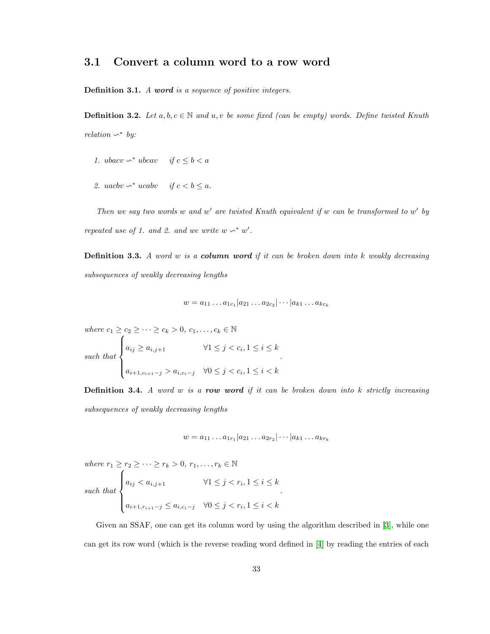## <span id="page-37-0"></span>3.1 Convert a column word to a row word

<span id="page-37-1"></span>Definition 3.1. A word is a sequence of positive integers.

**Definition 3.2.** Let a, b,  $c \in \mathbb{N}$  and u, v be some fixed (can be empty) words. Define twisted Knuth  $relation \sim^* by:$ 

- 1. ubacv  $\sim^*$  ubcav if  $c \leq b < a$
- 2. uacbo  $\sim^* u$ cabo if  $c < b \leq a$ .

Then we say two words  $w$  and  $w'$  are twisted Knuth equivalent if  $w$  can be transformed to  $w'$  by repeated use of 1. and 2. and we write  $w \nightharpoonup^* w'$ .

<span id="page-37-2"></span>**Definition 3.3.** A word w is a **column word** if it can be broken down into k weakly decreasing subsequences of weakly decreasing lengths

$$
w = a_{11} \dots a_{1c_1} | a_{21} \dots a_{2c_2} | \dots | a_{k1} \dots a_{kc_k}
$$

where  $c_1 \geq c_2 \geq \cdots \geq c_k > 0, c_1, \ldots, c_k \in \mathbb{N}$ such that  $\sqrt{ }$  $\int$  $\overline{\mathcal{L}}$  $a_{ij} \ge a_{i,j+1}$   $\forall 1 \le j < c_i, 1 \le i \le k$  $a_{i+1,c_{i+1}-j} > a_{i,c_i-j}$   $\forall 0 \leq j < c_i, 1 \leq i < k$ .

**Definition 3.4.** A word w is a row word if it can be broken down into  $k$  strictly increasing subsequences of weakly decreasing lengths

$$
w = a_{11} \dots a_{1r_1} | a_{21} \dots a_{2r_2} | \dots | a_{k1} \dots a_{kr_k}
$$

where  $r_1 \ge r_2 \ge \cdots \ge r_k > 0, r_1, \ldots, r_k \in \mathbb{N}$ such that  $\sqrt{ }$  $\int$  $\overline{\mathcal{L}}$  $a_{ij} < a_{i,j+1}$   $\forall 1 \leq j < r_i, 1 \leq i \leq k$  $a_{i+1,r_{i+1}-j} \le a_{i,c_i-j}$   $\forall 0 \le j < r_i, 1 \le i < k$ 

Given an SSAF, one can get its column word by using the algorithm described in [\[3\]](#page-123-0), while one can get its row word (which is the reverse reading word defined in [\[4\]](#page-123-2) by reading the entries of each

.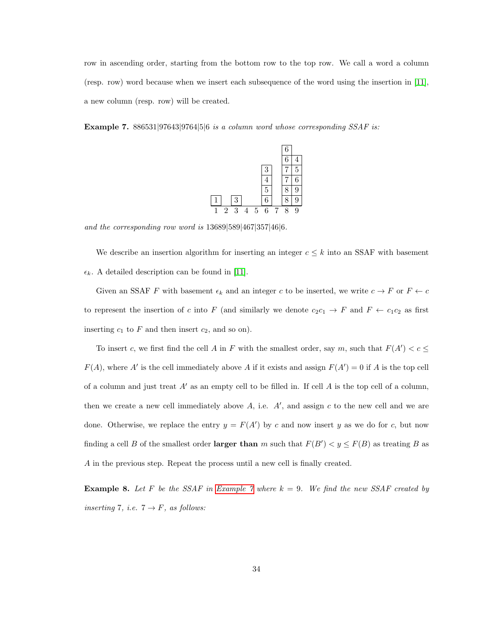row in ascending order, starting from the bottom row to the top row. We call a word a column (resp. row) word because when we insert each subsequence of the word using the insertion in [\[11\]](#page-124-1), a new column (resp. row) will be created.

<span id="page-38-0"></span>**Example 7.** 886531|97643|9764|5|6 is a column word whose corresponding SSAF is:



and the corresponding row word is 13689|589|467|357|46|6.

We describe an insertion algorithm for inserting an integer  $c \leq k$  into an SSAF with basement  $\epsilon_k$ . A detailed description can be found in [\[11\]](#page-124-1).

Given an SSAF F with basement  $\epsilon_k$  and an integer c to be inserted, we write  $c \to F$  or  $F \leftarrow c$ to represent the insertion of c into F (and similarly we denote  $c_2c_1 \rightarrow F$  and  $F \leftarrow c_1c_2$  as first inserting  $c_1$  to F and then insert  $c_2$ , and so on).

To insert c, we first find the cell A in F with the smallest order, say m, such that  $F(A') < c \leq$  $F(A)$ , where A' is the cell immediately above A if it exists and assign  $F(A') = 0$  if A is the top cell of a column and just treat  $A'$  as an empty cell to be filled in. If cell  $A$  is the top cell of a column, then we create a new cell immediately above  $A$ , i.e.  $A'$ , and assign  $c$  to the new cell and we are done. Otherwise, we replace the entry  $y = F(A')$  by c and now insert y as we do for c, but now finding a cell B of the smallest order larger than m such that  $F(B') < y \leq F(B)$  as treating B as A in the previous step. Repeat the process until a new cell is finally created.

**Example 8.** Let F be the SSAF in [Example 7](#page-38-0) where  $k = 9$ . We find the new SSAF created by inserting 7, i.e.  $7 \rightarrow F$ , as follows: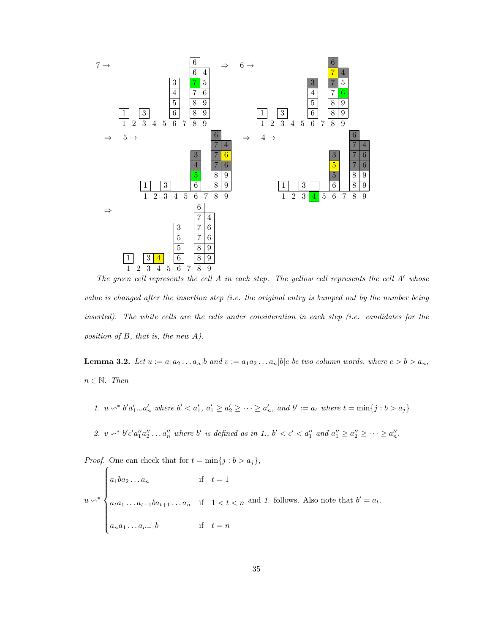

The green cell represents the cell  $A$  in each step. The yellow cell represents the cell  $A'$  whose value is changed after the insertion step (i.e. the original entry is bumped out by the number being inserted). The white cells are the cells under consideration in each step (i.e. candidates for the position of B, that is, the new A).

<span id="page-39-0"></span>**Lemma 3.2.** Let  $u := a_1 a_2 ... a_n | b$  and  $v := a_1 a_2 ... a_n | b | c$  be two column words, where  $c > b > a_n$ ,  $n \in \mathbb{N}$ . Then

1.  $u \setminus {b'a'_1...a'_n}$  where  $b' < a'_1, a'_1 \ge a'_2 \ge \cdots \ge a'_n$ , and  $b' := a_t$  where  $t = \min\{j : b > a_j\}$ 2.  $v \rightharpoonup^* b'c'a''_1a''_2 \ldots a''_n$  where b' is defined as in 1,  $b' < c' < a''_1$  and  $a''_1 \ge a''_2 \ge \cdots \ge a''_n$ .

*Proof.* One can check that for  $t = \min\{j : b > a_j\}$ ,  $\epsilon$ 

$$
u \leadsto^*
$$
\n
$$
\begin{cases}\na_1ba_2 \dots a_n & \text{if } t = 1 \\
a_t a_1 \dots a_{t-1} b a_{t+1} \dots a_n & \text{if } 1 < t < n \text{ and } 1 \text{ follows. Also note that } b' = a_t. \\
a_n a_1 \dots a_{n-1} b & \text{if } t = n\n\end{cases}
$$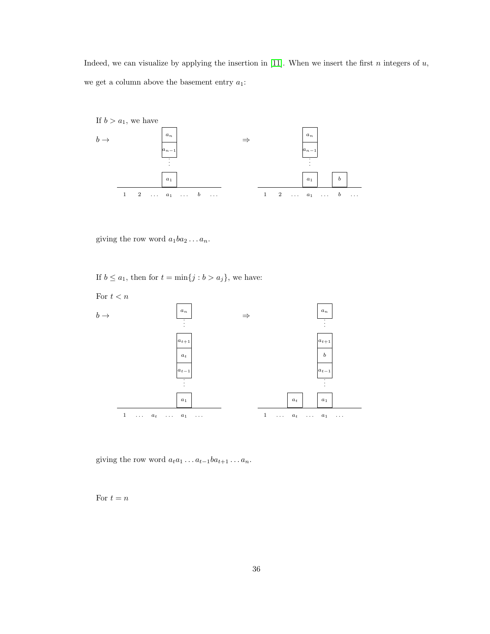Indeed, we can visualize by applying the insertion in [\[11\]](#page-124-1). When we insert the first  $n$  integers of  $u$ , we get a column above the basement entry  $a_1$ :



giving the row word  $a_1ba_2 \ldots a_n$ .

If  $b \le a_1$ , then for  $t = \min\{j : b > a_j\}$ , we have:



giving the row word  $a_t a_1 \dots a_{t-1} b a_{t+1} \dots a_n$ .

For  $t=n$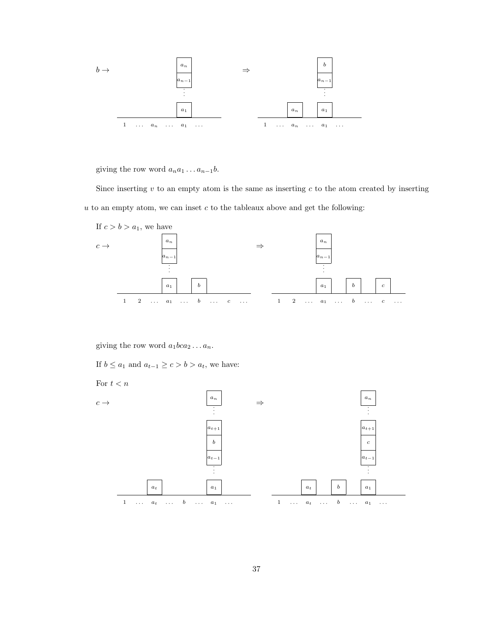

giving the row word  $a_n a_1 \dots a_{n-1} b$ .

Since inserting  $v$  to an empty atom is the same as inserting  $c$  to the atom created by inserting  $u$  to an empty atom, we can inset  $c$  to the tableaux above and get the following:



giving the row word  $a_1bca_2 \ldots a_n$ .

If  $b \le a_1$  and  $a_{t-1} \ge c > b > a_t$ , we have:

For  $t < n$ 

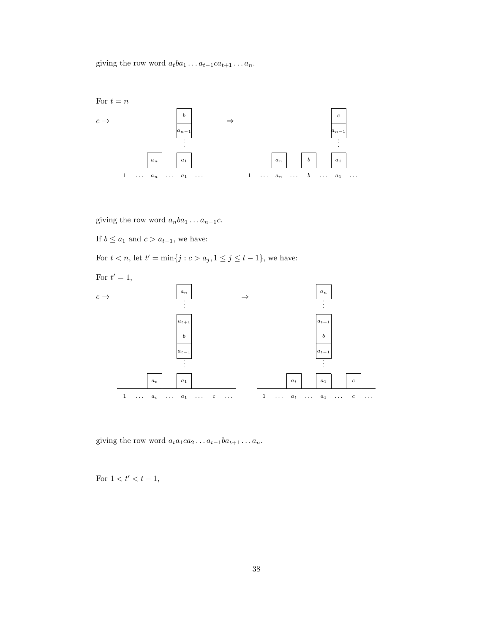giving the row word  $a_tba_1 \ldots a_{t-1}ca_{t+1} \ldots a_n$ .



giving the row word  $a_nba_1 \dots a_{n-1}c$ .

If  $b \leq a_1$  and  $c > a_{t-1}$ , we have:

For  $t < n,$  let  $t' = \min\{j : c > a_j, 1 \leq j \leq t-1\},$  we have:

For  $t'=1$ ,



giving the row word  $a_t a_1 ca_2 \ldots a_{t-1} ba_{t+1} \ldots a_n$ .

For  $1 < t' < t - 1$ ,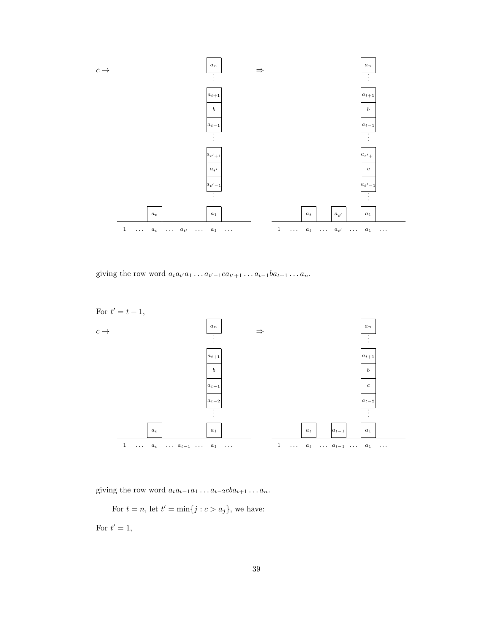

giving the row word  $a_t a_{t'} a_1 \ldots a_{t'-1} c a_{t'+1} \ldots a_{t-1} b a_{t+1} \ldots a_n$ .



giving the row word  $a_t a_{t-1} a_1 \dots a_{t-2} c b a_{t+1} \dots a_n$ .

For  $t = n$ , let  $t' = \min\{j : c > a_j\}$ , we have:

For  $t'=1$ ,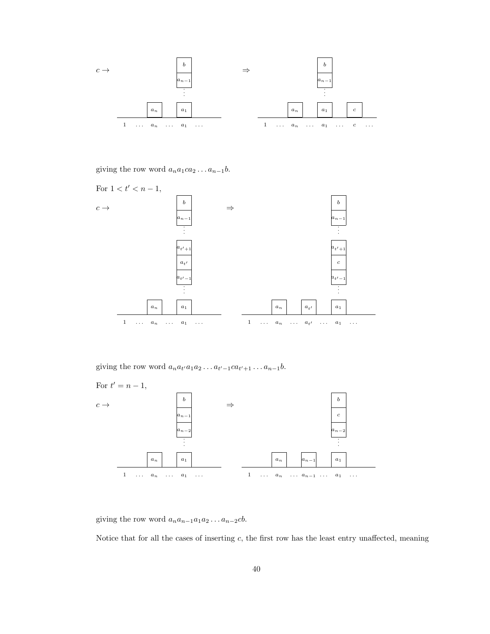

giving the row word  $a_na_1ca_2 \ldots a_{n-1}b$ .



giving the row word  $a_n a_{t'} a_1 a_2 \dots a_{t'-1} c a_{t'+1} \dots a_{n-1} b$ .



giving the row word  $a_na_{n-1}a_1a_2...a_{n-2}cb$ .

Notice that for all the cases of inserting  $c$ , the first row has the least entry unaffected, meaning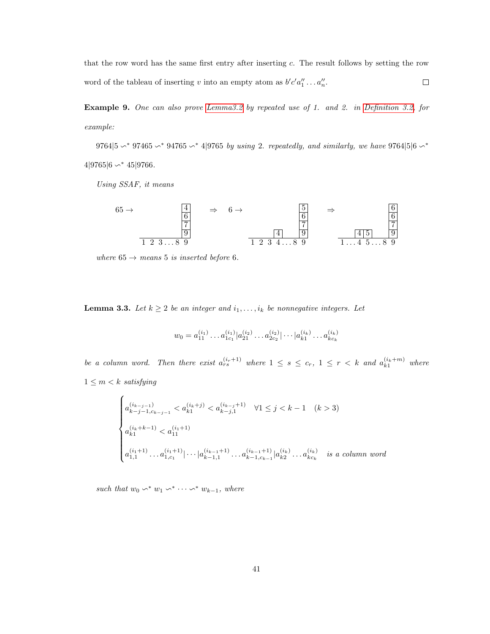that the row word has the same first entry after inserting c. The result follows by setting the row word of the tableau of inserting v into an empty atom as  $b'c'a''_1 \ldots a''_n$ .  $\Box$ 

Example 9. One can also prove [Lemma3.2](#page-39-0) by repeated use of 1. and 2. in [Definition 3.2,](#page-37-1) for example:

9764|5  $\sim$ \* 97465  $\sim$ \* 94765  $\sim$ \* 4|9765 by using 2. repeatedly, and similarly, we have 9764|5|6  $\sim$ \*  $4|9765|6 \sim^* 45|9766.$ 

Using SSAF, it means

$$
65 \rightarrow \frac{\frac{4}{6}}{\frac{7}{123...89}}
$$
  $\Rightarrow$   $6 \rightarrow \frac{\frac{5}{6}}{\frac{7}{1234...89}}$   $\Rightarrow \frac{\frac{6}{6}}{\frac{7}{1234...89}}$   $\Rightarrow \frac{\frac{4}{5}}{\frac{7}{1234...89}}$ 

where  $65 \rightarrow$  means 5 is inserted before 6.

<span id="page-45-0"></span>**Lemma 3.3.** Let  $k \geq 2$  be an integer and  $i_1, \ldots, i_k$  be nonnegative integers. Let

$$
w_0 = a_{11}^{(i_1)} \dots a_{1c_1}^{(i_1)} | a_{21}^{(i_2)} \dots a_{2c_2}^{(i_2)} | \dots | a_{k1}^{(i_k)} \dots a_{kc_k}^{(i_k)}
$$

be a column word. Then there exist  $a_{rs}^{(i_r+1)}$  where  $1 \leq s \leq c_r$ ,  $1 \leq r \leq k$  and  $a_{k1}^{(i_k+m)}$  where  $1 \leq m < k$  satisfying

$$
\begin{cases} a_{k-j-1, (k-j-1)}^{(i_{k-j-1, 1})} < a_{k1}^{(i_{k}+j)} < a_{k-j, 1}^{(i_{k-j}+1)} \quad \forall 1 \le j < k-1 \quad (k > 3) \\ a_{k1}^{(i_{k}+k-1)} < a_{11}^{(i_{1}+1)} \\ a_{1,1}^{(i_{1}+1)} \ldots a_{1,c_{1}}^{(i_{1}+1)} | \cdots | a_{k-1, 1}^{(i_{k-1}+1)} \ldots a_{k-1, c_{k-1}}^{(i_{k-1}+1)} | a_{k2}^{(i_{k})} \ldots a_{kc_{k}}^{(i_{k})} \quad \text{is a column word} \end{cases}
$$

such that  $w_0 \backsim^* w_1 \backsim^* \cdots \backsim^* w_{k-1}$ , where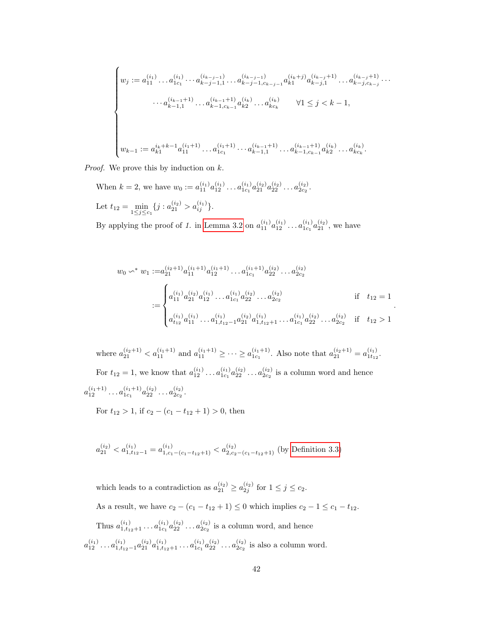$$
\begin{cases}\nw_j := a_{11}^{(i_1)} \dots a_{1c_1}^{(i_1)} \dots a_{k-j-1,1}^{(i_{k-j-1})} \dots a_{k-j-1,c_{k-j-1}}^{(i_{k-j-1})} a_{k1}^{(i_k+j)} a_{k-j,1}^{(i_{k-j}+1)} \dots a_{k-j,c_{k-j}}^{(i_{k-j}+1)} \dots \\
& \dots a_{k-1,1}^{(i_{k-1}+1)} \dots a_{k-1,c_{k-1}}^{(i_{k-1}+1)} a_{k2}^{(i_k)} \dots a_{kc_k}^{(i_k)} \quad \forall 1 \le j < k-1,\n\end{cases}
$$
\n
$$
w_{k-1} := a_{k1}^{i_k + k - 1} a_{11}^{(i_1 + 1)} \dots a_{1c_1}^{(i_1 + 1)} \dots a_{k-1,1}^{(i_{k-1} + 1)} \dots a_{k-1,c_{k-1}}^{(i_{k-1} + 1)} a_{k2}^{(i_k)} \dots a_{kc_k}^{(i_k)}.
$$

*Proof.* We prove this by induction on  $k$ .

When  $k = 2$ , we have  $w_0 := a_{11}^{(i_1)} a_{12}^{(i_1)} \dots a_{1c_1}^{(i_1)} a_{21}^{(i_2)} a_{22}^{(i_2)} \dots a_{2c_2}^{(i_2)}$ . Let  $t_{12} = \min_{1 \leq j \leq c_1} \{j : a_{21}^{(i_2)} > a_{ij}^{(i_1)}\}.$ 

By applying the proof of 1. in [Lemma 3.2](#page-39-0) on  $a_{11}^{(i_1)} a_{12}^{(i_1)} \dots a_{1c_1}^{(i_1)} a_{21}^{(i_2)}$ , we have

$$
w_0 \sim^* w_1 := a_{21}^{(i_2+1)} a_{11}^{(i_1+1)} a_{12}^{(i_1+1)} \dots a_{1c_1}^{(i_1+1)} a_{22}^{(i_2)} \dots a_{2c_2}^{(i_2)}
$$
  

$$
:= \begin{cases} a_{11}^{(i_1)} a_{21}^{(i_2)} a_{12}^{(i_1)} \dots a_{1c_1}^{(i_1)} a_{22}^{(i_2)} \dots a_{2c_2}^{(i_2)} & \text{if } t_{12} = 1 \\ a_{t_{12}}^{(i_1)} a_{11}^{(i_1)} \dots a_{1,t_{12}-1}^{(i_1)} a_{21}^{(i_2)} a_{1,t_{12}+1}^{(i_1)} \dots a_{1c_1}^{(i_1)} a_{22}^{(i_2)} \dots a_{2c_2}^{(i_2)} & \text{if } t_{12} > 1 \end{cases}
$$

.

where  $a_{21}^{(i_2+1)} < a_{11}^{(i_1+1)}$  and  $a_{11}^{(i_1+1)} \geq \cdots \geq a_{1c_1}^{(i_1+1)}$ . Also note that  $a_{21}^{(i_2+1)} = a_{1t_1}^{(i_1)}$ . For  $t_{12} = 1$ , we know that  $a_{12}^{(i_1)} \dots a_{1c_1}^{(i_1)} a_{22}^{(i_2)} \dots a_{2c_2}^{(i_2)}$  is a column word and hence  $a_{12}^{(i_1+1)} \dots a_{1c_1}^{(i_1+1)} a_{22}^{(i_2)} \dots a_{2c_2}^{(i_2)}.$ 

For  $t_{12} > 1$ , if  $c_2 - (c_1 - t_{12} + 1) > 0$ , then

$$
a_{21}^{(i_2)} < a_{1,t_{12}-1}^{(i_1)} = a_{1,c_1-(c_1-t_{12}+1)}^{(i_1)} < a_{2,c_2-(c_1-t_{12}+1)}^{(i_2)} \text{ (by Definition 3.3)}
$$

which leads to a contradiction as  $a_{21}^{(i_2)} \ge a_{2j}^{(i_2)}$  for  $1 \le j \le c_2$ . As a result, we have  $c_2 - (c_1 - t_{12} + 1) \le 0$  which implies  $c_2 - 1 \le c_1 - t_{12}$ .

Thus  $a_{1,t_{12}+1}^{(i_1)} \dots a_{1c_1}^{(i_1)} a_{22}^{(i_2)} \dots a_{2c_2}^{(i_2)}$  is a column word, and hence  $a_{12}^{(i_1)} \dots a_{1,t_{12}-1}^{(i_1)} a_{21}^{(i_2)} a_{1,t_{12}+1}^{(i_1)} \dots a_{1c_1}^{(i_1)} a_{22}^{(i_2)} \dots a_{2c_2}^{(i_2)}$  is also a column word.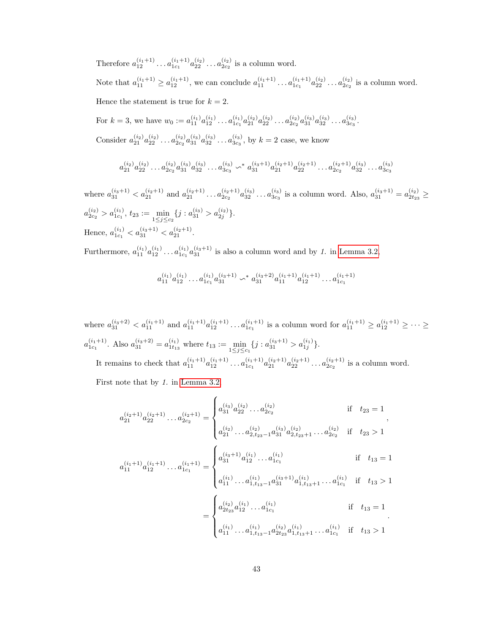Therefore  $a_{12}^{(i_1+1)} \dots a_{1c_1}^{(i_1+1)} a_{22}^{(i_2)} \dots a_{2c_2}^{(i_2)}$  is a column word. Note that  $a_{11}^{(i_1+1)} \ge a_{12}^{(i_1+1)}$ , we can conclude  $a_{11}^{(i_1+1)} \dots a_{1c_1}^{(i_1+1)} a_{22}^{(i_2)} \dots a_{2c_2}^{(i_2)}$  is a column word. Hence the statement is true for  $k = 2$ .

For  $k = 3$ , we have  $w_0 := a_{11}^{(i_1)} a_{12}^{(i_1)} \dots a_{1c_1}^{(i_1)} a_{21}^{(i_2)} a_{22}^{(i_2)} \dots a_{2c_2}^{(i_2)} a_{31}^{(i_3)} a_{32}^{(i_3)} \dots a_{3c_3}^{(i_3)}$ . Consider  $a_{21}^{(i_2)} a_{22}^{(i_2)} \dots a_{2c_2}^{(i_2)} a_{31}^{(i_3)} a_{32}^{(i_3)} \dots a_{3c_3}^{(i_3)}$ , by  $k = 2$  case, we know

$$
a_{21}^{(i_2)}a_{22}^{(i_2)}\dots a_{2c_2}^{(i_2)}a_{31}^{(i_3)}a_{32}^{(i_3)}\dots a_{3c_3}^{(i_3)} \sim^* a_{31}^{(i_3+1)}a_{21}^{(i_2+1)}a_{22}^{(i_2+1)}\dots a_{2c_2}^{(i_2+1)}a_{32}^{(i_3)}\dots a_{3c_3}^{(i_3)}
$$

where  $a_{31}^{(i_3+1)} < a_{21}^{(i_2+1)}$  and  $a_{21}^{(i_2+1)} \dots a_{2c_2}^{(i_2+1)} a_{32}^{(i_3)} \dots a_{3c_3}^{(i_3)}$  is a column word. Also,  $a_{31}^{(i_3+1)} = a_{2t_{23}}^{(i_2)} \ge$  $a_{2c_2}^{(i_2)} > a_{1c_1}^{(i_1)}, t_{23} := \min_{1 \leq j \leq c_2} \{j : a_{31}^{(i_3)} > a_{2j}^{(i_2)}\}.$ Hence,  $a_{1c_1}^{(i_1)} < a_{31}^{(i_3+1)} < a_{21}^{(i_2+1)}$ .

Furthermore,  $a_{11}^{(i_1)} a_{12}^{(i_1)} \dots a_{1c_1}^{(i_1)} a_{31}^{(i_3+1)}$  is also a column word and by 1. in [Lemma 3.2,](#page-39-0)

$$
a_{11}^{(i_1)} a_{12}^{(i_1)} \dots a_{1c_1}^{(i_1)} a_{31}^{(i_3+1)} \rightsquigarrow a_{31}^{(i_3+2)} a_{11}^{(i_1+1)} a_{12}^{(i_1+1)} \dots a_{1c_1}^{(i_1+1)}
$$

where  $a_{31}^{(i_3+2)} < a_{11}^{(i_1+1)}$  and  $a_{11}^{(i_1+1)}a_{12}^{(i_1+1)}\ldots a_{1c_1}^{(i_1+1)}$  is a column word for  $a_{11}^{(i_1+1)} \ge a_{12}^{(i_1+1)} \ge \cdots \ge$  $a_{1c_1}^{(i_1+1)}$ . Also  $a_{31}^{(i_3+2)} = a_{1t_{13}}^{(i_1)}$  where  $t_{13} := \min_{1 \leq j \leq c_1} \{j : a_{31}^{(i_3+1)} > a_{1j}^{(i_1)}\}$ .

It remains to check that  $a_{11}^{(i_1+1)}a_{12}^{(i_1+1)}\ldots a_{1c_1}^{(i_1+1)}a_{21}^{(i_2+1)}a_{22}^{(i_2+1)}\ldots a_{2c_2}^{(i_2+1)}$  is a column word.

First note that by 1. in [Lemma 3.2,](#page-39-0)

$$
a_{21}^{(i_2+1)}a_{22}^{(i_2+1)}\dots a_{2c_2}^{(i_2+1)} = \begin{cases} a_{31}^{(i_3)}a_{22}^{(i_2)}\dots a_{2c_2}^{(i_2)} & \text{if } t_{23} = 1 \\ a_{21}^{(i_2)}\dots a_{2,t_{23}-1}^{(i_2)}a_{31}^{(i_3)}a_{2,t_{23}+1}^{(i_2)}\dots a_{2c_2}^{(i_2)} & \text{if } t_{23} > 1 \end{cases},
$$
  
\n
$$
a_{11}^{(i_1+1)}a_{12}^{(i_1+1)}\dots a_{1c_1}^{(i_1+1)} = \begin{cases} a_{31}^{(i_3+1)}a_{12}^{(i_1)}\dots a_{1c_1}^{(i_1)} & \text{if } t_{13} = 1 \\ a_{11}^{(i_1)}\dots a_{1,t_{13}-1}^{(i_1)}a_{31}^{(i_3+1)}a_{1,t_{13}+1}^{(i_1)}\dots a_{1c_1}^{(i_1)} & \text{if } t_{13} > 1 \end{cases}
$$
  
\n
$$
= \begin{cases} a_{2t_{23}}^{(i_2)}a_{12}^{(i_1)}\dots a_{1c_1}^{(i_1)} & \text{if } t_{13} = 1 \\ a_{11}^{(i_1)}\dots a_{1,t_{13}-1}^{(i_1)}a_{2t_{23}}^{(i_2)}a_{1,t_{13}+1}^{(i_1)}\dots a_{1c_1}^{(i_1)} & \text{if } t_{13} > 1 \end{cases}
$$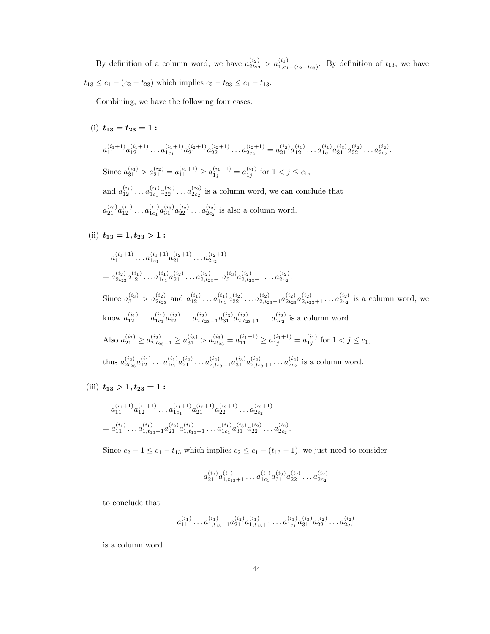By definition of a column word, we have  $a_{2t_{23}}^{(i_2)} > a_{1,c_1-(c_2-t_{23})}^{(i_1)}$ . By definition of  $t_{13}$ , we have  $t_{13} \le c_1 - (c_2 - t_{23})$  which implies  $c_2 - t_{23} \le c_1 - t_{13}$ .

Combining, we have the following four cases:

(i)  $t_{13} = t_{23} = 1$ :

$$
a_{11}^{(i_1+1)}a_{12}^{(i_1+1)}\dots a_{1c_1}^{(i_1+1)}a_{21}^{(i_2+1)}a_{22}^{(i_2+1)}\dots a_{2c_2}^{(i_2+1)} = a_{21}^{(i_2)}a_{12}^{(i_1)}\dots a_{1c_1}^{(i_1)}a_{31}^{(i_3)}a_{22}^{(i_2)}\dots a_{2c_2}^{(i_2)}.
$$
  
Since  $a_{31}^{(i_3)} > a_{21}^{(i_2)} = a_{11}^{(i_1+1)} \ge a_{1j}^{(i_1+1)} = a_{1j}^{(i_1)}$  for  $1 < j \le c_1$ ,  
and  $a_{12}^{(i_1)} \dots a_{1c_1}^{(i_1)}a_{22}^{(i_2)}\dots a_{2c_2}^{(i_2)}$  is a column word, we can conclude that  

$$
a_{21}^{(i_2)}a_{12}^{(i_1)}\dots a_{1c_1}^{(i_1)}a_{31}^{(i_3)}a_{22}^{(i_2)}\dots a_{2c_2}^{(i_2)}
$$
 is also a column word.

(ii)  $t_{13} = 1, t_{23} > 1$ :

$$
a_{11}^{(i_1+1)} \dots a_{1c_1}^{(i_1+1)} a_{21}^{(i_2+1)} \dots a_{2c_2}^{(i_2+1)}
$$
\n
$$
= a_{2t_{23}}^{(i_2)} a_{12}^{(i_1)} \dots a_{1c_1}^{(i_1)} a_{21}^{(i_2)} \dots a_{2,t_{23}-1}^{(i_2)} a_{31}^{(i_3)} a_{2,t_{23}+1}^{(i_2)} \dots a_{2c_2}^{(i_2)}.
$$
\nSince  $a_{31}^{(i_3)} > a_{2t_{23}}^{(i_2)}$  and  $a_{12}^{(i_1)} \dots a_{1c_1}^{(i_1)} a_{22}^{(i_2)} \dots a_{2,t_{23}-1}^{(i_2)} a_{2t_{23}}^{(i_2)} a_{2,t_{23}+1}^{(i_2)} \dots a_{2c_2}^{(i_2)}$  is a column word, we know  $a_{12}^{(i_1)} \dots a_{1c_1}^{(i_1)} a_{22}^{(i_2)} \dots a_{2,t_{23}-1}^{(i_3)} a_{31}^{(i_3)} a_{2,t_{23}+1}^{(i_2)} \dots a_{2c_2}^{(i_2)}$  is a column word.  
\nAlso  $a_{21}^{(i_2)} \ge a_{2,t_{23}-1}^{(i_2)} \ge a_{31}^{(i_3)} > a_{2t_{23}}^{(i_3)} = a_{11}^{(i_1+1)} \ge a_{1j}^{(i_1+1)} = a_{1j}^{(i_1)}$  for  $1 < j \le c_1$ , thus  $a_{2t_{23}}^{(i_2)} a_{12}^{(i_1)} \dots a_{1c_1}^{(i_1)} a_{21}^{(i_2)} \dots a_{2,t_{23}-1}^{(i_2)} a_{31}^{(i_3)} a_{2,t_{23}+1}^{(i_2)} \dots a_{2c_2}^{(i_2)}$  is a column word.  
\nthus  $a_{2t_{23}}^{(i_2)} a_{12}^{(i_1)} \dots a_{1c_1}^{(i_1)} a_{21}^{(i_2)} \dots a_{2,t_{23}-1}^{(i_3)} a_{31$ 

(iii)  $t_{13} > 1, t_{23} = 1$ :

$$
a_{11}^{(i_1+1)}a_{12}^{(i_1+1)}\dots a_{1c_1}^{(i_1+1)}a_{21}^{(i_2+1)}a_{22}^{(i_2+1)}\dots a_{2c_2}^{(i_2+1)}
$$
  
=  $a_{11}^{(i_1)}\dots a_{1,t_{13}-1}^{(i_1)}a_{21}^{(i_2)}a_{1,t_{13}+1}^{(i_1)}\dots a_{1c_1}^{(i_1)}a_{31}^{(i_3)}a_{22}^{(i_2)}\dots a_{2c_2}^{(i_2)}.$ 

Since  $c_2 - 1 \le c_1 - t_{13}$  which implies  $c_2 \le c_1 - (t_{13} - 1)$ , we just need to consider

$$
a_{21}^{(i_2)}a_{1,t_{13}+1}^{(i_1)}\ldots a_{1c_1}^{(i_1)}a_{31}^{(i_3)}a_{22}^{(i_2)}\ldots a_{2c_2}^{(i_2)}
$$

to conclude that

$$
a_{11}^{(i_1)}\ldots a_{1,t_{13}-1}^{(i_1)}a_{21}^{(i_2)}a_{1,t_{13}+1}^{(i_1)}\ldots a_{1c_1}^{(i_1)}a_{31}^{(i_3)}a_{22}^{(i_2)}\ldots a_{2c_2}^{(i_2)}
$$

is a column word.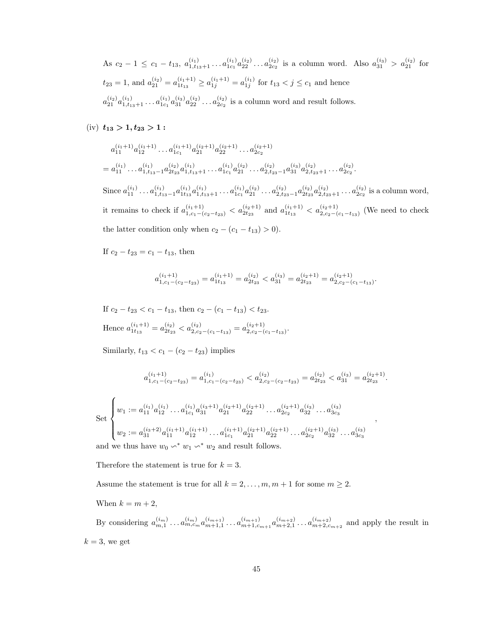As  $c_2-1 \leq c_1-t_{13}$ ,  $a_{1,t_{13}+1}^{(i_1)} \dots a_{1c_1}^{(i_1)} a_{22}^{(i_2)} \dots a_{2c_2}^{(i_2)}$  is a column word. Also  $a_{31}^{(i_3)} > a_{21}^{(i_2)}$  for  $t_{23} = 1$ , and  $a_{21}^{(i_2)} = a_{1t_{13}}^{(i_1+1)} \ge a_{1j}^{(i_1+1)} = a_{1j}^{(i_1)}$  for  $t_{13} < j \le c_1$  and hence  $a_{21}^{(i_2)}a_{1,t_{13}+1}^{(i_1)}\ldots a_{1c_1}^{(i_1)}a_{31}^{(i_3)}a_{22}^{(i_2)}\ldots a_{2c_2}^{(i_2)}$  is a column word and result follows.

(iv)  $t_{13} > 1, t_{23} > 1$ :

$$
a_{11}^{(i_1+1)}a_{12}^{(i_1+1)}\dots a_{1c_1}^{(i_1+1)}a_{21}^{(i_2+1)}a_{22}^{(i_2+1)}\dots a_{2c_2}^{(i_2+1)}
$$
\n
$$
= a_{11}^{(i_1)}\dots a_{1,t_{13}-1}^{(i_1)}a_{2t_{23}}^{(i_1)}a_{1,t_{13}+1}^{(i_1)}\dots a_{1c_1}^{(i_1)}a_{21}^{(i_2)}\dots a_{2,t_{23}-1}^{(i_2)}a_{31}^{(i_3)}a_{2,t_{23}+1}^{(i_2)}\dots a_{2c_2}^{(i_2)}.
$$
\nSince  $a_{11}^{(i_1)}\dots a_{1,t_{13}-1}^{(i_1)}a_{1t_{13}}^{(i_1)}a_{1,t_{13}+1}^{(i_1)}\dots a_{1c_1}^{(i_1)}a_{21}^{(i_2)}\dots a_{2,t_{23}-1}^{(i_2)}a_{2t_{23}}^{(i_2)}a_{2,t_{23}+1}^{(i_2)}\dots a_{2c_2}^{(i_2)}$  is a column word, it remains to check if  $a_{1,c_1-(c_2-t_{23})}^{(i_1+1)} < a_{2t_{23}}^{(i_2+1)}$  and  $a_{1t_{13}}^{(i_1+1)} < a_{2,c_2-(c_1-t_{13})}^{(i_2+1)}$  (We need to check the latter condition only when  $c_2 - (c_1 - t_{13}) > 0$ ).

If  $c_2 - t_{23} = c_1 - t_{13}$ , then

$$
a_{1,c_1-(c_2-t_{23})}^{(i_1+1)} = a_{1t_{13}}^{(i_1+1)} = a_{2t_{23}}^{(i_2)} < a_{31}^{(i_3)} = a_{2t_{23}}^{(i_2+1)} = a_{2,c_2-(c_1-t_{13})}^{(i_2+1)}
$$

If  $c_2 - t_{23} < c_1 - t_{13}$ , then  $c_2 - (c_1 - t_{13}) < t_{23}$ . Hence  $a_{1t_{13}}^{(i_1+1)} = a_{2t_{23}}^{(i_2)} < a_{2,c_2-(c_1-t_{13})}^{(i_2)} = a_{2,c_2-(c_1-t_{13})}^{(i_2+1)}$ .

Similarly,  $t_{13} < c_1 - (c_2 - t_{23})$  implies

$$
\begin{aligned} a_{1,c_1-(c_2-t_{23})}^{(i_1+1)} & = a_{1,c_1-(c_2-t_{23})}^{(i_1)} < a_{2,c_2-(c_2-t_{23})}^{(i_2)} = a_{2t_{23}}^{(i_2)} < a_{31}^{(i_3)} = a_{2t_{23}}^{(i_2+1)} \\ \begin{cases} w_1 := a_{11}^{(i_1)}a_{12}^{(i_1)}\ldots a_{1c_1}^{(i_1)}a_{31}^{(i_3+1)}a_{21}^{(i_2+1)}a_{22}^{(i_2+1)}\ldots a_{2c_2}^{(i_2+1)}a_{32}^{(i_3)}\ldots a_{3c_3}^{(i_3)} \\ w_2 := a_{31}^{(i_3+2)}a_{11}^{(i_1+1)}a_{12}^{(i_1+1)}\ldots a_{1c_1}^{(i_1+1)}a_{21}^{(i_2+1)}a_{22}^{(i_2+1)}\ldots a_{2c_2}^{(i_2+1)}a_{32}^{(i_3)}\ldots a_{3c_3}^{(i_3)} \end{cases}, \end{aligned}
$$

 $\operatorname{Set}$ 

and we thus have  $w_0 \backsim^* w_1 \backsim^* w_2$  and result follows.

Therefore the statement is true for  $k = 3$ .

Assume the statement is true for all  $k = 2, ..., m, m + 1$  for some  $m \ge 2$ .

When  $k = m + 2$ ,

By considering  $a_{m,1}^{(i_m)} \dots a_{m,c_m}^{(i_m)} a_{m+1,1}^{(i_{m+1})} \dots a_{m+1,c_{m+1}}^{(i_{m+1})} a_{m+2,1}^{(i_{m+2})} \dots a_{m+2,c_{m+2}}^{(i_{m+2})}$  and apply the result in  $k=3$ , we get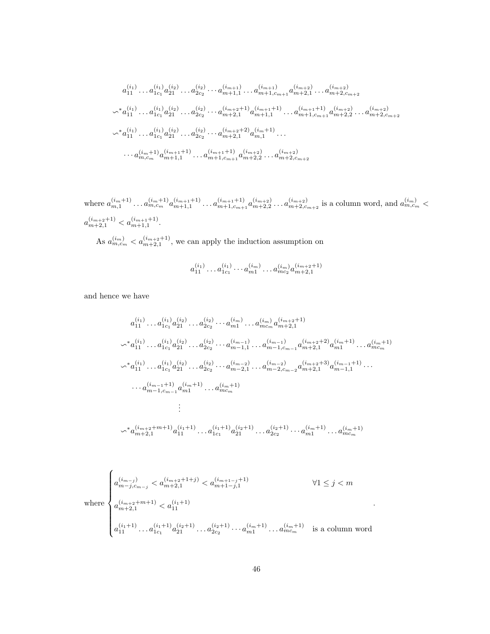$$
a_{11}^{(i_1)} \dots a_{1c_1}^{(i_1)} a_{21}^{(i_2)} \dots a_{2c_2}^{(i_{2c_2}} \dots a_{m+1,1}^{(i_{m+1})} \dots a_{m+1,c_{m+1}}^{(i_{m+2})} a_{m+2,1}^{(i_{m+2})} \dots a_{m+2,c_{m+2}}^{(i_{m+2})}
$$
  
\n
$$
\sim^* a_{11}^{(i_1)} \dots a_{1c_1}^{(i_1)} a_{21}^{(i_2)} \dots a_{2c_2}^{(i_2)} \dots a_{m+2,1}^{(i_{m+2}+1)} a_{m+1,1}^{(i_{m+1}+1)} \dots a_{m+1,c_{m+1}}^{(i_{m+1}+1)} a_{m+2,2}^{(i_{m+2})} \dots a_{m+2,c_{m+2}}^{(i_{m+2})}
$$
  
\n
$$
\sim^* a_{11}^{(i_1)} \dots a_{1c_1}^{(i_1)} a_{21}^{(i_2)} \dots a_{2c_2}^{(i_2)} \dots a_{m+2,1}^{(i_{m+2}+2)} a_{m,1}^{(i_{m+1})} \dots
$$
  
\n
$$
\dots a_{m,c_m}^{(i_m+1)} a_{m+1,1}^{(i_{m+1}+1)} \dots a_{m+1,c_{m+1}}^{(i_{m+1}+1)} a_{m+2,2}^{(i_{m+2})} \dots a_{m+2,c_{m+2}}^{(i_{m+2})}
$$

where 
$$
a_{m,1}^{(i_m+1)}\ldots a_{m,c_m}^{(i_m+1)}a_{m+1,1}^{(i_{m+1}+1)}\ldots a_{m+1,c_{m+1}}^{(i_{m+1}+1)}a_{m+2,2}^{(i_{m+2})}\ldots a_{m+2,c_{m+2}}^{(i_{m+2})}
$$
 is a column word, and  $a_{m,c_m}^{(i_m)} < a_{m+2,1}^{(i_{m+2}+1)} < a_{m+1,1}^{(i_{m+1}+1)}$ .

As  $a_{m,c_m}^{(i_m)} < a_{m+2,1}^{(i_{m+2}+1)},$  we can apply the induction assumption on

$$
a_{11}^{(i_1)} \dots a_{1c_1}^{(i_1)} \cdots a_{m1}^{(i_m)} \dots a_{mc_2}^{(i_m)} a_{m+2,1}^{(i_{m+2}+1)}
$$

and hence we have  $% \left\vert \psi _{n}\right\rangle$ 

$$
a_{11}^{(i_1)} \dots a_{1c_1}^{(i_1)} a_{21}^{(i_2)} \dots a_{2c_2}^{(i_m)} \dots a_{m c_m}^{(i_m)} a_{m+2,1}^{(i_{m+2}+1)}
$$
\n
$$
\sim^* a_{11}^{(i_1)} \dots a_{1c_1}^{(i_1)} a_{21}^{(i_2)} \dots a_{2c_2}^{(i_2)} \dots a_{m-1,1}^{(i_{m-1})} \dots a_{m-1,c_{m-1}}^{(i_{m-1})} a_{m+2,1}^{(i_{m+2}+2)} a_{m1}^{(i_{m+1})} \dots a_{m c_m}^{(i_{m+1})}
$$
\n
$$
\sim^* a_{11}^{(i_1)} \dots a_{1c_1}^{(i_1)} a_{21}^{(i_2)} \dots a_{2c_2}^{(i_2)} \dots a_{m-2,1}^{(i_{m-2})} \dots a_{m-2,c_{m-2}}^{(i_{m-2})} a_{m+2,1}^{(i_{m+2}+3)} a_{m-1,1}^{(i_{m-1}+1)} \dots
$$
\n
$$
\dots a_{m-1,c_{m-1}}^{(i_{m-1}+1)} a_{m1}^{(i_{m}+1)} \dots a_{m c_m}^{(i_{m+1})}
$$
\n
$$
\vdots
$$
\n
$$
\sim^* a_{m+2,1}^{(i_{m+2}+m+1)} a_{11}^{(i_1+1)} \dots a_{1c_1}^{(i_1+1)} a_{21}^{(i_2+1)} \dots a_{2c_2}^{(i_2+1)} \dots a_{m1}^{(i_{m}+1)} \dots a_{m c_m}^{(i_{m}+1)}
$$

$$
\text{where } \begin{cases} a_{m-j,c_{m-j}}^{(i_{m-j})} < a_{m+2,1}^{(i_{m+2}+1+j)} < a_{m+1-j,1}^{(i_{m+1-j}+1)} & \forall 1 \leq j < m \\ \\ a_{m+2,1}^{(i_{m+2}+m+1)} < a_{11}^{(i_{1}+1)} & \\ a_{11}^{(i_{1}+1)} \ldots a_{1c_{1}}^{(i_{1}+1)} a_{21}^{(i_{2}+1)} \ldots a_{2c_{2}}^{(i_{2}+1)} \ldots a_{m1}^{(i_{m}+1)} \ldots a_{mc_{m}}^{(i_{m}+1)} & \text{is a column word} \end{cases}.
$$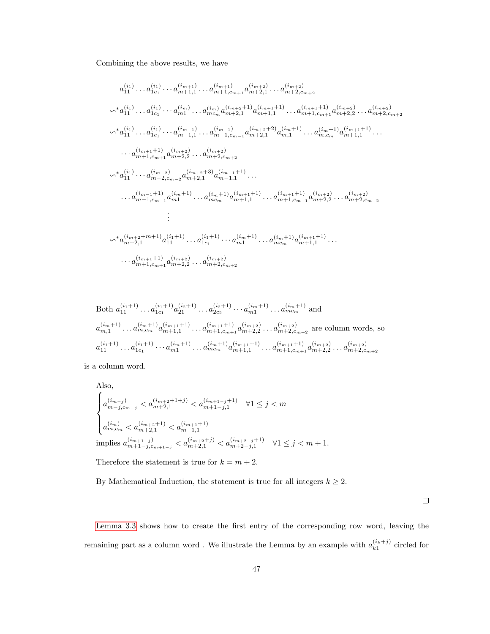Combining the above results, we have

$$
a_{11}^{(i_1)} \dots a_{1c_1}^{(i_1)} \dots a_{m+1,1}^{(i_{m+1})} \dots a_{m+1,c_{m+1}}^{(i_{m+1})} a_{m+2,1}^{(i_{m+2})} \dots a_{m+2,c_{m+2}}^{(i_{m+2})}
$$
\n
$$
\sim^* a_{11}^{(i_1)} \dots a_{1c_1}^{(i_1)} \dots a_{m1}^{(i_m)} \dots a_{mca_m}^{(i_m)} a_{m+2,1}^{(i_{m+2}+1)} a_{m+1,1}^{(i_{m+1}+1)} \dots a_{m+1,c_{m+1}}^{(i_{m+1}+1)} a_{m+2,2}^{(i_{m+2})} \dots a_{m+2,c_{m+2}}^{(i_{m+2})}
$$
\n
$$
\sim^* a_{11}^{(i_1)} \dots a_{1c_1}^{(i_1)} \dots a_{m-1,1}^{(i_{m-1})} \dots a_{m-1,c_{m-1}}^{(i_{m-1})} a_{m+2,1}^{(i_{m+2}+2)} a_{m,1}^{(i_{m}+1)} \dots a_{m,c_m}^{(i_{m}+1)} a_{m+1,1}^{(i_{m+1}+1)} \dots
$$
\n
$$
\dots a_{m+1,c_{m+1}}^{(i_{m+1}+1)} a_{m+2,2}^{(i_{m+2})} \dots a_{m+2,c_{m+2}}^{(i_{m+2})}
$$
\n
$$
\sim^* a_{11}^{(i_1)} \dots a_{m-2,c_{m-2}}^{(i_{m-2})} a_{m+2,1}^{(i_{m+2}+3)} a_{m-1,1}^{(i_{m-1}+1)} \dots
$$
\n
$$
\dots a_{m-1,c_{m-1}}^{(i_{m-1}+1)} a_{m1}^{(i_{m+1})} \dots a_{mcn}^{(i_{m+1}+1)} a_{m+1,c_{m+1}}^{(i_{m+1}+1)} a_{m+2,2}^{(i_{m+2})} \dots a_{m+2,c_{m+2}}^{(i_{m+2}+m+1)} a_{11}^{(i_{1}+1)} \dots a_{1c_{1}}^{(i_{1}+1)} \dots a_{mcn}^{(i_{m}+1)} a_{m
$$

Both 
$$
a_{11}^{(i_1+1)} \dots a_{1c_1}^{(i_1+1)} a_{21}^{(i_2+1)} \dots a_{2c_2}^{(i_2+1)} \dots a_{m1}^{(i_m+1)} \dots a_{mc_m}^{(i_m+1)}
$$
 and  
\n $a_{m,1}^{(i_m+1)} \dots a_{m,c_m}^{(i_m+1)} a_{m+1,1}^{(i_{m+1}+1)} \dots a_{m+1,c_{m+1}}^{(i_{m+1}+1)} a_{m+2,2}^{(i_{m+2})} \dots a_{m+2,c_{m+2}}^{(i_{m+2})}$  are column words, so  
\n $a_{11}^{(i_1+1)} \dots a_{1c_1}^{(i_1+1)} \dots a_{m1}^{(i_m+1)} \dots a_{mc_m}^{(i_m+1)} a_{m+1,1}^{(i_{m+1}+1)} \dots a_{m+1,c_{m+1}}^{(i_{m+1}+1)} a_{m+2,2}^{(i_{m+2})} \dots a_{m+2,c_{m+2}}^{(i_{m+2})}$ 

is a column word.

Also,  
\n
$$
\begin{cases}\na_{m-j,m-j}^{(i_{m+2})}
$$

Therefore the statement is true for  $k = m + 2$ .

By Mathematical Induction, the statement is true for all integers  $k\geq 2.$ 

 $\Box$ 

[Lemma 3.3](#page-45-0) shows how to create the first entry of the corresponding row word, leaving the remaining part as a column word. We illustrate the Lemma by an example with  $a_{k1}^{(i_k+j)}$  circled for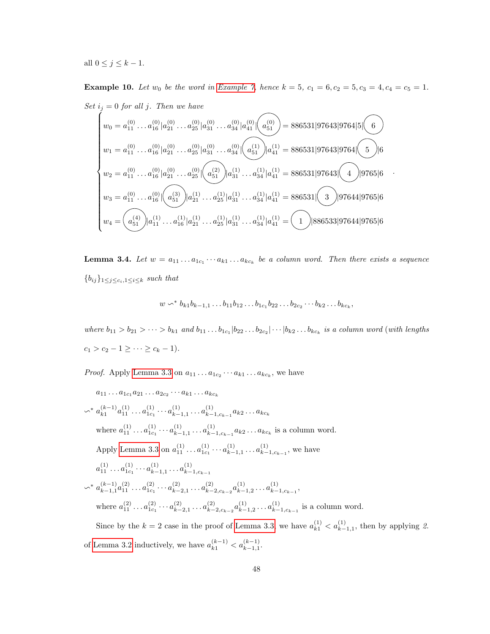<span id="page-52-0"></span>all  $0\leq j\leq k-1.$ 

**Example 10.** Let  $w_0$  be the word in [Example 7,](#page-38-0) hence  $k = 5$ ,  $c_1 = 6$ ,  $c_2 = 5$ ,  $c_3 = 4$ ,  $c_4 = c_5 = 1$ . Set  $\sqrt{ }$  $i_j = 0$  for all j. Then we have  $w_0=a_{11}^{(0)}\ldots a_{16}^{(0)}|a_{21}^{(0)}\ldots a_{25}^{(0)}|a_{31}^{(0)}\ldots a_{34}^{(0)}|a_{41}^{(0)}|\left(\ a_{51}^{(0)}\ \right)=886531|97643|9764|5|\left(\ \ 6\ \right)$ 

.

$$
w_0 = a_{11}^{(0)} \dots a_{16}^{(0)} | a_{21}^{(0)} \dots a_{25}^{(0)} | a_{31}^{(0)} \dots a_{34}^{(0)} | a_{41}^{(0)} | \left( a_{51}^{(0)} \right) = 886531 | 97643 | 9764 | 5| \left( 6 \right)
$$
  
\n
$$
w_1 = a_{11}^{(0)} \dots a_{16}^{(0)} | a_{21}^{(0)} \dots a_{25}^{(0)} | a_{31}^{(0)} \dots a_{34}^{(0)} | \left( a_{51}^{(1)} \right) | a_{41}^{(1)} = 886531 | 97643 | 9764 | \left( 5 \right) | 6
$$
  
\n
$$
w_2 = a_{11}^{(0)} \dots a_{16}^{(0)} | a_{21}^{(0)} \dots a_{25}^{(0)} | \left( a_{51}^{(2)} \right) | a_{31}^{(1)} \dots a_{34}^{(1)} | a_{41}^{(1)} = 886531 | 97643 | \left( 4 \right) | 9765 | 6
$$
  
\n
$$
w_3 = a_{11}^{(0)} \dots a_{16}^{(0)} | \left( a_{51}^{(3)} \right) | a_{21}^{(1)} \dots a_{25}^{(1)} | a_{31}^{(1)} \dots a_{34}^{(1)} | a_{41}^{(1)} = 886531 | \left( 3 \right) | 97644 | 9765 | 6
$$
  
\n
$$
w_4 = \left( a_{51}^{(4)} \right) | a_{11}^{(1)} \dots a_{16}^{(1)} | a_{21}^{(1)} \dots a_{25}^{(1)} | a_{31}^{(1)} \dots a_{34}^{(1)} | a_{41}^{(1)} = \left( 1 \right) | 886533 | 97644 | 9765 | 6
$$

<span id="page-52-1"></span>**Lemma 3.4.** Let  $w = a_{11} \ldots a_{1c_1} \cdots a_{k1} \ldots a_{kc_k}$  be a column word. Then there exists a sequence  ${b_{ij}}_{1\leq j\leq c_i, 1\leq i\leq k}$  such that

$$
w \sim^* b_{k1} b_{k-1,1} \ldots b_{11} b_{12} \ldots b_{1c_1} b_{22} \ldots b_{2c_2} \cdots b_{k2} \ldots b_{kc_k},
$$

where  $b_{11} > b_{21} > \cdots > b_{k1}$  and  $b_{11} \ldots b_{1c_1} | b_{22} \ldots b_{2c_2} | \cdots | b_{k2} \ldots b_{kc_k}$  is a column word (with lengths  $c_1 > c_2 - 1 \geq \cdots \geq c_k - 1$ .

*Proof.* Apply [Lemma 3.3](#page-45-0) on  $a_{11} \ldots a_{1c_2} \cdots a_{k1} \ldots a_{kc_k}$ , we have

$$
a_{11} \dots a_{1c_1} a_{21} \dots a_{2c_2} \dots a_{k1} \dots a_{kc_k}
$$
\n
$$
\sim^* a_{k1}^{(k-1)} a_{11}^{(1)} \dots a_{1c_1}^{(1)} \dots a_{k-1,1}^{(1)} \dots a_{k-1,c_{k-1}}^{(1)} a_{k2} \dots a_{kc_k}
$$
\nwhere  $a_{11}^{(1)} \dots a_{1c_1}^{(1)} \dots a_{k-1,1}^{(1)} \dots a_{k-1,c_{k-1}}^{(1)} a_{k2} \dots a_{kc_k}$  is a column word.  
\nApply Lemma 3.3 on  $a_{11}^{(1)} \dots a_{1c_1}^{(1)} \dots a_{k-1,1}^{(1)} \dots a_{k-1,c_{k-1}}^{(1)}$ , we have\n
$$
a_{11}^{(1)} \dots a_{1c_1}^{(1)} \dots a_{k-1,1}^{(1)} \dots a_{k-1,c_{k-1}}^{(1)}
$$
\n
$$
\sim^* a_{k-1,1}^{(k-1)} a_{11}^{(2)} \dots a_{1c_1}^{(2)} \dots a_{k-2,1}^{(2)} \dots a_{k-2,c_{k-2}}^{(2)} a_{k-1,2}^{(1)} \dots a_{k-1,c_{k-1}}^{(1)}
$$
\nwhere  $a_{11}^{(2)} \dots a_{1c_1}^{(2)} \dots a_{k-2,1}^{(2)} \dots a_{k-2,c_{k-2}}^{(2)} a_{k-1,2}^{(1)} \dots a_{k-1,c_{k-1}}^{(1)}$  is a column word.  
\nSince by the  $k = 2$  goes in the proof of I or we have  $a_{11}^{(1)} < a_{11}^{(1)}$ , then

Since by the  $k = 2$  case in the proof of [Lemma 3.3,](#page-45-0) we have  $a_{k_1}^{(1)} < a_{k-1,1}^{(1)}$ , then by applying 2. of [Lemma 3.2](#page-45-0) inductively, we have  $a_{k1}^{(k-1)} < a_{k-1,1}^{(k-1)}$ .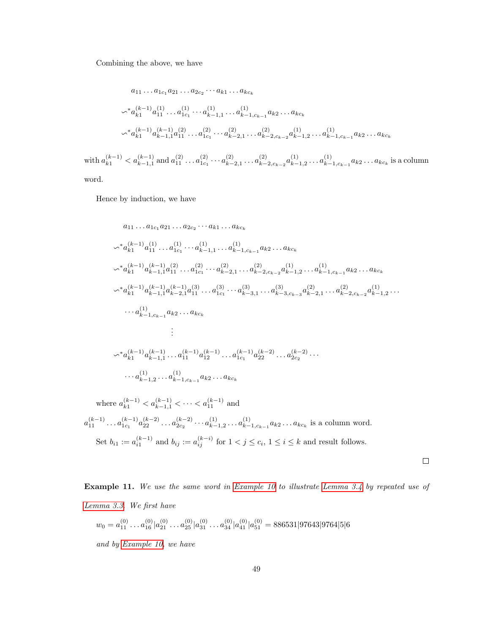Combining the above, we have

$$
a_{11} \dots a_{1c_1} a_{21} \dots a_{2c_2} \dots a_{k1} \dots a_{kc_k}
$$
  
\n
$$
\sim^* a_{k1}^{(k-1)} a_{11}^{(1)} \dots a_{1c_1}^{(1)} \dots a_{k-1,1}^{(1)} \dots a_{k-1,c_{k-1}}^{(1)} a_{k2} \dots a_{kc_k}
$$
  
\n
$$
\sim^* a_{k1}^{(k-1)} a_{k-1,1}^{(k-1)} a_{11}^{(2)} \dots a_{1c_1}^{(2)} \dots a_{k-2,1}^{(2)} \dots a_{k-2,c_{k-2}}^{(2)} a_{k-1,2}^{(1)} \dots a_{k-1,c_{k-1}}^{(1)} a_{k2} \dots a_{kc_k}
$$

with  $a_{k1}^{(k-1)} < a_{k-1,1}^{(k-1)}$  and  $a_{11}^{(2)} \ldots a_{1c_1}^{(2)} \cdots a_{k-1}^{(2)}$  $a_{k-2,1}^{(2)} \dots a_{k-1}^{(2)}$  $_{k-2,c_{k-2}}^{(2)}a_{k-1}^{(1)}$  $a_{k-1,2}^{(1)} \dots a_{k-1}^{(1)}$  $_{k-1,c_{k-1}}^{(1)}a_{k2}\ldots a_{kc_k}$  is a column word.

Hence by induction, we have

$$
a_{11} \ldots a_{1c_1} a_{21} \ldots a_{2c_2} \ldots a_{k1} \ldots a_{kc_k}
$$
\n
$$
\sim^* a_{k1}^{(k-1)} a_{11}^{(1)} \ldots a_{1c_1}^{(1)} \ldots a_{k-1,1}^{(1)} \ldots a_{k-1,c_{k-1}}^{(1)} a_{k2} \ldots a_{kc_k}
$$
\n
$$
\sim^* a_{k1}^{(k-1)} a_{k-1,1}^{(k-1)} a_{11}^{(2)} \ldots a_{1c_1}^{(2)} \ldots a_{k-2,1}^{(2)} \ldots a_{k-2,c_{k-2}}^{(2)} a_{k-1,2}^{(1)} \ldots a_{k-1,c_{k-1}}^{(1)} a_{k2} \ldots a_{kc_k}
$$
\n
$$
\sim^* a_{k1}^{(k-1)} a_{k-1,1}^{(k-1)} a_{k-2,1}^{(3)} a_{11}^{(3)} \ldots a_{1c_1}^{(3)} \ldots a_{k-3,1}^{(3)} \ldots a_{k-3,c_{k-3}}^{(3)} a_{k-2,1}^{(2)} \ldots a_{k-2,c_{k-2}}^{(2)} a_{k-1,2}^{(1)} \ldots
$$
\n
$$
\ldots a_{k-1,c_{k-1}}^{(1)} a_{k2} \ldots a_{kc_k}
$$
\n
$$
\vdots
$$
\n
$$
\sim^* a_{k1}^{(k-1)} a_{k-1,1}^{(k-1)} \ldots a_{11}^{(k-1)} a_{12}^{(k-1)} \ldots a_{1c_1}^{(k-1)} a_{22}^{(k-2)} \ldots a_{2c_2}^{(k-2)} \ldots
$$
\n
$$
\ldots a_{k-1,2}^{(1)} \ldots a_{k-1,c_{k-1}}^{(1)} a_{k2} \ldots a_{kc_k}
$$

where  $a_{k1}^{(k-1)} < a_{k-1,1}^{(k-1)} < \cdots < a_{11}^{(k-1)}$  and  $a_{11}^{(k-1)} \dots a_{1c_1}^{(k-1)} a_{22}^{(k-2)} \dots a_{2c_2}^{(k-2)} \cdots a_{k-1}^{(1)}$  $a_{k-1,2}^{(1)} \dots a_{k-1}^{(1)}$  $_{k-1,c_{k-1}}^{(1)}$   $a_{k2} \ldots a_{kc_k}$  is a column word. Set  $b_{i1} := a_{i1}^{(k-1)}$  and  $b_{ij} := a_{ij}^{(k-i)}$  for  $1 \leq j \leq c_i$ ,  $1 \leq i \leq k$  and result follows.

 $\Box$ 

<span id="page-53-0"></span>Example 11. We use the same word in [Example 10](#page-52-0) to illustrate [Lemma 3.4](#page-52-1) by repeated use of [Lemma 3.3.](#page-45-0) We first have

$$
w_0 = a_{11}^{(0)} \dots a_{16}^{(0)} | a_{21}^{(0)} \dots a_{25}^{(0)} | a_{31}^{(0)} \dots a_{34}^{(0)} | a_{41}^{(0)} | a_{51}^{(0)} = 886531 | 97643 | 9764 | 5 | 6
$$

and by [Example 10,](#page-52-0) we have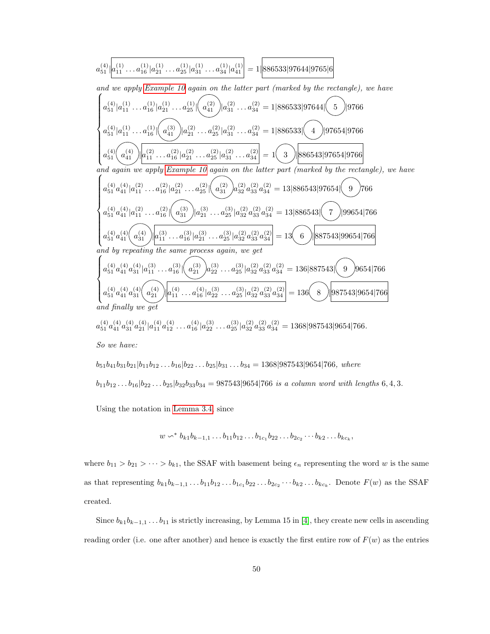$$
a_{51}^{(4)}|a_{11}^{(1)}...a_{16}^{(1)}|a_{21}^{(1)}...a_{25}^{(1)}|a_{31}^{(1)}...a_{34}^{(1)}|a_{41}^{(1)}| = 1
$$
\n
$$
886533|97644|9765|6
$$
\nand we apply Example 10 again on the latter part (marked by the rectangle), we have\n
$$
\begin{pmatrix}\na_{51}^{(4)}|a_{11}^{(1)}...a_{16}^{(1)}|a_{21}^{(1)}...a_{25}^{(1)}|a_{41}^{(2)}...a_{24}^{(2)}|a_{31}^{(2)}...a_{34}^{(2)} = 1|886533|97644|\left(5\right)9766\\
a_{51}^{(4)}|a_{11}^{(1)}...a_{16}^{(1)}|a_{41}^{(3)}|a_{21}^{(2)}...a_{25}^{(2)}|a_{31}^{(2)}...a_{34}^{(2)} = 1|886533|\left(4\right)|97654|9766\\
a_{51}^{(4)}|a_{11}^{(1)}...a_{16}^{(4)}|a_{21}^{(2)}...a_{25}^{(2)}|a_{31}^{(2)}...a_{34}^{(2)} = 1|886533|\left(4\right)|97654|9766\\
and again we apply Example 10 again on the latter part (marked by the rectangle), we have\n
$$
\begin{pmatrix}\na_{51}^{(4)}a_{41}^{(4)}|a_{11}^{(2)}...a_{16}^{(2)}|a_{21}^{(2)}...a_{25}^{(2)}|a_{31}^{(2)}...a_{34}^{(2)} = 1\left(3\right)\left|886543|97654|9766\right|\\
a_{51}^{(4)}a_{41}^{(4)}|a_{11}^{(2)}...a_{16}^{(2)}|a_{21}^{(3)}...a_{25}^{(3)}|a_{32}^{(2)}a_{33}^{(2)}a_{34}^{(2)} = 13|886543|97654|\left(9\right)766\\
a_{51}^{(4)}a_{41}^{(4)}|a_{11}^{(2
$$
$$

Using the notation in [Lemma 3.4,](#page-52-1) since

$$
w \sim^* b_{k1} b_{k-1,1} \ldots b_{11} b_{12} \ldots b_{1c_1} b_{22} \ldots b_{2c_2} \cdots b_{k2} \ldots b_{kc_k},
$$

where  $b_{11} > b_{21} > \cdots > b_{k1}$ , the SSAF with basement being  $\epsilon_n$  representing the word w is the same as that representing  $b_{k1}b_{k-1,1}\ldots b_{11}b_{12}\ldots b_{1c_1}b_{22}\ldots b_{2c_2}\cdots b_{k2}\ldots b_{kc_k}$ . Denote  $F(w)$  as the SSAF created.

Since  $b_{k1}b_{k-1,1} \ldots b_{11}$  is strictly increasing, by Lemma 15 in [\[4\]](#page-123-2), they create new cells in ascending reading order (i.e. one after another) and hence is exactly the first entire row of  $F(w)$  as the entries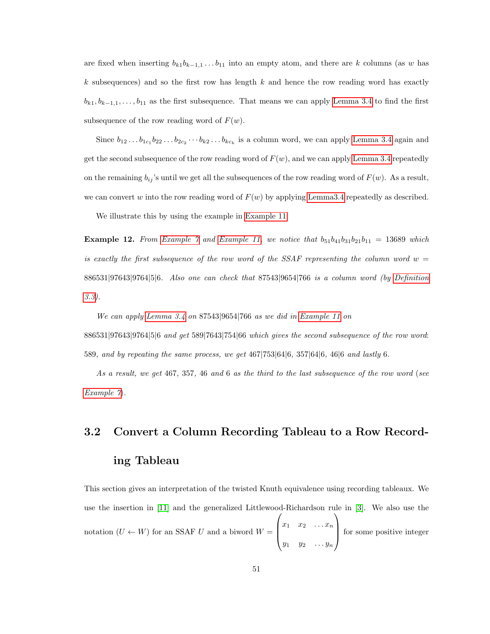are fixed when inserting  $b_{k1}b_{k-1,1} \ldots b_{11}$  into an empty atom, and there are k columns (as w has  $k$  subsequences) and so the first row has length  $k$  and hence the row reading word has exactly  $b_{k1}, b_{k-1,1}, \ldots, b_{11}$  as the first subsequence. That means we can apply [Lemma 3.4](#page-52-1) to find the first subsequence of the row reading word of  $F(w)$ .

Since  $b_{12} \ldots b_{1c_1} b_{22} \ldots b_{2c_2} \cdots b_{k2} \ldots b_{kc_k}$  is a column word, we can apply [Lemma 3.4](#page-52-1) again and get the second subsequence of the row reading word of  $F(w)$ , and we can apply [Lemma 3.4](#page-52-1) repeatedly on the remaining  $b_{ij}$ 's until we get all the subsequences of the row reading word of  $F(w)$ . As a result, we can convert w into the row reading word of  $F(w)$  by applying [Lemma3.4](#page-52-1) repeatedly as described.

We illustrate this by using the example in [Example 11:](#page-53-0)

**Example 12.** From [Example 7](#page-38-0) and [Example 11,](#page-53-0) we notice that  $b_{51}b_{41}b_{31}b_{21}b_{11} = 13689$  which is exactly the first subsequence of the row word of the SSAF representing the column word  $w =$ 886531|97643|9764|5|6. Also one can check that 87543|9654|766 is a column word (by [Definition](#page-37-2) [3.3\)](#page-37-2).

We can apply [Lemma 3.4](#page-52-1) on 87543|9654|766 as we did in [Example 11](#page-53-0) on 886531|97643|9764|5|6 and get 589|7643|754|66 which gives the second subsequence of the row word: 589, and by repeating the same process, we get 467|753|64|6, 357|64|6, 46|6 and lastly 6.

As a result, we get 467, 357, 46 and 6 as the third to the last subsequence of the row word (see Example  $\gamma$ ).

## <span id="page-55-0"></span>3.2 Convert a Column Recording Tableau to a Row Recording Tableau

This section gives an interpretation of the twisted Knuth equivalence using recording tableaux. We use the insertion in [\[11\]](#page-124-1) and the generalized Littlewood-Richardson rule in [\[3\]](#page-123-0). We also use the notation  $(U \leftarrow W)$  for an SSAF U and a biword  $W =$  $\sqrt{ }$  $\overline{\phantom{a}}$  $x_1 \quad x_2 \quad \ldots x_n$  $y_1$   $y_2$   $\dots y_n$  $\setminus$ for some positive integer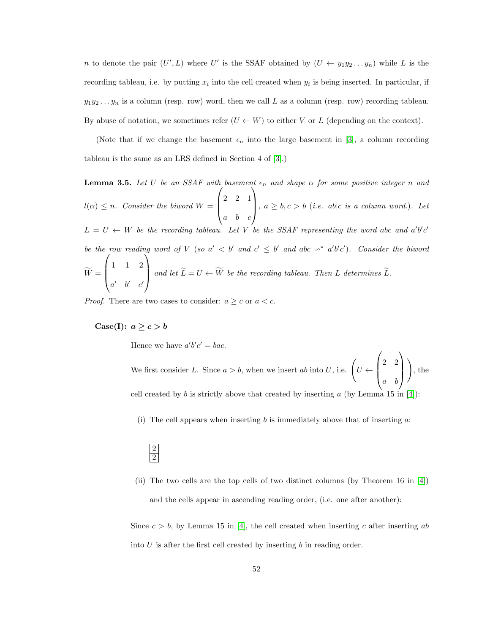n to denote the pair  $(U', L)$  where U' is the SSAF obtained by  $(U \leftarrow y_1 y_2 \dots y_n)$  while L is the recording tableau, i.e. by putting  $x_i$  into the cell created when  $y_i$  is being inserted. In particular, if  $y_1y_2 \ldots y_n$  is a column (resp. row) word, then we call L as a column (resp. row) recording tableau. By abuse of notation, we sometimes refer  $(U \leftarrow W)$  to either V or L (depending on the context).

(Note that if we change the basement  $\epsilon_n$  into the large basement in [\[3\]](#page-123-0), a column recording tableau is the same as an LRS defined in Section 4 of [\[3\]](#page-123-0).)

<span id="page-56-0"></span>**Lemma 3.5.** Let U be an SSAF with basement  $\epsilon_n$  and shape  $\alpha$  for some positive integer n and  $l(\alpha) \leq n$ . Consider the biword  $W =$  $\sqrt{ }$  $\vert$ 2 2 1 a b c  $\setminus$ ,  $a \geq b, c > b$  (i.e. ab|c is a column word.). Let  $L = U \leftarrow W$  be the recording tableau. Let V be the SSAF representing the word abc and a'b'c' be the row reading word of V (so  $a' < b'$  and  $c' \leq b'$  and abc  $\sim^*$  a'b'c'). Consider the biword  $W =$  $\sqrt{ }$  $\overline{\phantom{a}}$ 1 1 2  $a'$  b'  $c'$  $\setminus$ and let  $\widetilde{L} = U \leftarrow \widetilde{W}$  be the recording tableau. Then L determines  $\widetilde{L}$ .

*Proof.* There are two cases to consider:  $a \geq c$  or  $a < c$ .

## Case(I):  $a \geq c > b$

Hence we have  $a'b'c' = bac$ .

We first consider L. Since  $a > b$ , when we insert ab into U, i.e.  $\left(U \leftarrow \right)$  $\sqrt{ }$  $\overline{\phantom{a}}$ 2 2 a b  $\setminus$  $\Big\}$  $\setminus$ , the cell created by b is strictly above that created by inserting  $a$  (by Lemma 15 in [\[4\]](#page-123-2)):

(i) The cell appears when inserting b is immediately above that of inserting  $a$ :

## 2 2

(ii) The two cells are the top cells of two distinct columns (by Theorem 16 in [\[4\]](#page-123-2)) and the cells appear in ascending reading order, (i.e. one after another):

Since  $c > b$ , by Lemma 15 in [\[4\]](#page-123-2), the cell created when inserting c after inserting ab into  $U$  is after the first cell created by inserting  $b$  in reading order.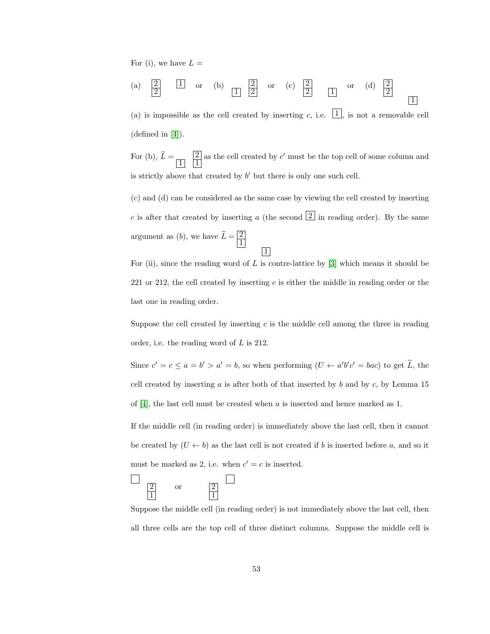For (i), we have  $L =$ 



(a) is impossible as the cell created by inserting c, i.e.  $\Box$ , is not a removable cell (defined in [\[4\]](#page-123-2)).

For (b),  $\tilde{L} = \boxed{\frac{2}{1}}$  as the cell created by c' must be the top cell of some column and is strictly above that created by  $b'$  but there is only one such cell.

(c) and (d) can be considered as the same case by viewing the cell created by inserting c is after that created by inserting a (the second  $\boxed{2}$  in reading order). By the same argument as  $(b)$ , we have  $\widetilde{L} = \boxed{\frac{2}{1}}$  $\boxed{1}$ 

For (ii), since the reading word of  $L$  is contre-lattice by  $[3]$  which means it should be 221 or 212, the cell created by inserting  $c$  is either the middle in reading order or the last one in reading order.

Suppose the cell created by inserting  $c$  is the middle cell among the three in reading order, i.e. the reading word of L is 212.

Since  $c' = c \le a = b' > a' = b$ , so when performing  $(U \leftarrow a'b'c' = bac)$  to get  $\tilde{L}$ , the cell created by inserting  $a$  is after both of that inserted by  $b$  and by  $c$ , by Lemma 15 of  $[4]$ , the last cell must be created when a is inserted and hence marked as 1.

If the middle cell (in reading order) is immediately above the last cell, then it cannot be created by  $(U \leftarrow b)$  as the last cell is not created if b is inserted before a, and so it must be marked as 2, i.e. when  $c' = c$  is inserted.



Suppose the middle cell (in reading order) is not immediately above the last cell, then all three cells are the top cell of three distinct columns. Suppose the middle cell is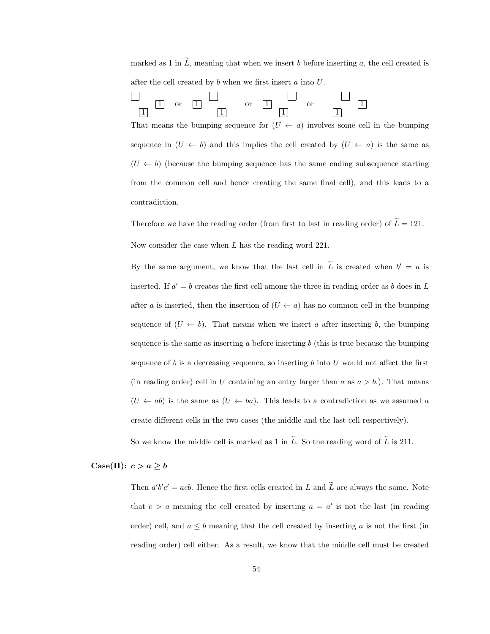marked as 1 in  $\tilde{L}$ , meaning that when we insert b before inserting a, the cell created is after the cell created by b when we first insert a into U.

| -<br>$\overline{a}$ | $\mathsf{I}$ | or. | <u>ਸ</u><br>$\overline{\phantom{a}}$<br>-41 | Ωr | - |  |  |
|---------------------|--------------|-----|---------------------------------------------|----|---|--|--|
|                     |              |     |                                             |    |   |  |  |

That means the bumping sequence for  $(U \leftarrow a)$  involves some cell in the bumping sequence in  $(U \leftarrow b)$  and this implies the cell created by  $(U \leftarrow a)$  is the same as  $(U \leftarrow b)$  (because the bumping sequence has the same ending subsequence starting from the common cell and hence creating the same final cell), and this leads to a contradiction.

Therefore we have the reading order (from first to last in reading order) of  $\widetilde{L} = 121$ . Now consider the case when L has the reading word 221.

By the same argument, we know that the last cell in  $\tilde{L}$  is created when  $b' = a$  is inserted. If  $a' = b$  creates the first cell among the three in reading order as b does in L after a is inserted, then the insertion of  $(U \leftarrow a)$  has no common cell in the bumping sequence of  $(U \leftarrow b)$ . That means when we insert a after inserting b, the bumping sequence is the same as inserting  $a$  before inserting  $b$  (this is true because the bumping sequence of b is a decreasing sequence, so inserting b into  $U$  would not affect the first (in reading order) cell in U containing an entry larger than  $a$  as  $a > b$ .). That means  $(U \leftarrow ab)$  is the same as  $(U \leftarrow ba)$ . This leads to a contradiction as we assumed a create different cells in the two cases (the middle and the last cell respectively).

So we know the middle cell is marked as 1 in  $\widetilde{L}$ . So the reading word of  $\widetilde{L}$  is 211.

Case(II):  $c > a \geq b$ 

Then  $a'b'c' = acb$ . Hence the first cells created in L and  $\tilde{L}$  are always the same. Note that  $c > a$  meaning the cell created by inserting  $a = a'$  is not the last (in reading order) cell, and  $a \leq b$  meaning that the cell created by inserting a is not the first (in reading order) cell either. As a result, we know that the middle cell must be created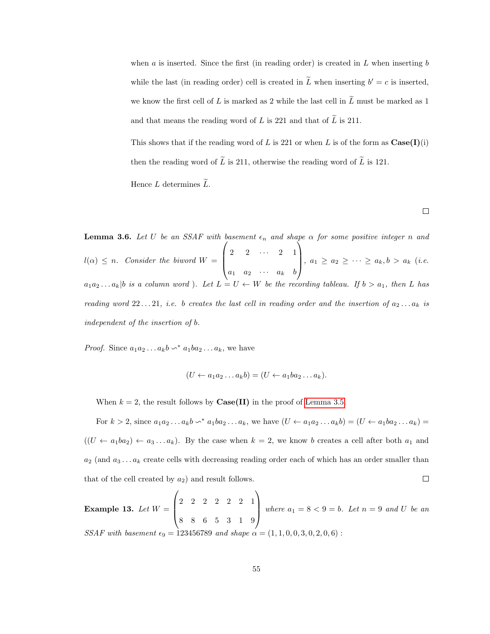when a is inserted. Since the first (in reading order) is created in  $L$  when inserting  $b$ while the last (in reading order) cell is created in  $\tilde{L}$  when inserting  $b' = c$  is inserted, we know the first cell of L is marked as 2 while the last cell in  $\widetilde{L}$  must be marked as 1 and that means the reading word of  $L$  is 221 and that of  $\overline{L}$  is 211.

This shows that if the reading word of L is 221 or when L is of the form as  $\text{Case}(I)(i)$ then the reading word of  $\widetilde{L}$  is 211, otherwise the reading word of  $\widetilde{L}$  is 121.

Hence  $L$  determines  $\tilde{L}$ .

 $\Box$ 

<span id="page-59-0"></span>**Lemma 3.6.** Let U be an SSAF with basement  $\epsilon_n$  and shape  $\alpha$  for some positive integer n and  $l(\alpha) \leq n$ . Consider the biword  $W =$  $\sqrt{ }$  $\vert$  $2 \quad 2 \quad \cdots \quad 2 \quad 1$  $a_1 \quad a_2 \quad \cdots \quad a_k \quad b$  $\setminus$ ,  $a_1 \ge a_2 \ge \cdots \ge a_k, b > a_k$  (i.e.  $a_1a_2 \ldots a_k|b$  is a column word). Let  $L = U \leftarrow W$  be the recording tableau. If  $b > a_1$ , then L has reading word  $22 \ldots 21$ , i.e. b creates the last cell in reading order and the insertion of  $a_2 \ldots a_k$  is independent of the insertion of b.

*Proof.* Since  $a_1 a_2 \ldots a_k b \leadsto^* a_1 b a_2 \ldots a_k$ , we have

$$
(U \leftarrow a_1 a_2 \dots a_k b) = (U \leftarrow a_1 b a_2 \dots a_k).
$$

When  $k = 2$ , the result follows by  $\text{Case(II)}$  in the proof of [Lemma 3.5.](#page-56-0)

For  $k > 2$ , since  $a_1 a_2 \ldots a_k b \setminus a_1 b a_2 \ldots a_k$ , we have  $(U \leftarrow a_1 a_2 \ldots a_k b) = (U \leftarrow a_1 b a_2 \ldots a_k)$  $((U \leftarrow a_1ba_2) \leftarrow a_3...a_k)$ . By the case when  $k = 2$ , we know b creates a cell after both  $a_1$  and  $a_2$  (and  $a_3 \ldots a_k$  create cells with decreasing reading order each of which has an order smaller than that of the cell created by  $a_2$ ) and result follows.  $\Box$ 

<span id="page-59-1"></span>Example 13. Let  $W =$  $\sqrt{ }$  $\overline{\phantom{a}}$ 2 2 2 2 2 2 1 8 8 6 5 3 1 9  $\setminus$ where  $a_1 = 8 < 9 = b$ . Let  $n = 9$  and U be an SSAF with basement  $\epsilon_9 = 123456789$  and shape  $\alpha = (1, 1, 0, 0, 3, 0, 2, 0, 6)$ :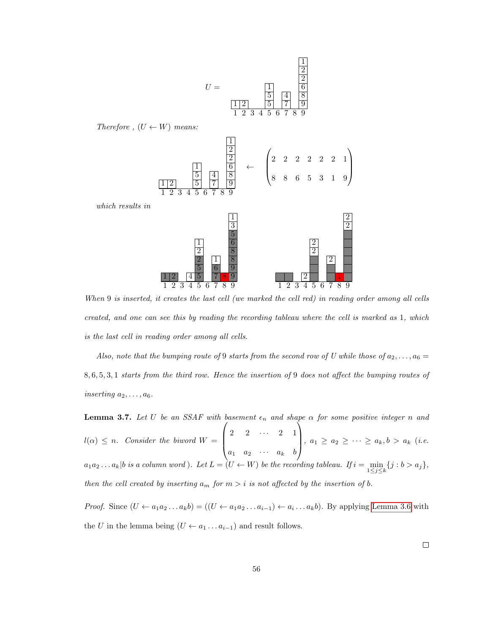

When 9 is inserted, it creates the last cell (we marked the cell red) in reading order among all cells created, and one can see this by reading the recording tableau where the cell is marked as 1, which is the last cell in reading order among all cells.

Also, note that the bumping route of 9 starts from the second row of U while those of  $a_2, \ldots, a_6 =$ 8, 6, 5, 3, 1 starts from the third row. Hence the insertion of 9 does not affect the bumping routes of inserting  $a_2, \ldots, a_6$ .

<span id="page-60-0"></span>**Lemma 3.7.** Let U be an SSAF with basement  $\epsilon_n$  and shape  $\alpha$  for some positive integer n and  $l(\alpha) \leq n$ . Consider the biword  $W =$  $\sqrt{ }$  $\overline{\phantom{a}}$  $2 \quad 2 \quad \cdots \quad 2 \quad 1$  $a_1 \quad a_2 \quad \cdots \quad a_k \quad b$  $\setminus$ ,  $a_1 \ge a_2 \ge \cdots \ge a_k, b > a_k$  (i.e.  $a_1a_2...a_k|b$  is a column word). Let  $L = (U \leftarrow W)$  be the recording tableau. If  $i = \min_{1 \leq j \leq k} \{j : b > a_j\},$ then the cell created by inserting  $a_m$  for  $m > i$  is not affected by the insertion of b.

*Proof.* Since  $(U \leftarrow a_1 a_2 \dots a_k b) = ((U \leftarrow a_1 a_2 \dots a_{i-1}) \leftarrow a_i \dots a_k b)$ . By applying [Lemma 3.6](#page-59-0) with the U in the lemma being  $(U \leftarrow a_1 \dots a_{i-1})$  and result follows.

 $\Box$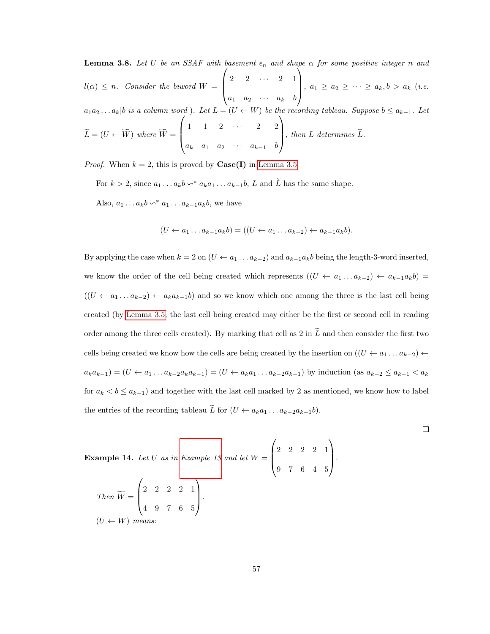<span id="page-61-0"></span>**Lemma 3.8.** Let U be an SSAF with basement  $\epsilon_n$  and shape  $\alpha$  for some positive integer n and  $l(\alpha) \leq n$ . Consider the biword  $W =$  $\sqrt{ }$  $\overline{\phantom{a}}$  $2 \quad 2 \quad \cdots \quad 2 \quad 1$  $a_1 \quad a_2 \quad \cdots \quad a_k \quad b$  $\setminus$ ,  $a_1 \ge a_2 \ge \cdots \ge a_k, b > a_k$  (i.e.  $a_1a_2 \ldots a_k|b$  is a column word). Let  $L = (U \leftarrow W)$  be the recording tableau. Suppose  $b \le a_{k-1}$ . Let  $L = (U \leftarrow W)$  where  $W =$  $\sqrt{ }$  $\overline{\phantom{a}}$  $1 \quad 1 \quad 2 \quad \cdots \quad 2 \quad 2$  $a_k$   $a_1$   $a_2$   $\cdots$   $a_{k-1}$  b  $\setminus$ , then  $L$  determines  $\tilde{L}$ .

*Proof.* When  $k = 2$ , this is proved by  $\text{Case}(I)$  in [Lemma 3.5.](#page-56-0)

For  $k > 2$ , since  $a_1 \ldots a_k b \setminus^* a_k a_1 \ldots a_{k-1} b$ , L and  $\widetilde{L}$  has the same shape.

Also,  $a_1 \ldots a_k b \leadsto^* a_1 \ldots a_{k-1} a_k b$ , we have

$$
(U \leftarrow a_1 \dots a_{k-1} a_k b) = ((U \leftarrow a_1 \dots a_{k-2}) \leftarrow a_{k-1} a_k b).
$$

By applying the case when  $k = 2$  on  $(U \leftarrow a_1 \dots a_{k-2})$  and  $a_{k-1}a_k b$  being the length-3-word inserted, we know the order of the cell being created which represents  $((U \leftarrow a_1 ... a_{k-2}) \leftarrow a_{k-1}a_kb)$  $((U \leftarrow a_1 \dots a_{k-2}) \leftarrow a_k a_{k-1} b)$  and so we know which one among the three is the last cell being created (by [Lemma 3.5,](#page-56-0) the last cell being created may either be the first or second cell in reading order among the three cells created). By marking that cell as 2 in  $\tilde{L}$  and then consider the first two cells being created we know how the cells are being created by the insertion on  $((U \leftarrow a_1 \dots a_{k-2}) \leftarrow$  $a_ka_{k-1}$ ) =  $(U \leftarrow a_1 \dots a_{k-2}a_ka_{k-1}) = (U \leftarrow a_ka_1 \dots a_{k-2}a_{k-1})$  by induction (as  $a_{k-2} \le a_{k-1} < a_k$ for  $a_k < b \le a_{k-1}$ ) and together with the last cell marked by 2 as mentioned, we know how to label the entries of the recording tableau  $\widetilde{L}$  for  $(U \leftarrow a_k a_1 \dots a_{k-2} a_{k-1} b)$ .

 $\Box$ 

**Example 14.** Let U as in [Example 13](#page-59-1) and let  $W =$  $\sqrt{ }$  $\overline{\phantom{a}}$ 2 2 2 2 1 9 7 6 4 5  $\setminus$  $\vert \cdot \vert$ Then  $W =$  $\sqrt{ }$  $\overline{\phantom{a}}$ 2 2 2 2 1 4 9 7 6 5  $\setminus$  $\vert \cdot$  $(U \leftarrow W)$  mean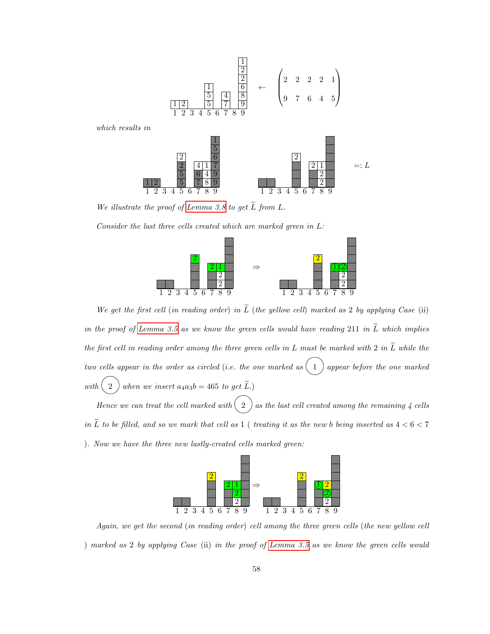

We illustrate the proof of [Lemma 3.8](#page-61-0) to get  $\widetilde{L}$  from L.

Consider the last three cells created which are marked green in L:



We get the first cell (in reading order) in  $\widetilde{L}$  (the yellow cell) marked as 2 by applying Case (ii) in the proof of [Lemma 3.5](#page-56-0) as we know the green cells would have reading 211 in  $\tilde{L}$  which implies the first cell in reading order among the three green cells in L must be marked with 2 in  $\widetilde{L}$  while the two cells appear in the order as circled (i.e. the one marked as  $(1)$  appear before the one marked with  $\left(2\right)$  when we insert  $a_4a_3b = 465$  to get  $\widetilde{L}$ . Hence we can treat the cell marked with  $\bigcirc$  as the last cell created among the remaining 4 cells in  $\widetilde{L}$  to be filled, and so we mark that cell as 1 ( treating it as the new b being inserted as  $4 < 6 < 7$ ). Now we have the three new lastly-created cells marked green:



Again, we get the second (in reading order) cell among the three green cells (the new yellow cell ) marked as 2 by applying Case (ii) in the proof of [Lemma 3.5](#page-56-0) as we know the green cells would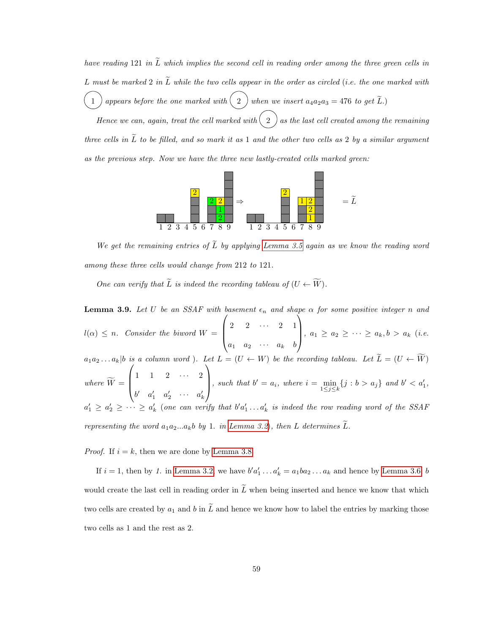have reading 121 in  $\widetilde{L}$  which implies the second cell in reading order among the three green cells in L must be marked 2 in  $\widetilde{L}$  while the two cells appear in the order as circled (i.e. the one marked with 1) appears before the one marked with  $\binom{2}{1}$  when we insert  $a_4a_2a_3 = 476$  to get  $\tilde{L}$ .

Hence we can, again, treat the cell marked with  $\big(2\big)$  as the last cell created among the remaining three cells in  $\widetilde{L}$  to be filled, and so mark it as 1 and the other two cells as 2 by a similar argument as the previous step. Now we have the three new lastly-created cells marked green:



We get the remaining entries of  $\widetilde{L}$  by applying [Lemma 3.5](#page-56-0) again as we know the reading word among these three cells would change from 212 to 121.

One can verify that  $\widetilde{L}$  is indeed the recording tableau of  $(U \leftarrow \widetilde{W})$ .

<span id="page-63-0"></span>**Lemma 3.9.** Let U be an SSAF with basement  $\epsilon_n$  and shape  $\alpha$  for some positive integer n and  $l(\alpha) \leq n$ . Consider the biword  $W =$  $\sqrt{ }$  $\overline{\phantom{a}}$  $2 \quad 2 \quad \cdots \quad 2 \quad 1$  $a_1 \quad a_2 \quad \cdots \quad a_k \quad b$  $\setminus$ ,  $a_1 \ge a_2 \ge \cdots \ge a_k, b > a_k$  (i.e.  $a_1a_2 \ldots a_k|b$  is a column word). Let  $L = (U \leftarrow W)$  be the recording tableau. Let  $L = (U \leftarrow W)$ where  $W =$  $\sqrt{ }$  $\overline{\phantom{a}}$  $1 \quad 1 \quad 2 \quad \cdots \quad 2$  $b'$   $a'_1$   $a'_2$   $\cdots$   $a'_k$  $\setminus$ , such that  $b' = a_i$ , where  $i = \min_{1 \leq j \leq k} \{j : b > a_j\}$  and  $b' < a'_1$ ,  $a'_1 \ge a'_2 \ge \cdots \ge a'_k$  (one can verify that  $b'a'_1 \ldots a'_k$  is indeed the row reading word of the SSAF representing the word  $a_1a_2...a_kb$  by 1. in [Lemma 3.2](#page-39-0)), then L determines  $\widetilde{L}$ .

*Proof.* If  $i = k$ , then we are done by [Lemma 3.8.](#page-61-0)

If  $i = 1$ , then by 1. in [Lemma 3.2,](#page-39-0) we have  $b'a'_1 \ldots a'_k = a_1ba_2 \ldots a_k$  and hence by [Lemma 3.6,](#page-59-0) b would create the last cell in reading order in  $\tilde{L}$  when being inserted and hence we know that which two cells are created by  $a_1$  and b in  $\widetilde{L}$  and hence we know how to label the entries by marking those two cells as 1 and the rest as 2.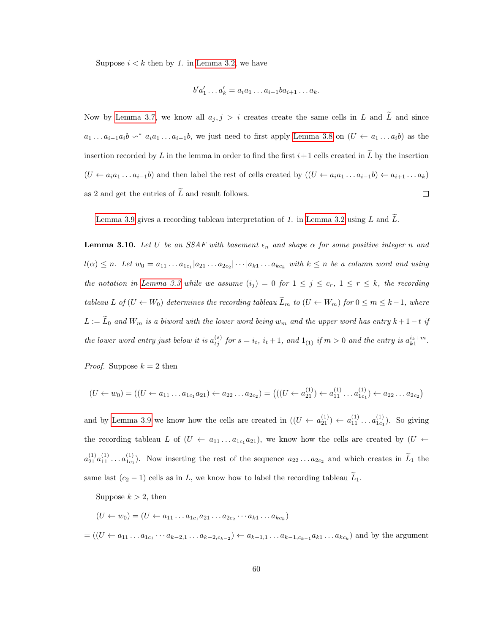Suppose  $i < k$  then by 1. in [Lemma 3.2,](#page-39-0) we have

$$
b'a'_1 \dots a'_k = a_i a_1 \dots a_{i-1} b a_{i+1} \dots a_k.
$$

Now by [Lemma 3.7,](#page-60-0) we know all  $a_j, j > i$  creates create the same cells in L and  $\widetilde{L}$  and since  $a_1 \ldots a_{i-1} a_i b \leadsto^* a_i a_1 \ldots a_{i-1} b$ , we just need to first apply [Lemma 3.8](#page-61-0) on  $(U \leftarrow a_1 \ldots a_i b)$  as the insertion recorded by L in the lemma in order to find the first  $i+1$  cells created in  $\widetilde{L}$  by the insertion  $(U \leftarrow a_i a_1 \ldots a_{i-1} b)$  and then label the rest of cells created by  $((U \leftarrow a_i a_1 \ldots a_{i-1} b) \leftarrow a_{i+1} \ldots a_k)$ as 2 and get the entries of  $\widetilde{L}$  and result follows.  $\Box$ 

[Lemma 3.9](#page-63-0) gives a recording tableau interpretation of 1. in [Lemma 3.2](#page-39-0) using L and  $\tilde{L}$ .

<span id="page-64-0"></span>**Lemma 3.10.** Let U be an SSAF with basement  $\epsilon_n$  and shape  $\alpha$  for some positive integer n and  $l(\alpha) \leq n$ . Let  $w_0 = a_{11} \ldots a_{1c_1} | a_{21} \ldots a_{2c_2} | \cdots | a_{k1} \ldots a_{kc_k}$  with  $k \leq n$  be a column word and using the notation in [Lemma 3.3](#page-45-0) while we assume  $(i_j) = 0$  for  $1 \le j \le c_r$ ,  $1 \le r \le k$ , the recording tableau L of  $(U \leftarrow W_0)$  determines the recording tableau  $\widetilde{L}_m$  to  $(U \leftarrow W_m)$  for  $0 \le m \le k-1$ , where  $L := \widetilde{L}_0$  and  $W_m$  is a biword with the lower word being  $w_m$  and the upper word has entry  $k + 1 - t$  if the lower word entry just below it is  $a_{tj}^{(s)}$  for  $s = i_t$ ,  $i_t + 1$ , and  $1_{(1)}$  if  $m > 0$  and the entry is  $a_{k1}^{i_k + m}$ .

*Proof.* Suppose  $k = 2$  then

$$
(U \leftarrow w_0) = ((U \leftarrow a_{11} \dots a_{1c_1} a_{21}) \leftarrow a_{22} \dots a_{2c_2}) = (((U \leftarrow a_{21}^{(1)}) \leftarrow a_{11}^{(1)} \dots a_{1c_1}^{(1)}) \leftarrow a_{22} \dots a_{2c_2})
$$

and by [Lemma 3.9](#page-63-0) we know how the cells are created in  $((U \leftarrow a_{21}^{(1)}) \leftarrow a_{11}^{(1)} \dots a_{1c_1}^{(1)})$ . So giving the recording tableau L of  $(U \leftarrow a_{11} \ldots a_{1c_1} a_{21})$ , we know how the cells are created by  $(U \leftarrow$  $a_{21}^{(1)}a_{11}^{(1)}\ldots a_{1c_1}^{(1)}$ ). Now inserting the rest of the sequence  $a_{22}\ldots a_{2c_2}$  and which creates in  $\widetilde{L}_1$  the same last  $(c_2 - 1)$  cells as in L, we know how to label the recording tableau  $\widetilde{L}_1$ .

Suppose  $k > 2$ , then

$$
(U \leftarrow w_0) = (U \leftarrow a_{11} \dots a_{1c_1} a_{21} \dots a_{2c_2} \dots a_{k1} \dots a_{kc_k})
$$
  
= 
$$
((U \leftarrow a_{11} \dots a_{1c_1} \dots a_{k-2,1} \dots a_{k-2,c_{k-2}}) \leftarrow a_{k-1,1} \dots a_{k-1,c_{k-1}} a_{k1} \dots a_{kc_k})
$$
 and by the argument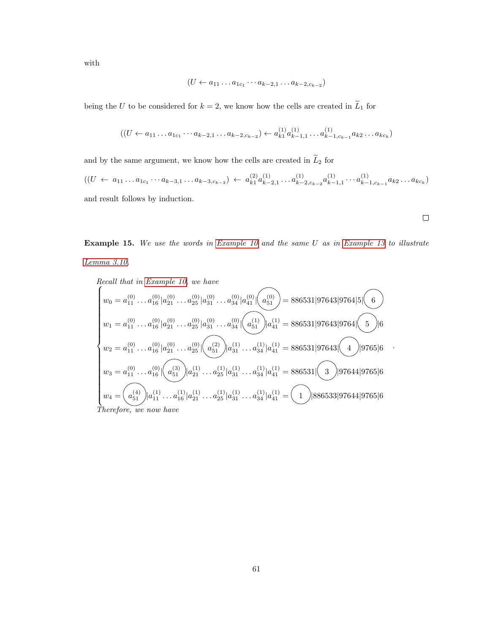with

$$
(U \leftarrow a_{11} \dots a_{1c_1} \cdots a_{k-2,1} \dots a_{k-2,c_{k-2}})
$$

being the U to be considered for  $k = 2$ , we know how the cells are created in  $\widetilde{L}_1$  for

$$
((U \leftarrow a_{11} \dots a_{1c_1} \dots a_{k-2,1} \dots a_{k-2,c_{k-2}}) \leftarrow a_{k1}^{(1)} a_{k-1,1}^{(1)} \dots a_{k-1,c_{k-1}}^{(1)} a_{k2} \dots a_{k c_k})
$$

and by the same argument, we know how the cells are created in  $\widetilde{L}_{2}$  for

 $((U \leftarrow a_{11} \ldots a_{1c_1} \cdots a_{k-3,1} \ldots a_{k-3,c_{k-3}}) \leftarrow a_{k1}^{(2)}$  $_{k1}^{(2)}a_{k-}^{(1)}$  $a_{k-2,1}^{(1)} \dots a_{k-1}^{(1)}$  $_{k-2,c_{k-2}}^{(1)}a_{k-1}^{(1)}$  $a_{k-1,1}^{(1)} \cdots a_{k-1}^{(1)}$  $_{k-1,c_{k-1}}^{(1)}a_{k2}\ldots a_{kc_k}$ and result follows by induction.

<span id="page-65-0"></span>Example 15. We use the words in [Example 10](#page-52-0) and the same U as in [Example 13](#page-59-1) to illustrate [Lemma 3.10.](#page-64-0)

Recall that in Example 10, we have  
\n
$$
\begin{cases}\nw_0 = a_{11}^{(0)} \dots a_{16}^{(0)} | a_{21}^{(0)} \dots a_{25}^{(0)} | a_{31}^{(0)} \dots a_{34}^{(0)} | a_{41}^{(0)}| \overbrace{(a_{51}^{(0)})}^{(a_{51}^{(0)})} = 886531 |97643 |9764 |5 | \overbrace{(b)} \\
w_1 = a_{11}^{(0)} \dots a_{16}^{(0)} | a_{21}^{(0)} \dots a_{25}^{(0)} | a_{31}^{(0)} \dots a_{34}^{(0)}| \overbrace{(a_{51}^{(1)})}^{(a_{41}^{(1)})} | a_{41}^{(1)} = 886531 |97643 |9764 | \overbrace{(b)} \\
w_2 = a_{11}^{(0)} \dots a_{16}^{(0)} | a_{21}^{(0)} \dots a_{25}^{(0)}| \overbrace{(a_{51}^{(2)})}^{(a_{51}^{(1)})} | a_{31}^{(1)} \dots a_{34}^{(1)} | a_{41}^{(1)} = 886531 |97643 | \overbrace{(d)}\n\end{cases}\n\begin{cases}\ny_2 = a_{11}^{(0)} \dots a_{16}^{(0)} | a_{21}^{(0)} \dots a_{25}^{(1)} | a_{31}^{(1)} \dots a_{34}^{(1)} | a_{41}^{(1)} = 886531 | \overbrace{(d)}\n\end{cases}\n\begin{cases}\ny_2 = a_{11}^{(0)} \dots a_{16}^{(0)} | a_{21}^{(1)} \dots a_{25}^{(1)} | a_{31}^{(1)} \dots a_{34}^{(1)} | a_{41}^{(1)} = \overbrace{(d)}\n\end{cases}
$$

 $\Box$ 

.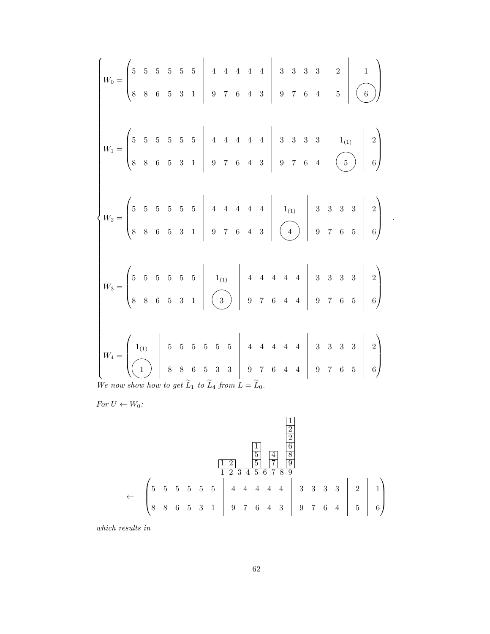$$
W_0 = \begin{pmatrix} 5 & 5 & 5 & 5 & 5 & 5 \\ 8 & 8 & 6 & 5 & 3 & 1 \\ 8 & 8 & 6 & 5 & 3 & 1 \end{pmatrix} \begin{pmatrix} 4 & 4 & 4 & 4 & 4 & 4 \\ 9 & 7 & 6 & 4 & 3 & 9 \\ 9 & 7 & 6 & 4 & 4 & 5 \end{pmatrix} \begin{pmatrix} 2 & 1 \\ 6 & 6 \end{pmatrix}
$$
  
\n
$$
W_1 = \begin{pmatrix} 5 & 5 & 5 & 5 & 5 & 5 \\ 8 & 8 & 6 & 5 & 3 & 1 \\ 8 & 8 & 6 & 5 & 3 & 1 \end{pmatrix} \begin{pmatrix} 4 & 4 & 4 & 4 & 4 & 4 \\ 9 & 7 & 6 & 4 & 3 & 9 \\ 9 & 7 & 6 & 4 & 3 & 9 \\ 9 & 7 & 6 & 4 & 3 & 9 \end{pmatrix} \begin{pmatrix} 1 \\ 1 \\ 1 \end{pmatrix} \begin{pmatrix} 2 \\ 3 \\ 6 \end{pmatrix}
$$
  
\n
$$
W_2 = \begin{pmatrix} 5 & 5 & 5 & 5 & 5 & 5 \\ 8 & 8 & 6 & 5 & 3 & 1 \\ 8 & 8 & 6 & 5 & 3 & 1 \end{pmatrix} \begin{pmatrix} 4 & 4 & 4 & 4 & 4 & 4 \\ 9 & 7 & 6 & 4 & 4 & 4 \\ 9 & 7 & 6 & 5 & 5 & 6 \\ 9 & 7 & 6 & 5 & 5 & 6 \\ 9 & 7 & 6 & 5 & 5 & 6 \\ 9 & 8 & 8 & 6 & 5 & 3 & 3 \\ 9 & 9 & 7 & 6 & 4 & 4 & 4 & 4 \\ 9 & 7 & 6 & 5 & 5 & 6 \\ 10 & 8 & 8 & 6 & 5 & 3 & 3 & 9 \\ 11 & 8 & 8 & 6 & 5 & 3 & 3 & 9 \\ 12 & 8 & 8 & 6 & 5 & 3 & 3 & 9 \\ 13 & 8 & 8 & 6 & 5 & 3 & 3 & 9 \\ 14 & 14 & 14 & 14 & 14 & 14 & 14 & 14 \\ 15 & 15 & 15 & 15 & 15 & 14 & 14 &
$$

For  $U \leftarrow W_0$ :

$$
\leftarrow \begin{array}{c|ccccc|c}\n & \frac{1}{2} & \frac{1}{2} \\
\hline\n & 1 & 2 & 3 & 4 & 5 & 6 & 7 & 9 \\
\hline\n & 1 & 2 & 3 & 4 & 5 & 6 & 7 & 8 & 9 \\
\hline\n & 1 & 2 & 3 & 4 & 5 & 6 & 7 & 8 & 9 \\
 & 1 & 2 & 3 & 4 & 5 & 6 & 7 & 8 & 9 \\
 & 1 & 2 & 3 & 4 & 5 & 6 & 7 & 8 & 9 \\
 & 1 & 2 & 3 & 4 & 5 & 6 & 7 & 8 & 9 \\
\hline\n & 1 & 2 & 3 & 4 & 5 & 6 & 7 & 8 & 9 \\
 & 1 & 3 & 3 & 3 & 3 & 3 & 2 & 1 \\
 & 1 & 3 & 3 & 3 & 3 & 3 & 2 & 1 \\
 & 2 & 3 & 4 & 5 & 6 & 7 & 8 & 9\n\end{array}
$$

which results in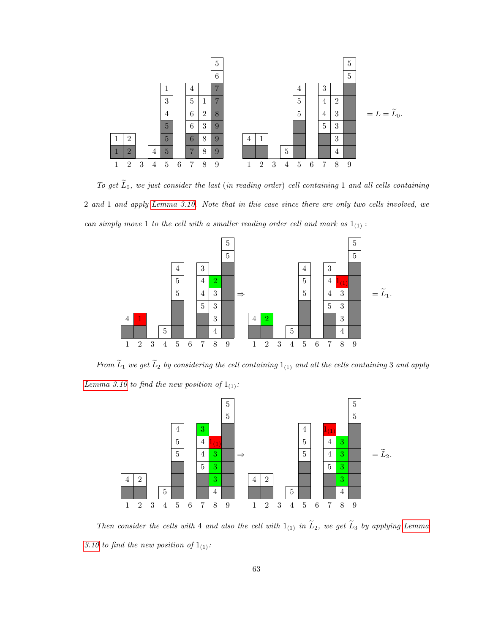

To get  $\widetilde{L}_0$ , we just consider the last (in reading order) cell containing 1 and all cells containing and 1 and apply [Lemma 3.10.](#page-64-0) Note that in this case since there are only two cells involved, we can simply move 1 to the cell with a smaller reading order cell and mark as  $1_{(1)}$ :



From  $\widetilde{L}_1$  we get  $\widetilde{L}_2$  by considering the cell containing  $1_{(1)}$  and all the cells containing 3 and apply [Lemma 3.10](#page-64-0) to find the new position of  $1_{(1)}$ :



Then consider the cells with 4 and also the cell with  $1_{(1)}$  in  $\widetilde{L}_2$ , we get  $\widetilde{L}_3$  by applying [Lemma](#page-64-0) [3.10](#page-64-0) to find the new position of  $1_{(1)}$ :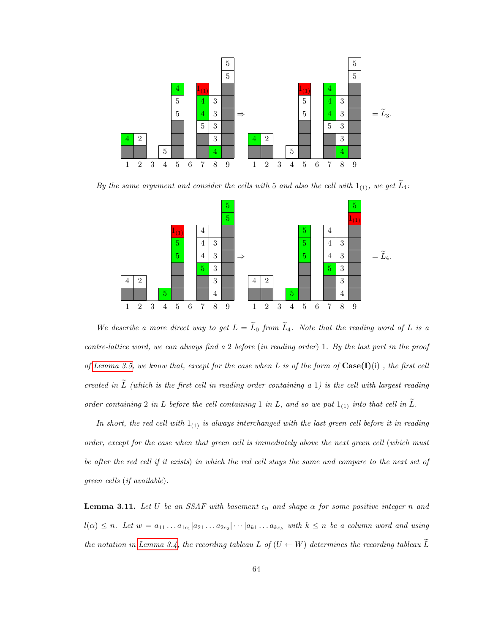

By the same argument and consider the cells with 5 and also the cell with  $1_{(1)}$ , we get  $\tilde{L}_4$ :



We describe a more direct way to get  $L = L_0$  from  $L_4$ . Note that the reading word of L is a contre-lattice word, we can always find a 2 before (in reading order) 1. By the last part in the proof of [Lemma 3.5,](#page-56-0) we know that, except for the case when L is of the form of  $\text{Case}(I)(i)$ , the first cell created in  $\tilde{L}$  (which is the first cell in reading order containing a 1) is the cell with largest reading order containing 2 in L before the cell containing 1 in L, and so we put  $1_{(1)}$  into that cell in L.

In short, the red cell with  $1_{(1)}$  is always interchanged with the last green cell before it in reading order, except for the case when that green cell is immediately above the next green cell (which must be after the red cell if it exists) in which the red cell stays the same and compare to the next set of green cells (if available).

<span id="page-68-0"></span>**Lemma 3.11.** Let U be an SSAF with basement  $\epsilon_n$  and shape  $\alpha$  for some positive integer n and  $l(\alpha) \leq n$ . Let  $w = a_{11} \ldots a_{1c_1} | a_{21} \ldots a_{2c_2} | \cdots | a_{k1} \ldots a_{kc_k}$  with  $k \leq n$  be a column word and using the notation in [Lemma 3.4,](#page-52-1) the recording tableau L of  $(U \leftarrow W)$  determines the recording tableau  $\widetilde{L}$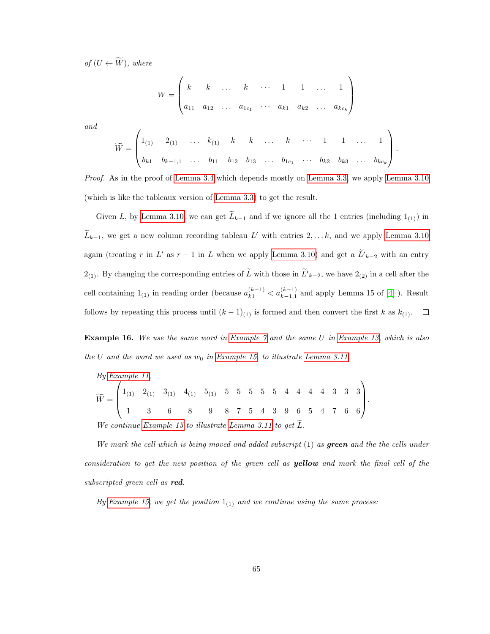of  $(U \leftarrow \widetilde{W})$ , where

$$
W = \begin{pmatrix} k & k & \dots & k & \dots & 1 & 1 & \dots & 1 \\ a_{11} & a_{12} & \dots & a_{1c_1} & \dots & a_{k1} & a_{k2} & \dots & a_{kc_k} \end{pmatrix}
$$

and

$$
\widetilde{W} = \begin{pmatrix} 1_{(1)} & 2_{(1)} & \dots & k_{(1)} & k & k & \dots & k & \dots & 1 & 1 & \dots & 1 \\ b_{k1} & b_{k-1,1} & \dots & b_{11} & b_{12} & b_{13} & \dots & b_{1c_1} & \dots & b_{k2} & b_{k3} & \dots & b_{kc_k} \end{pmatrix}.
$$

Proof. As in the proof of [Lemma 3.4](#page-52-1) which depends mostly on [Lemma 3.3,](#page-45-0) we apply [Lemma 3.10](#page-64-0) (which is like the tableaux version of [Lemma 3.3\)](#page-45-0) to get the result.

Given L, by [Lemma 3.10,](#page-64-0) we can get  $L_{k-1}$  and if we ignore all the 1 entries (including  $1_{(1)}$ ) in  $\tilde{L}_{k-1}$ , we get a new column recording tableau  $L'$  with entries  $2, \ldots k$ , and we apply [Lemma 3.10](#page-64-0) again (treating r in L' as  $r-1$  in L when we apply [Lemma 3.10\)](#page-64-0) and get a  $\tilde{L}'_{k-2}$  with an entry  $2_{(1)}$ . By changing the corresponding entries of L with those in  $L'_{k-2}$ , we have  $2_{(2)}$  in a cell after the cell containing  $1_{(1)}$  in reading order (because  $a_{k1}^{(k-1)} < a_{k-1,1}^{(k-1)}$  and apply Lemma 15 of [\[4\]](#page-123-2) ). Result follows by repeating this process until  $(k-1)_{(1)}$  is formed and then convert the first k as  $k_{(1)}$ .  $\Box$ 

Example 16. We use the same word in [Example 7](#page-38-0) and the same U in [Example 13,](#page-59-1) which is also the U and the word we used as  $w_0$  in [Example 15,](#page-65-0) to illustrate [Lemma 3.11.](#page-68-0)

By Example 11,  
\n
$$
\widetilde{W} = \begin{pmatrix}\n1_{(1)} & 2_{(1)} & 3_{(1)} & 4_{(1)} & 5_{(1)} & 5 & 5 & 5 & 5 & 5 & 4 & 4 & 4 & 3 & 3 & 3 \\
1 & 3 & 6 & 8 & 9 & 8 & 7 & 5 & 4 & 3 & 9 & 6 & 5 & 4 & 7 & 6 & 6\n\end{pmatrix}.
$$
\nWe continue Example 15 to illustrate Lemma 3.11 to get  $\widetilde{L}$ .

We mark the cell which is being moved and added subscript  $(1)$  as green and the the cells under consideration to get the new position of the green cell as **yellow** and mark the final cell of the subscripted green cell as red.

By [Example 15,](#page-65-0) we get the position  $1_{(1)}$  and we continue using the same process: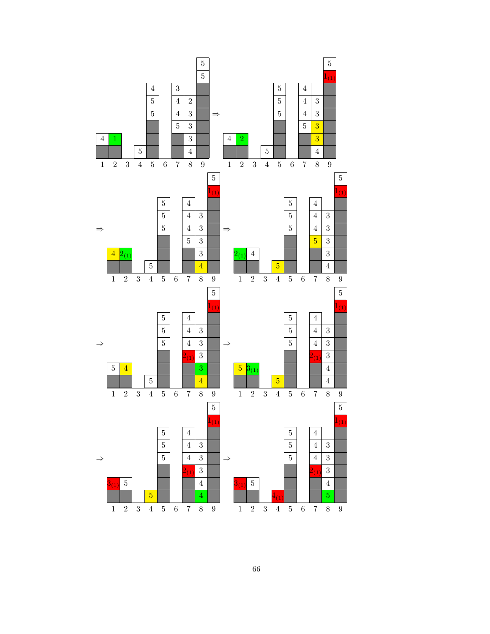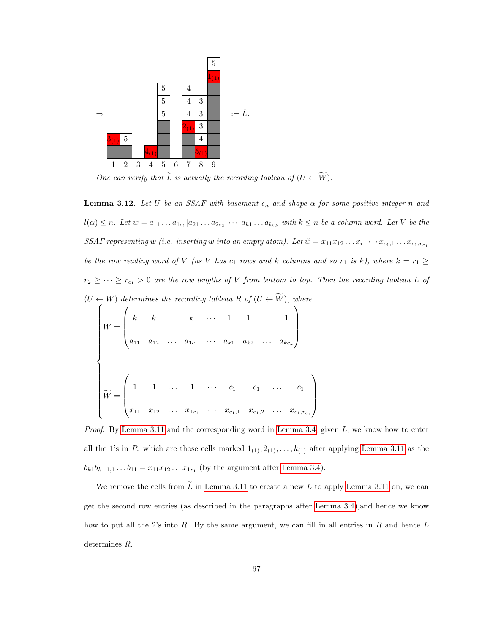

One can verify that  $\widetilde{L}$  is actually the recording tableau of  $(U \leftarrow \widetilde{W})$ .

**Lemma 3.12.** Let U be an SSAF with basement  $\epsilon_n$  and shape  $\alpha$  for some positive integer n and  $l(\alpha) \leq n$ . Let  $w = a_{11} \ldots a_{1c_1} | a_{21} \ldots a_{2c_2} | \cdots | a_{k1} \ldots a_{kc_k}$  with  $k \leq n$  be a column word. Let V be the SSAF representing w (i.e. inserting w into an empty atom). Let  $\tilde{w} = x_{11}x_{12} \dots x_{r1} \dots x_{c_1,1} \dots x_{c_1, r_{c_1}}$ be the row reading word of V (as V has  $c_1$  rows and k columns and so  $r_1$  is k), where  $k = r_1 \geq$  $r_2 \geq \cdots \geq r_{c_1} > 0$  are the row lengths of V from bottom to top. Then the recording tableau L of  $(U \leftarrow$  $\leftarrow$  W) determines the recording tableau R of (U ← W), where

$$
W = \begin{pmatrix} k & k & \dots & k & \dots & 1 & 1 & \dots & 1 \\ a_{11} & a_{12} & \dots & a_{1c_1} & \dots & a_{k1} & a_{k2} & \dots & a_{kc_k} \end{pmatrix}
$$

$$
\widetilde{W} = \begin{pmatrix} 1 & 1 & \dots & 1 & \dots & c_1 & c_1 & \dots & c_1 \\ x_{11} & x_{12} & \dots & x_{1r_1} & \dots & x_{c_1,1} & x_{c_1,2} & \dots & x_{c_1,r_{c_1}} \end{pmatrix}
$$

*Proof.* By [Lemma 3.11](#page-68-0) and the corresponding word in [Lemma 3.4,](#page-52-1) given  $L$ , we know how to enter all the 1's in R, which are those cells marked  $1_{(1)}, 2_{(1)}, \ldots, k_{(1)}$  after applying [Lemma 3.11](#page-68-0) as the  $b_{k1}b_{k-1,1}...b_{11} = x_{11}x_{12}...x_{1r_1}$  (by the argument after [Lemma 3.4\)](#page-52-1).

.

We remove the cells from  $\tilde{L}$  in [Lemma 3.11](#page-68-0) to create a new L to apply Lemma 3.11 on, we can get the second row entries (as described in the paragraphs after [Lemma 3.4\)](#page-52-1),and hence we know how to put all the 2's into  $R$ . By the same argument, we can fill in all entries in  $R$  and hence  $L$ determines R.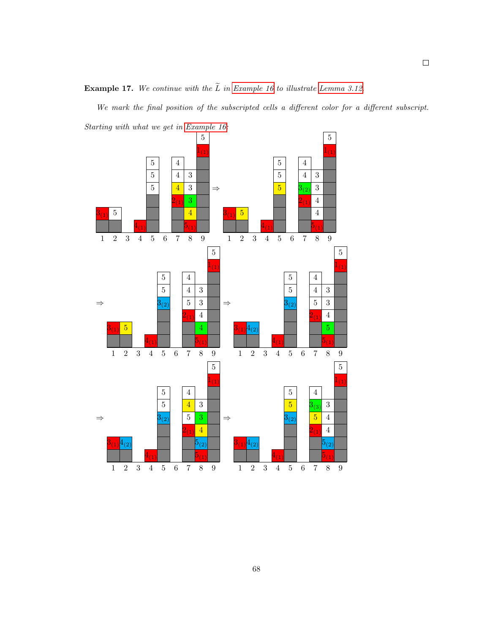# Example 17. We continue with the  $\widetilde{L}$  in [Example 16](#page-69-0) to illustrate [Lemma 3.12.](#page-71-0)

We mark the final position of the subscripted cells a different color for a different subscript. Starting with what we get in [Example 16:](#page-69-0)

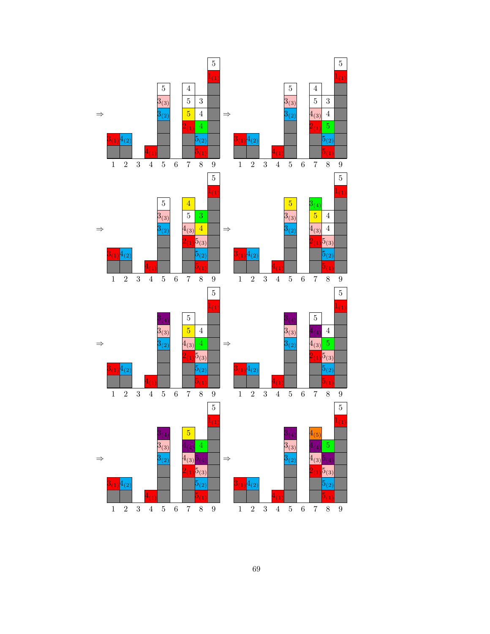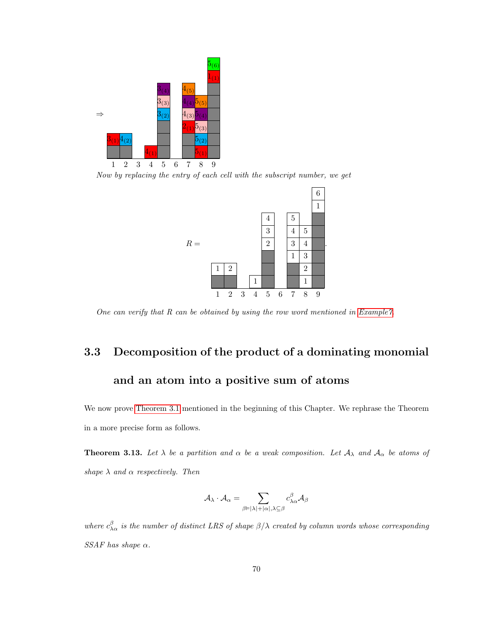

Now by replacing the entry of each cell with the subscript number, we get



One can verify that R can be obtained by using the row word mentioned in [Example7.](#page-38-0)

## 3.3 Decomposition of the product of a dominating monomial

# and an atom into a positive sum of atoms

We now prove [Theorem 3.1](#page-36-0) mentioned in the beginning of this Chapter. We rephrase the Theorem in a more precise form as follows.

<span id="page-74-0"></span>**Theorem 3.13.** Let  $\lambda$  be a partition and  $\alpha$  be a weak composition. Let  $\mathcal{A}_{\lambda}$  and  $\mathcal{A}_{\alpha}$  be atoms of shape  $\lambda$  and  $\alpha$  respectively. Then

$$
\mathcal{A}_{\lambda} \cdot \mathcal{A}_{\alpha} = \sum_{\beta \models |\lambda| + |\alpha|, \lambda \subseteq \beta} c_{\lambda \alpha}^{\beta} \mathcal{A}_{\beta}
$$

where  $c_{\lambda\alpha}^\beta$  is the number of distinct LRS of shape  $\beta/\lambda$  created by column words whose corresponding  $SSAF$  has shape  $\alpha$ .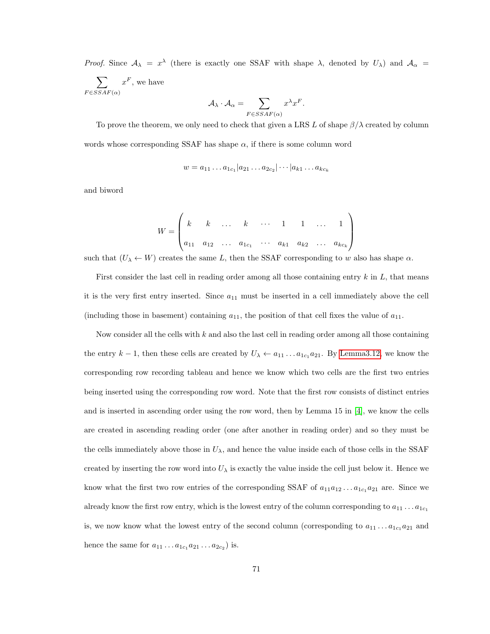Proof. Since  $A_{\lambda} = x^{\lambda}$  (there is exactly one SSAF with shape  $\lambda$ , denoted by  $U_{\lambda}$ ) and  $A_{\alpha} =$ 

 $\sum$  $F \in SSAF(\alpha)$  $x^F$ , we have

$$
\mathcal{A}_{\lambda} \cdot \mathcal{A}_{\alpha} = \sum_{F \in SSAF(\alpha)} x^{\lambda} x^F.
$$

To prove the theorem, we only need to check that given a LRS L of shape  $\beta/\lambda$  created by column words whose corresponding SSAF has shape  $\alpha$ , if there is some column word

$$
w = a_{11} \dots a_{1c_1} | a_{21} \dots a_{2c_2} | \dots | a_{k1} \dots a_{kc_k}
$$

and biword

$$
W = \begin{pmatrix} k & k & \dots & k & \cdots & 1 & 1 & \dots & 1 \\ a_{11} & a_{12} & \dots & a_{1c_1} & \cdots & a_{k1} & a_{k2} & \dots & a_{kc_k} \end{pmatrix}
$$

such that  $(U_\lambda \leftarrow W)$  creates the same L, then the SSAF corresponding to w also has shape  $\alpha$ .

First consider the last cell in reading order among all those containing entry  $k$  in  $L$ , that means it is the very first entry inserted. Since  $a_{11}$  must be inserted in a cell immediately above the cell (including those in basement) containing  $a_{11}$ , the position of that cell fixes the value of  $a_{11}$ .

Now consider all the cells with  $k$  and also the last cell in reading order among all those containing the entry  $k-1$ , then these cells are created by  $U_{\lambda} \leftarrow a_{11} \dots a_{1c_1} a_{21}$ . By [Lemma3.12,](#page-71-0) we know the corresponding row recording tableau and hence we know which two cells are the first two entries being inserted using the corresponding row word. Note that the first row consists of distinct entries and is inserted in ascending order using the row word, then by Lemma 15 in [\[4\]](#page-123-0), we know the cells are created in ascending reading order (one after another in reading order) and so they must be the cells immediately above those in  $U_{\lambda}$ , and hence the value inside each of those cells in the SSAF created by inserting the row word into  $U_{\lambda}$  is exactly the value inside the cell just below it. Hence we know what the first two row entries of the corresponding SSAF of  $a_{11}a_{12} \ldots a_{1c_1}a_{21}$  are. Since we already know the first row entry, which is the lowest entry of the column corresponding to  $a_{11} \ldots a_{1c_1}$ is, we now know what the lowest entry of the second column (corresponding to  $a_{11} \ldots a_{1c_1} a_{21}$  and hence the same for  $a_{11} \dots a_{1c_1} a_{21} \dots a_{2c_2}$  is.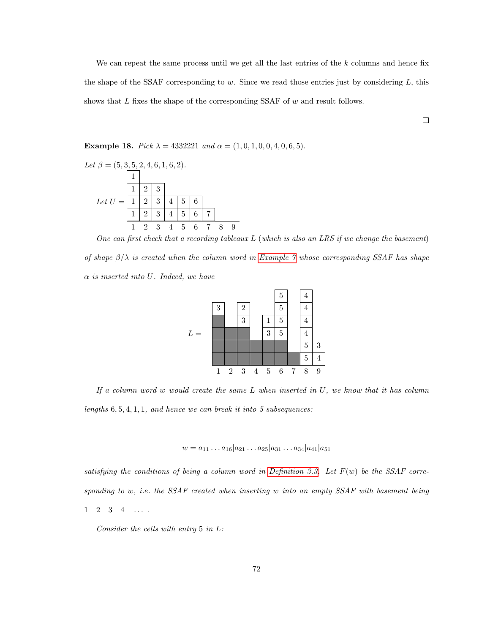We can repeat the same process until we get all the last entries of the  $k$  columns and hence fix the shape of the SSAF corresponding to  $w$ . Since we read those entries just by considering  $L$ , this shows that  $L$  fixes the shape of the corresponding SSAF of  $w$  and result follows.

Example 18. *Pick*  $\lambda = 4332221$  and  $\alpha = (1, 0, 1, 0, 0, 4, 0, 6, 5)$ .



One can first check that a recording tableaux  $L$  (which is also an LRS if we change the basement) of shape  $\beta/\lambda$  is created when the column word in [Example 7](#page-38-0) whose corresponding SSAF has shape  $\alpha$  is inserted into U. Indeed, we have



If a column word w would create the same  $L$  when inserted in  $U$ , we know that it has column lengths  $6, 5, 4, 1, 1$ , and hence we can break it into 5 subsequences:

 $w = a_{11} \dots a_{16} | a_{21} \dots a_{25} | a_{31} \dots a_{34} | a_{41} | a_{51}$ 

satisfying the conditions of being a column word in [Definition 3.3.](#page-37-0) Let  $F(w)$  be the SSAF corresponding to  $w$ , i.e. the SSAF created when inserting  $w$  into an empty SSAF with basement being  $1 \ 2 \ 3 \ 4 \ \ldots$ 

Consider the cells with entry 5 in L:

 $\Box$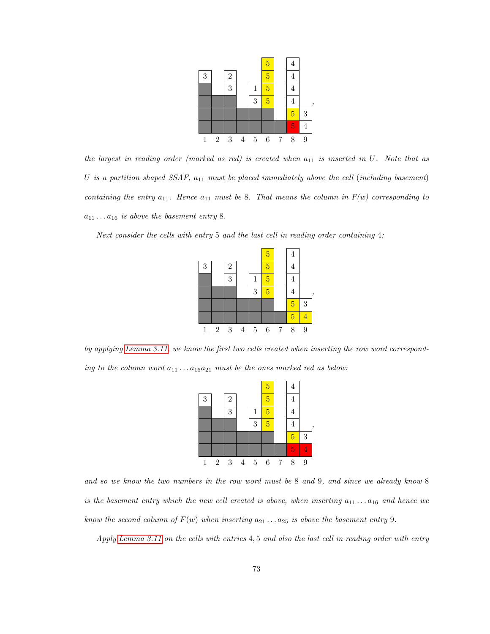

the largest in reading order (marked as red) is created when  $a_{11}$  is inserted in U. Note that as U is a partition shaped  $SSAF$ ,  $a_{11}$  must be placed immediately above the cell (including basement) containing the entry  $a_{11}$ . Hence  $a_{11}$  must be 8. That means the column in  $F(w)$  corresponding to  $a_{11} \ldots a_{16}$  is above the basement entry 8.

Next consider the cells with entry 5 and the last cell in reading order containing 4:



by applying [Lemma 3.11,](#page-68-0) we know the first two cells created when inserting the row word corresponding to the column word  $a_{11} \ldots a_{16} a_{21}$  must be the ones marked red as below:

|            |            |                |   |   | $\overline{5}$ |   | 4              |                |
|------------|------------|----------------|---|---|----------------|---|----------------|----------------|
| $\sqrt{3}$ |            | $\sqrt{2}$     |   |   | $\overline{5}$ |   | 4              |                |
|            |            | $\overline{3}$ |   | 1 | $\overline{5}$ |   | $\overline{4}$ |                |
|            |            |                |   | 3 | 5              |   | 4              | ,              |
|            |            |                |   |   |                |   | $\overline{5}$ | 3              |
|            |            |                |   |   |                |   | $\overline{5}$ | $\overline{4}$ |
|            | $\sqrt{2}$ | 3              | 4 | 5 | 6              | 7 | 8              | 9              |

and so we know the two numbers in the row word must be 8 and 9, and since we already know 8 is the basement entry which the new cell created is above, when inserting  $a_{11} \ldots a_{16}$  and hence we know the second column of  $F(w)$  when inserting  $a_{21} \ldots a_{25}$  is above the basement entry 9.

Apply [Lemma 3.11](#page-68-0) on the cells with entries 4, 5 and also the last cell in reading order with entry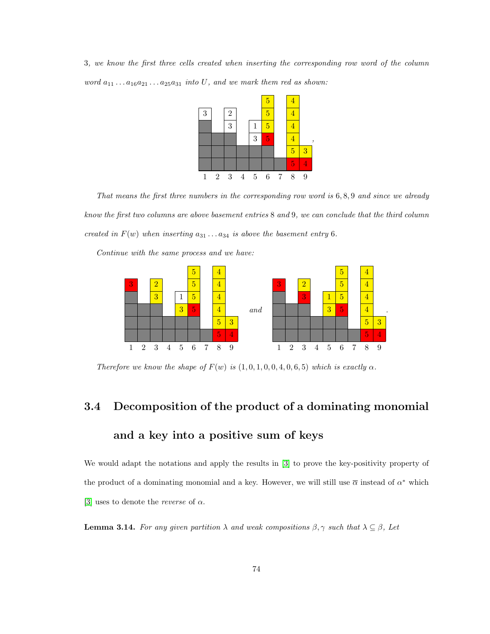3, we know the first three cells created when inserting the corresponding row word of the column word  $a_{11} \ldots a_{16} a_{21} \ldots a_{25} a_{31}$  into U, and we mark them red as shown:



That means the first three numbers in the corresponding row word is 6, 8, 9 and since we already know the first two columns are above basement entries 8 and 9, we can conclude that the third column created in  $F(w)$  when inserting  $a_{31} \ldots a_{34}$  is above the basement entry 6.

Continue with the same process and we have:



Therefore we know the shape of  $F(w)$  is  $(1, 0, 1, 0, 0, 4, 0, 6, 5)$  which is exactly  $\alpha$ .

# 3.4 Decomposition of the product of a dominating monomial

# and a key into a positive sum of keys

We would adapt the notations and apply the results in [\[3\]](#page-123-1) to prove the key-positivity property of the product of a dominating monomial and a key. However, we will still use  $\bar{\alpha}$  instead of  $\alpha^*$  which [\[3\]](#page-123-1) uses to denote the *reverse* of  $\alpha$ .

<span id="page-78-0"></span>**Lemma 3.14.** For any given partition  $\lambda$  and weak compositions  $\beta, \gamma$  such that  $\lambda \subseteq \beta$ , Let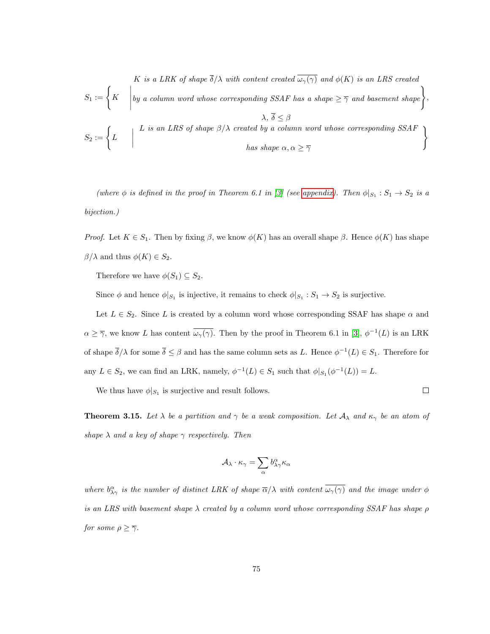$S_1 := \bigg\{ K$  $\begin{array}{c} \hline \end{array}$ K is a LRK of shape  $\overline{\delta}/\lambda$  with content created  $\overline{\omega_{\gamma}(\gamma)}$  and  $\phi(K)$  is an LRS created by a column word whose corresponding SSAF has a shape  $\geq \overline{\gamma}$  and basement shape  $\lambda$ ,  $\overline{\delta} \leq \beta$ ) ,  $S_2 := \left\{ L \quad \Bigg| \quad$ L is an LRS of shape  $\beta/\lambda$  created by a column word whose corresponding SSAF has shape  $\alpha, \alpha \geq \overline{\gamma}$ )

(where  $\phi$  is defined in the proof in Theorem 6.1 in [\[3\]](#page-123-1) (see [appendix\)](#page-118-0). Then  $\phi|_{S_1}:S_1\to S_2$  is a bijection.)

*Proof.* Let  $K \in S_1$ . Then by fixing  $\beta$ , we know  $\phi(K)$  has an overall shape  $\beta$ . Hence  $\phi(K)$  has shape  $\beta/\lambda$  and thus  $\phi(K) \in S_2$ .

Therefore we have  $\phi(S_1) \subseteq S_2$ .

Since  $\phi$  and hence  $\phi|_{S_1}$  is injective, it remains to check  $\phi|_{S_1} : S_1 \to S_2$  is surjective.

Let  $L \in S_2$ . Since L is created by a column word whose corresponding SSAF has shape  $\alpha$  and  $\alpha \geq \overline{\gamma}$ , we know L has content  $\overline{\omega_{\gamma}(\gamma)}$ . Then by the proof in Theorem 6.1 in [\[3\]](#page-123-1),  $\phi^{-1}(L)$  is an LRK of shape  $\overline{\delta}/\lambda$  for some  $\overline{\delta} \leq \beta$  and has the same column sets as L. Hence  $\phi^{-1}(L) \in S_1$ . Therefore for any  $L \in S_2$ , we can find an LRK, namely,  $\phi^{-1}(L) \in S_1$  such that  $\phi|_{S_1}(\phi^{-1}(L)) = L$ .

We thus have  $\phi|_{S_1}$  is surjective and result follows.

 $\Box$ 

**Theorem 3.15.** Let  $\lambda$  be a partition and  $\gamma$  be a weak composition. Let  $\mathcal{A}_{\lambda}$  and  $\kappa_{\gamma}$  be an atom of shape  $\lambda$  and a key of shape  $\gamma$  respectively. Then

$$
\mathcal{A}_\lambda\cdot\kappa_\gamma=\sum_\alpha b^\alpha_{\lambda\gamma}\kappa_\alpha
$$

where  $b^{\alpha}_{\lambda\gamma}$  is the number of distinct LRK of shape  $\overline{\alpha}/\lambda$  with content  $\overline{\omega_{\gamma}(\gamma)}$  and the image under  $\phi$ is an LRS with basement shape  $\lambda$  created by a column word whose corresponding SSAF has shape  $\rho$ for some  $\rho \geq \overline{\gamma}$ .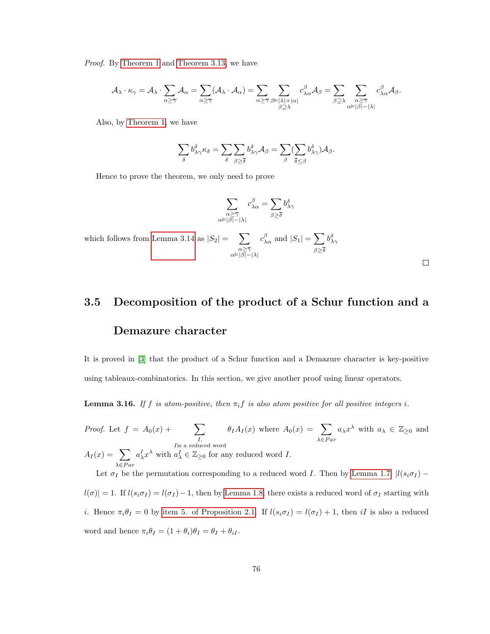Proof. By [Theorem 1](#page-33-0) and [Theorem 3.13,](#page-74-0) we have

$$
\mathcal{A}_\lambda \cdot \kappa_\gamma = \mathcal{A}_\lambda \cdot \sum_{\alpha \geq \overline{\gamma}} \mathcal{A}_\alpha = \sum_{\alpha \geq \overline{\gamma}} (\mathcal{A}_\lambda \cdot \mathcal{A}_\alpha) = \sum_{\alpha \geq \overline{\gamma}} \sum_{\substack{\beta \models |\lambda| + |\alpha| \\ \beta \supseteq \lambda}} c_{\lambda \alpha}^\beta \mathcal{A}_\beta = \sum_{\beta \supseteq \lambda} \sum_{\substack{\alpha \geq \overline{\gamma} \\ \alpha \models |\beta| - |\lambda|}} c_{\lambda \alpha}^\beta \mathcal{A}_\beta.
$$

Also, by [Theorem 1,](#page-33-0) we have

$$
\sum_{\delta} b_{\lambda\gamma}^{\delta} \kappa_{\delta} = \sum_{\delta} \sum_{\beta \geq \overline{\delta}} b_{\lambda\gamma}^{\delta} \mathcal{A}_{\beta} = \sum_{\beta} (\sum_{\overline{\delta} \leq \beta} b_{\lambda\gamma}^{\delta}) \mathcal{A}_{\beta}.
$$

Hence to prove the theorem, we only need to prove

$$
\sum_{\substack{\alpha \geq \overline{\gamma} \\ \alpha \vDash |\beta| - |\lambda|}} c_{\lambda \alpha}^\beta = \sum_{\beta \geq \overline{\delta}} b_{\lambda \gamma}^\delta
$$

which follows from [Lemma 3.14](#page-78-0) as  $|S_2| = \sum$  $\alpha \geq \overline{\gamma}$ <br> $\alpha \vDash |\beta| - |\lambda|$  $c_{\lambda\alpha}^{\beta}$  and  $|S_1| = \sum$ β≥δ  $b_{\lambda\gamma}^{\delta}$ 

# 3.5 Decomposition of the product of a Schur function and a Demazure character

It is proved in [\[3\]](#page-123-1) that the product of a Schur function and a Demazure character is key-positive using tableaux-combinatorics. In this section, we give another proof using linear operators.

<span id="page-80-0"></span>**Lemma 3.16.** If f is atom-positive, then  $\pi_i f$  is also atom positive for all positive integers i.

*Proof.* Let 
$$
f = A_0(x) + \sum_{\substack{I, \\ \lambda \in Par}} \theta_I A_I(x)
$$
 where  $A_0(x) = \sum_{\lambda \in Par} a_{\lambda} x^{\lambda}$  with  $a_{\lambda} \in \mathbb{Z}_{\geq 0}$  and  $A_I(x) = \sum_{\lambda \in Par} a_{\lambda}^I x^{\lambda}$  with  $a_{\lambda}^I \in \mathbb{Z}_{\geq 0}$  for any reduced word *I*.  
Let  $\sigma_I$  be the permutation corresponding to a reduced word *I*. Then by Lemma 1.7,  $|l(s_i \sigma_I) -$ 

 $l(\sigma) = 1$ . If  $l(s_i \sigma_I) = l(\sigma_I) - 1$ , then by [Lemma 1.8,](#page-13-0) there exists a reduced word of  $\sigma_I$  starting with i. Hence  $\pi_i \theta_I = 0$  by [item 5. of Proposition 2.1.](#page-18-0) If  $l(s_i \sigma_I) = l(\sigma_I) + 1$ , then iI is also a reduced word and hence  $\pi_i \theta_I = (1 + \theta_i)\theta_I = \theta_I + \theta_{iI}$ .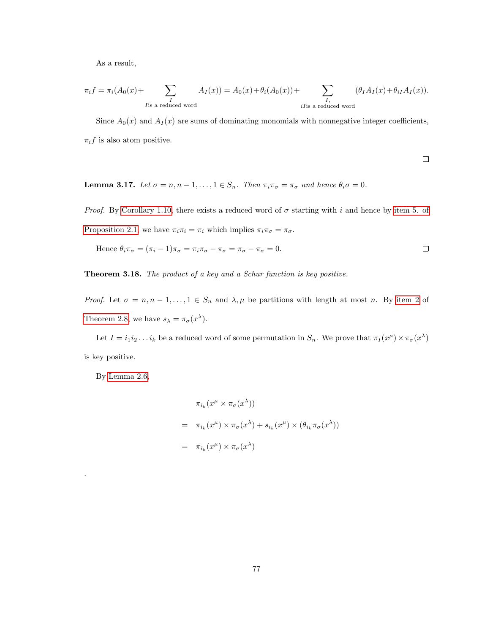As a result,

$$
\pi_i f = \pi_i (A_0(x) + \sum_{\substack{I \ \text{Is a reduced word}}} A_I(x)) = A_0(x) + \theta_i (A_0(x)) + \sum_{\substack{I, \\i \text{Is a reduced word}}} (\theta_I A_I(x) + \theta_{iI} A_I(x)).
$$

Since  $A_0(x)$  and  $A_1(x)$  are sums of dominating monomials with nonnegative integer coefficients,  $\pi_i f$  is also atom positive.

 $\Box$ 

**Lemma 3.17.** Let  $\sigma = n, n - 1, \ldots, 1 \in S_n$ . Then  $\pi_i \pi_\sigma = \pi_\sigma$  and hence  $\theta_i \sigma = 0$ .

*Proof.* By [Corollary 1.10,](#page-14-0) there exists a reduced word of  $\sigma$  starting with i and hence by [item 5. of](#page-18-0) [Proposition 2.1,](#page-18-0) we have  $\pi_i \pi_i = \pi_i$  which implies  $\pi_i \pi_\sigma = \pi_\sigma$ .

Hence 
$$
\theta_i \pi_{\sigma} = (\pi_i - 1)\pi_{\sigma} = \pi_i \pi_{\sigma} - \pi_{\sigma} = \pi_{\sigma} - \pi_{\sigma} = 0.
$$

<span id="page-81-0"></span>Theorem 3.18. The product of a key and a Schur function is key positive.

Proof. Let  $\sigma = n, n-1, \ldots, 1 \in S_n$  and  $\lambda, \mu$  be partitions with length at most n. By [item 2](#page-33-1) of [Theorem 2.8,](#page-33-2) we have  $s_{\lambda} = \pi_{\sigma}(x^{\lambda})$ .

Let  $I = i_1 i_2 \dots i_k$  be a reduced word of some permutation in  $S_n$ . We prove that  $\pi_I(x^{\mu}) \times \pi_{\sigma}(x^{\lambda})$ is key positive.

By [Lemma 2.6,](#page-27-0)

.

$$
\pi_{i_k}(x^{\mu} \times \pi_{\sigma}(x^{\lambda}))
$$
\n
$$
= \pi_{i_k}(x^{\mu}) \times \pi_{\sigma}(x^{\lambda}) + s_{i_k}(x^{\mu}) \times (\theta_{i_k}\pi_{\sigma}(x^{\lambda}))
$$
\n
$$
= \pi_{i_k}(x^{\mu}) \times \pi_{\sigma}(x^{\lambda})
$$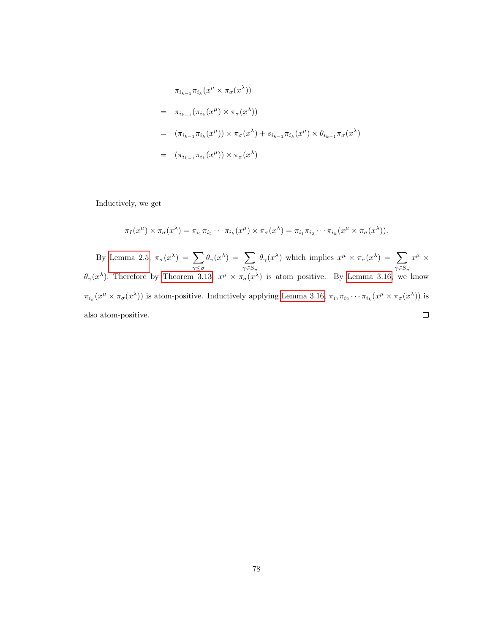$$
\pi_{i_{k-1}} \pi_{i_k} (x^{\mu} \times \pi_{\sigma}(x^{\lambda}))
$$
\n
$$
= \pi_{i_{k-1}} (\pi_{i_k} (x^{\mu}) \times \pi_{\sigma}(x^{\lambda}))
$$
\n
$$
= (\pi_{i_{k-1}} \pi_{i_k} (x^{\mu})) \times \pi_{\sigma}(x^{\lambda}) + s_{i_{k-1}} \pi_{i_k} (x^{\mu}) \times \theta_{i_{k-1}} \pi_{\sigma}(x^{\lambda})
$$
\n
$$
= (\pi_{i_{k-1}} \pi_{i_k} (x^{\mu})) \times \pi_{\sigma}(x^{\lambda})
$$

Inductively, we get

$$
\pi_I(x^{\mu}) \times \pi_{\sigma}(x^{\lambda}) = \pi_{i_1} \pi_{i_2} \cdots \pi_{i_k}(x^{\mu}) \times \pi_{\sigma}(x^{\lambda}) = \pi_{i_1} \pi_{i_2} \cdots \pi_{i_k}(x^{\mu} \times \pi_{\sigma}(x^{\lambda})).
$$

By [Lemma 2.5,](#page-26-0)  $\pi_{\sigma}(x^{\lambda}) = \sum$  $\theta_{\gamma}(x^{\lambda}) = \sum$  $\theta_{\gamma}(x^{\lambda})$  which implies  $x^{\mu} \times \pi_{\sigma}(x^{\lambda}) = \sum$  $x^{\mu} \times$  $γ ≤ σ$  $\gamma \in S_n$  $\gamma \in S_n$  $\theta_{\gamma}(x^{\lambda})$ . Therefore by [Theorem 3.13,](#page-74-0)  $x^{\mu} \times \pi_{\sigma}(x^{\lambda})$  is atom positive. By [Lemma 3.16,](#page-80-0) we know  $\pi_{i_k}(x^{\mu} \times \pi_{\sigma}(x^{\lambda}))$  is atom-positive. Inductively applying [Lemma 3.16,](#page-80-0)  $\pi_{i_1}\pi_{i_2}\cdots\pi_{i_k}(x^{\mu} \times \pi_{\sigma}(x^{\lambda}))$  is  $\Box$ also atom-positive.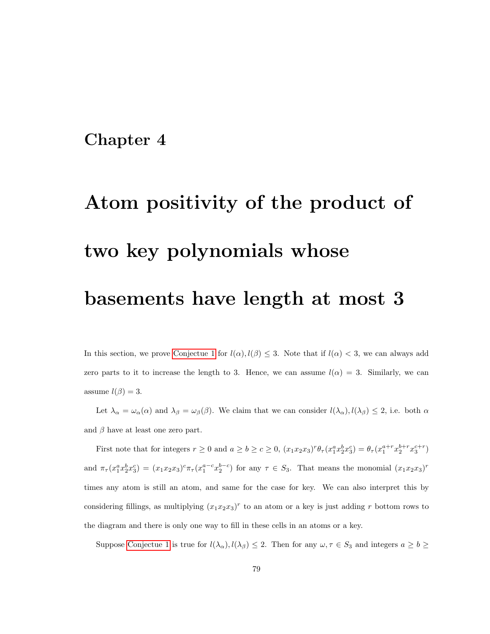# Chapter 4

# Atom positivity of the product of two key polynomials whose basements have length at most 3

In this section, we prove [Conjectue 1](#page-36-1) for  $l(\alpha)$ ,  $l(\beta) \leq 3$ . Note that if  $l(\alpha) < 3$ , we can always add zero parts to it to increase the length to 3. Hence, we can assume  $l(\alpha) = 3$ . Similarly, we can assume  $l(\beta) = 3$ .

Let  $\lambda_{\alpha} = \omega_{\alpha}(\alpha)$  and  $\lambda_{\beta} = \omega_{\beta}(\beta)$ . We claim that we can consider  $l(\lambda_{\alpha}), l(\lambda_{\beta}) \leq 2$ , i.e. both  $\alpha$ and  $\beta$  have at least one zero part.

First note that for integers  $r \geq 0$  and  $a \geq b \geq c \geq 0$ ,  $(x_1x_2x_3)^r \theta_\tau (x_1^a x_2^b x_3^c) = \theta_\tau (x_1^{a+r} x_2^{b+r} x_3^{c+r})$ and  $\pi_\tau(x_1^ax_2^bx_3^c) = (x_1x_2x_3)^c\pi_\tau(x_1^{a-c}x_2^{b-c})$  for any  $\tau \in S_3$ . That means the monomial  $(x_1x_2x_3)^r$ times any atom is still an atom, and same for the case for key. We can also interpret this by considering fillings, as multiplying  $(x_1x_2x_3)^r$  to an atom or a key is just adding r bottom rows to the diagram and there is only one way to fill in these cells in an atoms or a key.

Suppose [Conjectue 1](#page-36-1) is true for  $l(\lambda_{\alpha}), l(\lambda_{\beta}) \leq 2$ . Then for any  $\omega, \tau \in S_3$  and integers  $a \geq b \geq 2$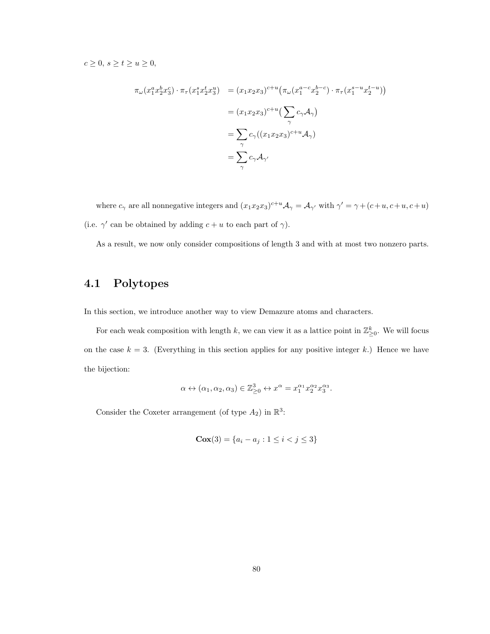$$
\pi_{\omega}(x_1^a x_2^b x_3^c) \cdot \pi_{\tau}(x_1^s x_2^t x_3^u) = (x_1 x_2 x_3)^{c+u} \big(\pi_{\omega}(x_1^{a-c} x_2^{b-c}) \cdot \pi_{\tau}(x_1^{s-u} x_2^{t-u})\big)
$$

$$
= (x_1 x_2 x_3)^{c+u} \big(\sum_{\gamma} c_{\gamma} \mathcal{A}_{\gamma}\big)
$$

$$
= \sum_{\gamma} c_{\gamma}((x_1 x_2 x_3)^{c+u} \mathcal{A}_{\gamma})
$$

$$
= \sum_{\gamma} c_{\gamma} \mathcal{A}_{\gamma'}
$$

where  $c_{\gamma}$  are all nonnegative integers and  $(x_1x_2x_3)^{c+u}\mathcal{A}_{\gamma} = \mathcal{A}_{\gamma'}$  with  $\gamma' = \gamma + (c+u, c+u, c+u)$ (i.e.  $\gamma'$  can be obtained by adding  $c + u$  to each part of  $\gamma$ ).

As a result, we now only consider compositions of length 3 and with at most two nonzero parts.

# 4.1 Polytopes

In this section, we introduce another way to view Demazure atoms and characters.

For each weak composition with length k, we can view it as a lattice point in  $\mathbb{Z}_{\geq 0}^k$ . We will focus on the case  $k = 3$ . (Everything in this section applies for any positive integer k.) Hence we have the bijection:

$$
\alpha \leftrightarrow (\alpha_1, \alpha_2, \alpha_3) \in \mathbb{Z}_{\geq 0}^3 \leftrightarrow x^\alpha = x_1^{\alpha_1} x_2^{\alpha_2} x_3^{\alpha_3}.
$$

Consider the Coxeter arrangement (of type  $A_2$ ) in  $\mathbb{R}^3$ :

$$
Cox(3) = \{a_i - a_j : 1 \le i < j \le 3\}
$$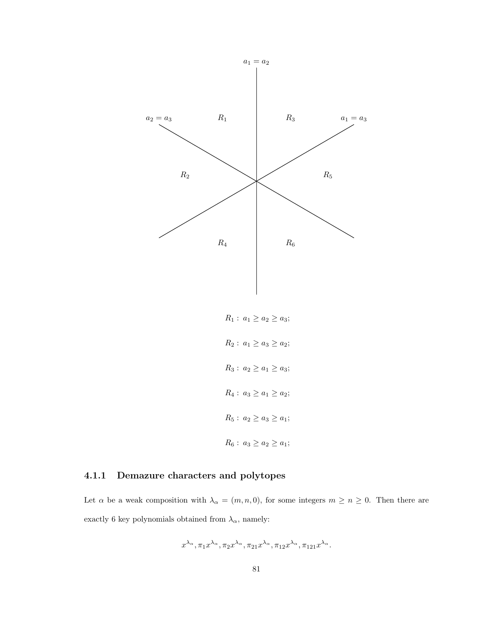

# <span id="page-85-0"></span>4.1.1 Demazure characters and polytopes

Let  $\alpha$  be a weak composition with  $\lambda_{\alpha} = (m, n, 0)$ , for some integers  $m \geq n \geq 0$ . Then there are exactly 6 key polynomials obtained from  $\lambda_{\alpha}$ , namely:

$$
x^{\lambda_{\alpha}}, \pi_1 x^{\lambda_{\alpha}}, \pi_2 x^{\lambda_{\alpha}}, \pi_{21} x^{\lambda_{\alpha}}, \pi_{12} x^{\lambda_{\alpha}}, \pi_{121} x^{\lambda_{\alpha}}.
$$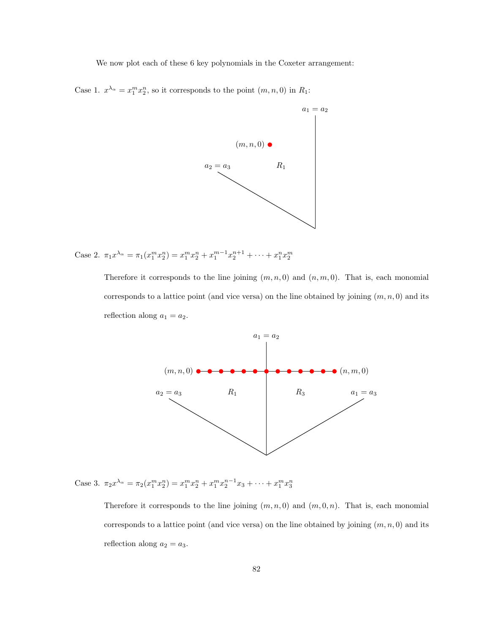We now plot each of these 6 key polynomials in the Coxeter arrangement:

Case 1.  $x^{\lambda_{\alpha}} = x_1^m x_2^n$ , so it corresponds to the point  $(m, n, 0)$  in  $R_1$ :



Case 2.  $\pi_1 x^{\lambda_\alpha} = \pi_1(x_1^m x_2^n) = x_1^m x_2^n + x_1^{m-1} x_2^{n+1} + \cdots + x_1^n x_2^m$ 

Therefore it corresponds to the line joining  $(m, n, 0)$  and  $(n, m, 0)$ . That is, each monomial corresponds to a lattice point (and vice versa) on the line obtained by joining  $(m, n, 0)$  and its reflection along  $a_1 = a_2$ .



Case 3.  $\pi_2 x^{\lambda_\alpha} = \pi_2 (x_1^m x_2^n) = x_1^m x_2^n + x_1^m x_2^{n-1} x_3 + \cdots + x_1^m x_3^n$ 

Therefore it corresponds to the line joining  $(m, n, 0)$  and  $(m, 0, n)$ . That is, each monomial corresponds to a lattice point (and vice versa) on the line obtained by joining  $(m, n, 0)$  and its reflection along  $a_2 = a_3$ .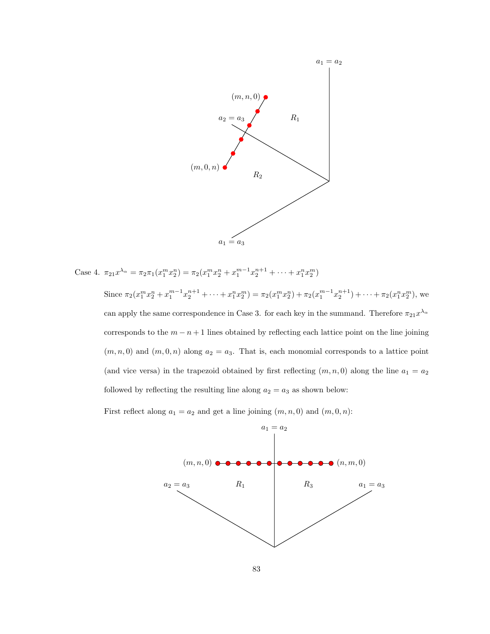

Case 4.  $\pi_{21} x^{\lambda_{\alpha}} = \pi_{2} \pi_1(x_1^m x_2^n) = \pi_2(x_1^m x_2^n + x_1^{m-1} x_2^{n+1} + \dots + x_1^n x_2^m)$ Since  $\pi_2(x_1^m x_2^n + x_1^{m-1} x_2^{n+1} + \cdots + x_1^n x_2^m) = \pi_2(x_1^m x_2^n) + \pi_2(x_1^{m-1} x_2^{n+1}) + \cdots + \pi_2(x_1^n x_2^m)$ , we can apply the same correspondence in Case 3. for each key in the summand. Therefore  $\pi_{21}x^{\lambda_{\alpha}}$ corresponds to the  $m - n + 1$  lines obtained by reflecting each lattice point on the line joining  $(m, n, 0)$  and  $(m, 0, n)$  along  $a_2 = a_3$ . That is, each monomial corresponds to a lattice point (and vice versa) in the trapezoid obtained by first reflecting  $(m, n, 0)$  along the line  $a_1 = a_2$ followed by reflecting the resulting line along  $a_2 = a_3$  as shown below:

First reflect along  $a_1 = a_2$  and get a line joining  $(m, n, 0)$  and  $(m, 0, n)$ :

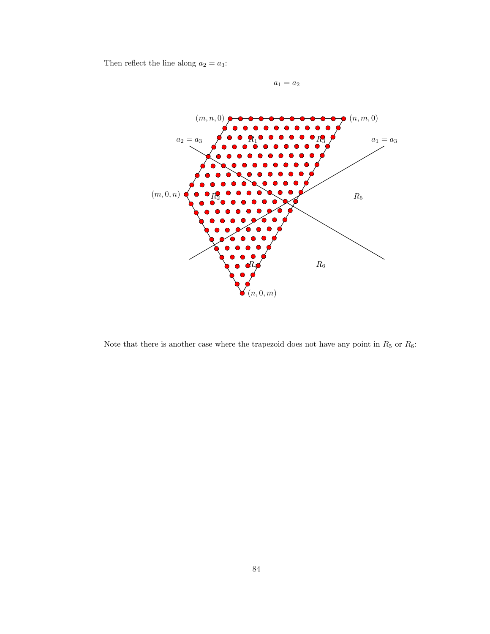Then reflect the line along  $a_2 = a_3$ :



Note that there is another case where the trapezoid does not have any point in  $R_5$  or  $R_6$ :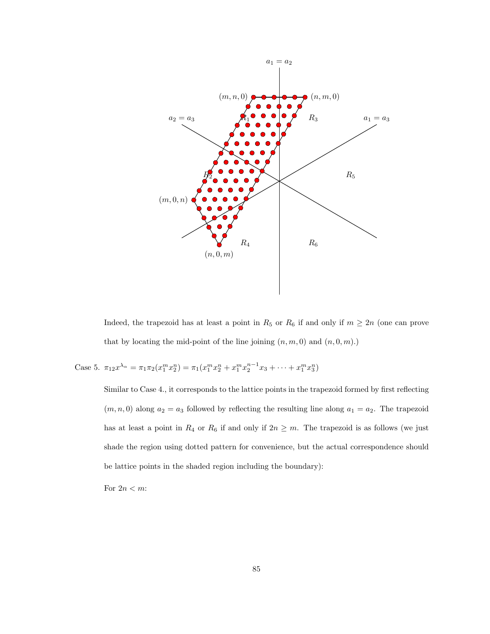

Indeed, the trapezoid has at least a point in  $R_5$  or  $R_6$  if and only if  $m \geq 2n$  (one can prove that by locating the mid-point of the line joining  $(n, m, 0)$  and  $(n, 0, m)$ .)

Case 5.  $\pi_{12} x^{\lambda_{\alpha}} = \pi_1 \pi_2 (x_1^m x_2^n) = \pi_1 (x_1^m x_2^n + x_1^m x_2^{n-1} x_3 + \cdots + x_1^m x_3^n)$ 

Similar to Case 4., it corresponds to the lattice points in the trapezoid formed by first reflecting  $(m, n, 0)$  along  $a_2 = a_3$  followed by reflecting the resulting line along  $a_1 = a_2$ . The trapezoid has at least a point in  $R_4$  or  $R_6$  if and only if  $2n \geq m$ . The trapezoid is as follows (we just shade the region using dotted pattern for convenience, but the actual correspondence should be lattice points in the shaded region including the boundary):

For  $2n < m$ :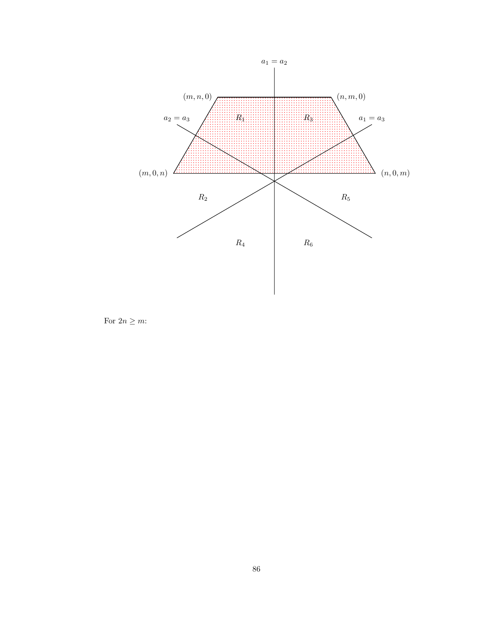

For  $2n \geq m$ :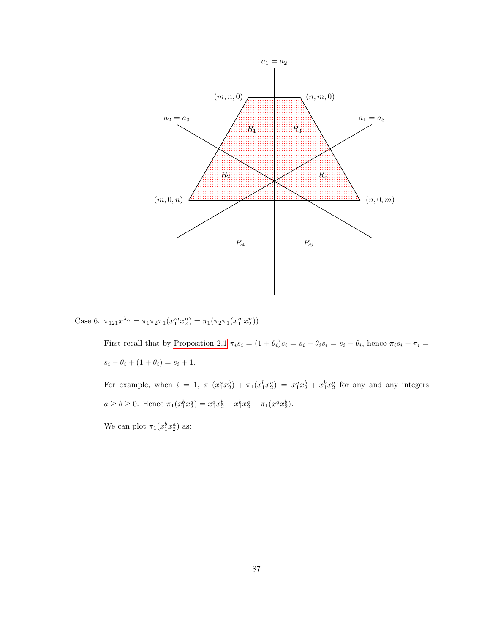

Case 6.  $\pi_{121} x^{\lambda_{\alpha}} = \pi_1 \pi_2 \pi_1(x_1^m x_2^n) = \pi_1(\pi_2 \pi_1(x_1^m x_2^n))$ 

First recall that by [Proposition 2.1](#page-18-0)  $\pi_i s_i = (1 + \theta_i)s_i = s_i + \theta_i s_i = s_i - \theta_i$ , hence  $\pi_i s_i + \pi_i =$  $s_i - \theta_i + (1 + \theta_i) = s_i + 1.$ 

For example, when  $i = 1, \pi_1(x_1^a x_2^b) + \pi_1(x_1^b x_2^a) = x_1^a x_2^b + x_1^b x_2^a$  for any and any integers  $a \ge b \ge 0$ . Hence  $\pi_1(x_1^b x_2^a) = x_1^a x_2^b + x_1^b x_2^a - \pi_1(x_1^a x_2^b)$ .

We can plot  $\pi_1(x_1^b x_2^a)$  as: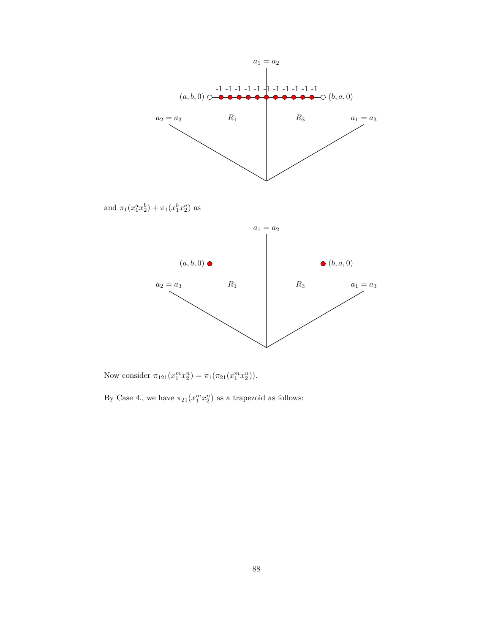

Now consider  $\pi_{121}(x_1^m x_2^n) = \pi_1(\pi_{21}(x_1^m x_2^n)).$ 

By Case 4., we have  $\pi_{21}(x_1^m x_2^n)$  as a trapezoid as follows: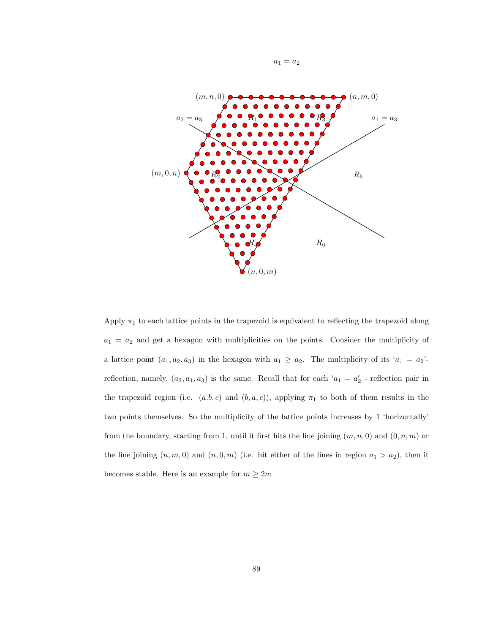

Apply  $\pi_1$  to each lattice points in the trapezoid is equivalent to reflecting the trapezoid along  $a_1 = a_2$  and get a hexagon with multiplicities on the points. Consider the multiplicity of a lattice point  $(a_1, a_2, a_3)$  in the hexagon with  $a_1 \ge a_2$ . The multiplicity of its ' $a_1 = a_2$ 'reflection, namely,  $(a_2, a_1, a_3)$  is the same. Recall that for each ' $a_1 = a'_2$  - reflection pair in the trapezoid region (i.e.  $(a.b, c)$  and  $(b, a, c)$ ), applying  $\pi_1$  to both of them results in the two points themselves. So the multiplicity of the lattice points increases by 1 'horizontally' from the boundary, starting from 1, until it first hits the line joining  $(m, n, 0)$  and  $(0, n, m)$  or the line joining  $(n, m, 0)$  and  $(n, 0, m)$  (i.e. hit either of the lines in region  $a_1 > a_2$ ), then it becomes stable. Here is an example for  $m \geq 2n$ :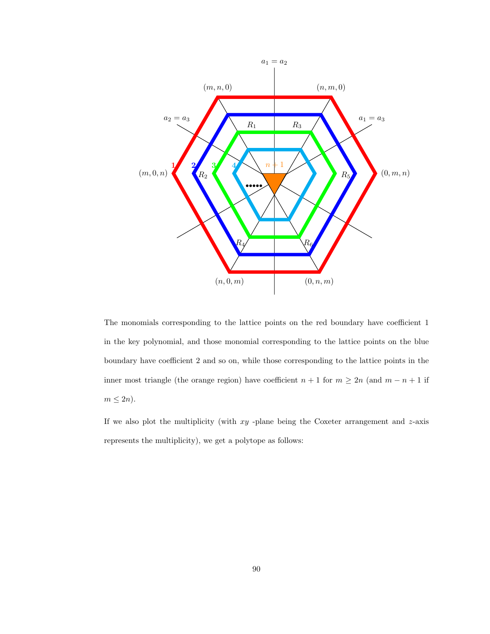

The monomials corresponding to the lattice points on the red boundary have coefficient 1 in the key polynomial, and those monomial corresponding to the lattice points on the blue boundary have coefficient 2 and so on, while those corresponding to the lattice points in the inner most triangle (the orange region) have coefficient  $n + 1$  for  $m \ge 2n$  (and  $m - n + 1$  if  $m\leq 2n).$ 

If we also plot the multiplicity (with  $xy$  -plane being the Coxeter arrangement and  $z$ -axis represents the multiplicity), we get a polytope as follows: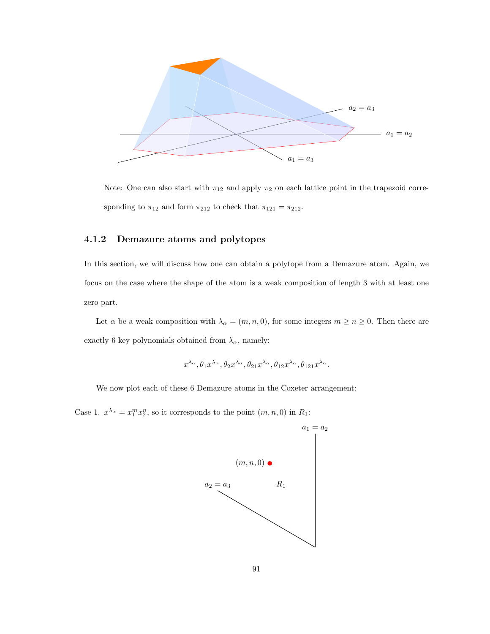

Note: One can also start with  $\pi_{12}$  and apply  $\pi_2$  on each lattice point in the trapezoid corresponding to  $\pi_{12}$  and form  $\pi_{212}$  to check that  $\pi_{121} = \pi_{212}$ .

#### 4.1.2 Demazure atoms and polytopes

In this section, we will discuss how one can obtain a polytope from a Demazure atom. Again, we focus on the case where the shape of the atom is a weak composition of length 3 with at least one zero part.

Let  $\alpha$  be a weak composition with  $\lambda_{\alpha} = (m, n, 0)$ , for some integers  $m \geq n \geq 0$ . Then there are exactly 6 key polynomials obtained from  $\lambda_{\alpha}$ , namely:

$$
x^{\lambda_{\alpha}}, \theta_1 x^{\lambda_{\alpha}}, \theta_2 x^{\lambda_{\alpha}}, \theta_{21} x^{\lambda_{\alpha}}, \theta_{12} x^{\lambda_{\alpha}}, \theta_{121} x^{\lambda_{\alpha}}.
$$

We now plot each of these 6 Demazure atoms in the Coxeter arrangement:

Case 1.  $x^{\lambda_{\alpha}} = x_1^m x_2^n$ , so it corresponds to the point  $(m, n, 0)$  in  $R_1$ :

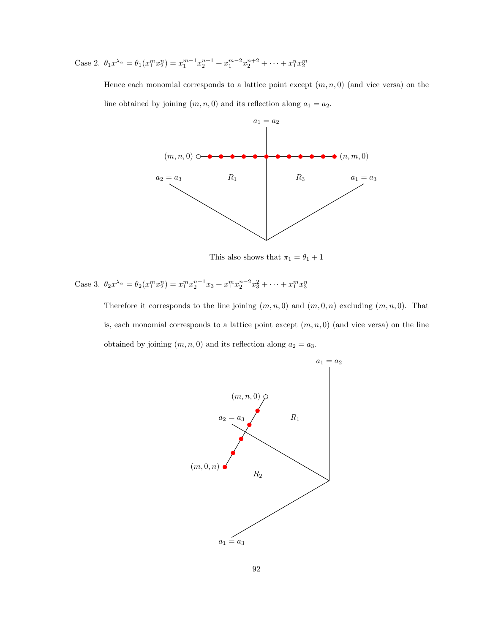Case 2.  $\theta_1 x^{\lambda_\alpha} = \theta_1(x_1^m x_2^n) = x_1^{m-1} x_2^{n+1} + x_1^{m-2} x_2^{n+2} + \cdots + x_1^n x_2^m$ 

Hence each monomial corresponds to a lattice point except  $(m, n, 0)$  (and vice versa) on the line obtained by joining  $(m, n, 0)$  and its reflection along  $a_1 = a_2$ .



This also shows that  $\pi_1 = \theta_1 + 1$ 

Case 3.  $\theta_2 x^{\lambda_\alpha} = \theta_2(x_1^m x_2^n) = x_1^m x_2^{n-1} x_3 + x_1^m x_2^{n-2} x_3^2 + \cdots + x_1^m x_3^n$ 

Therefore it corresponds to the line joining  $(m, n, 0)$  and  $(m, 0, n)$  excluding  $(m, n, 0)$ . That is, each monomial corresponds to a lattice point except  $(m, n, 0)$  (and vice versa) on the line obtained by joining  $(m, n, 0)$  and its reflection along  $a_2 = a_3$ .

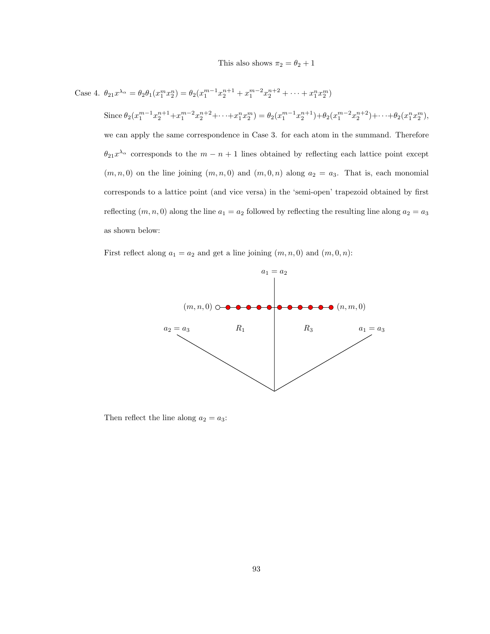### This also shows  $\pi_2 = \theta_2 + 1$

Case 4.  $\theta_{21} x^{\lambda_{\alpha}} = \theta_2 \theta_1 (x_1^m x_2^n) = \theta_2 (x_1^{m-1} x_2^{n+1} + x_1^{m-2} x_2^{n+2} + \dots + x_1^n x_2^m)$ Since  $\theta_2(x_1^{m-1}x_2^{n+1}+x_1^{m-2}x_2^{n+2}+\cdots+x_1^n x_2^m)=\theta_2(x_1^{m-1}x_2^{n+1})+\theta_2(x_1^{m-2}x_2^{n+2})+\cdots+\theta_2(x_1^n x_2^m)$ we can apply the same correspondence in Case 3. for each atom in the summand. Therefore  $\theta_{21} x^{\lambda_{\alpha}}$  corresponds to the  $m - n + 1$  lines obtained by reflecting each lattice point except  $(m, n, 0)$  on the line joining  $(m, n, 0)$  and  $(m, 0, n)$  along  $a_2 = a_3$ . That is, each monomial corresponds to a lattice point (and vice versa) in the 'semi-open' trapezoid obtained by first reflecting  $(m, n, 0)$  along the line  $a_1 = a_2$  followed by reflecting the resulting line along  $a_2 = a_3$ as shown below:





Then reflect the line along  $a_2 = a_3$ :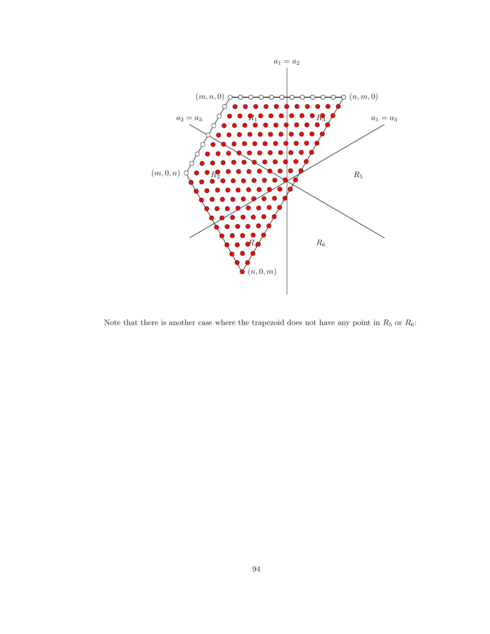

Note that there is another case where the trapezoid does not have any point in  $R_5$  or  $R_6$ :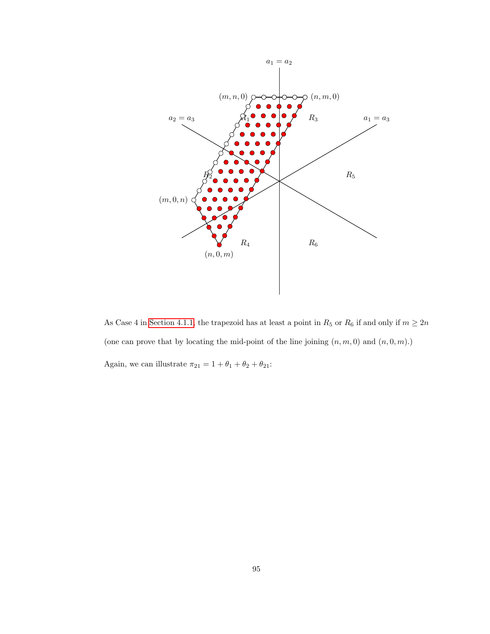

As Case 4 in [Section 4.1.1,](#page-85-0) the trapezoid has at least a point in  $R_5$  or  $R_6$  if and only if  $m \ge 2n$ (one can prove that by locating the mid-point of the line joining  $(n, m, 0)$  and  $(n, 0, m)$ .) Again, we can illustrate  $\pi_{21} = 1 + \theta_1 + \theta_2 + \theta_{21}$ :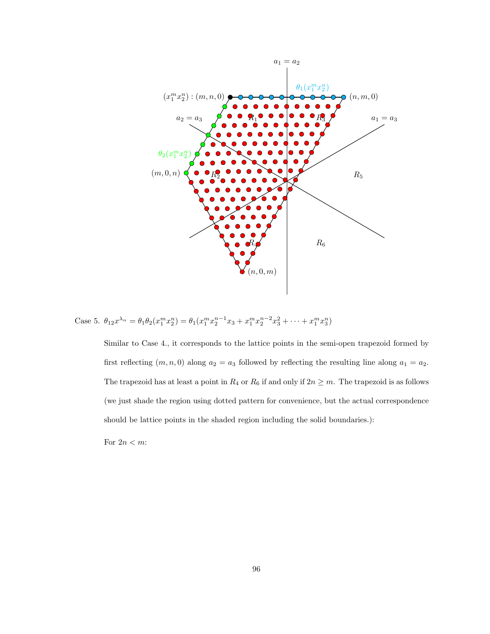

Case 5.  $\theta_{12} x^{\lambda_{\alpha}} = \theta_1 \theta_2 (x_1^m x_2^n) = \theta_1 (x_1^m x_2^{n-1} x_3 + x_1^m x_2^{n-2} x_3^2 + \dots + x_1^m x_3^n)$ 

Similar to Case 4., it corresponds to the lattice points in the semi-open trapezoid formed by first reflecting  $(m, n, 0)$  along  $a_2 = a_3$  followed by reflecting the resulting line along  $a_1 = a_2$ . The trapezoid has at least a point in  $R_4$  or  $R_6$  if and only if  $2n \geq m$ . The trapezoid is as follows (we just shade the region using dotted pattern for convenience, but the actual correspondence should be lattice points in the shaded region including the solid boundaries.):

For  $2n < m$ :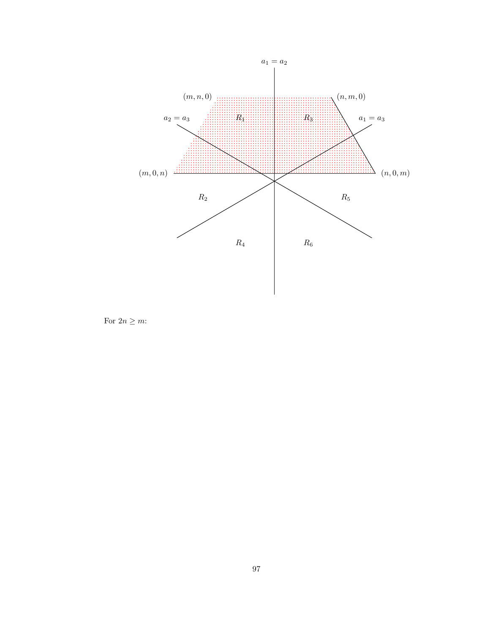

For  $2n \geq m$ :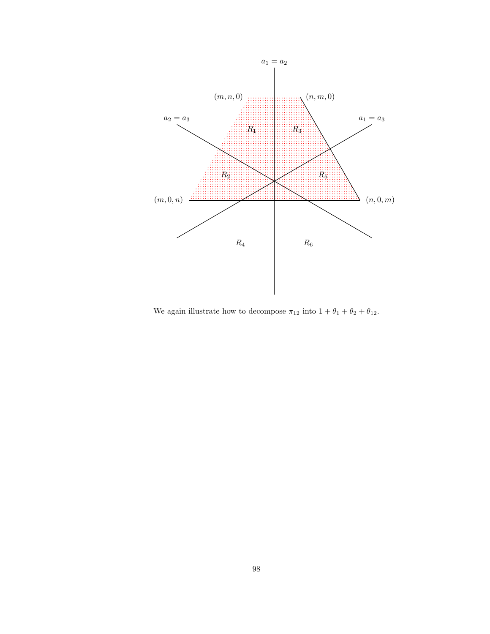

We again illustrate how to decompose  $\pi_{12}$  into  $1 + \theta_1 + \theta_2 + \theta_{12}$ .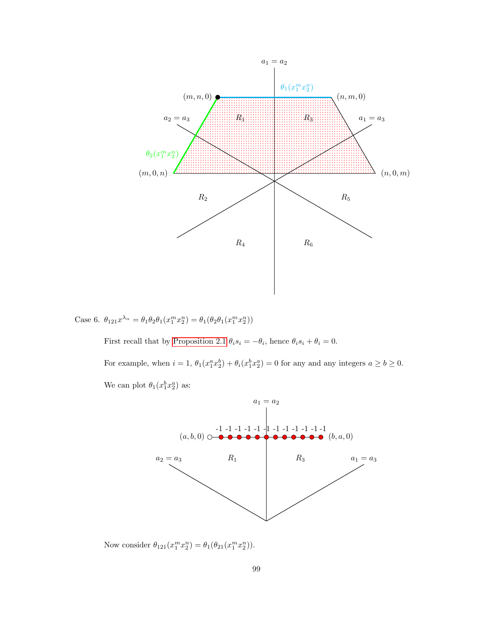

Case 6.  $\theta_{121} x^{\lambda_{\alpha}} = \theta_1 \theta_2 \theta_1(x_1^m x_2^n) = \theta_1(\theta_2 \theta_1(x_1^m x_2^n))$ 

First recall that by [Proposition 2.1](#page-18-0)  $\theta_i s_i = -\theta_i$ , hence  $\theta_i s_i + \theta_i = 0$ .

For example, when  $i = 1$ ,  $\theta_1(x_1^a x_2^b) + \theta_i(x_1^b x_2^a) = 0$  for any and any integers  $a \ge b \ge 0$ . We can plot  $\theta_1(x_1^b x_2^a)$  as:



Now consider  $\theta_{121}(x_1^m x_2^n) = \theta_1(\theta_{21}(x_1^m x_2^n)).$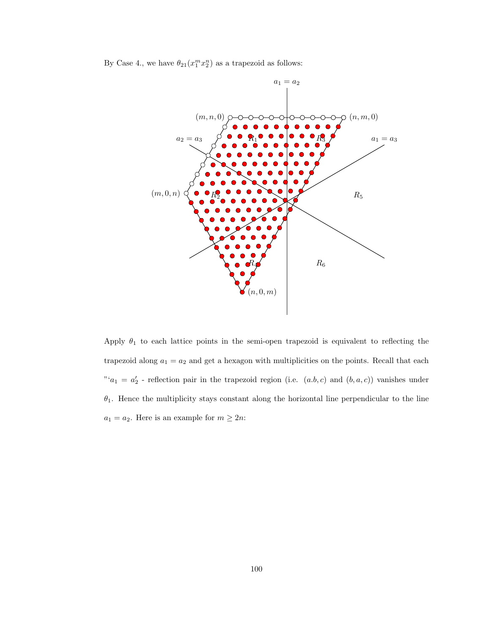By Case 4., we have  $\theta_{21}(x_1^m x_2^n)$  as a trapezoid as follows:



Apply  $\theta_1$  to each lattice points in the semi-open trapezoid is equivalent to reflecting the trapezoid along  $a_1 = a_2$  and get a hexagon with multiplicities on the points. Recall that each " $a_1 = a'_2$  - reflection pair in the trapezoid region (i.e.  $(a.b,c)$  and  $(b,a,c)$ ) vanishes under  $\theta_1$ . Hence the multiplicity stays constant along the horizontal line perpendicular to the line  $a_1 = a_2$ . Here is an example for  $m \geq 2n$ :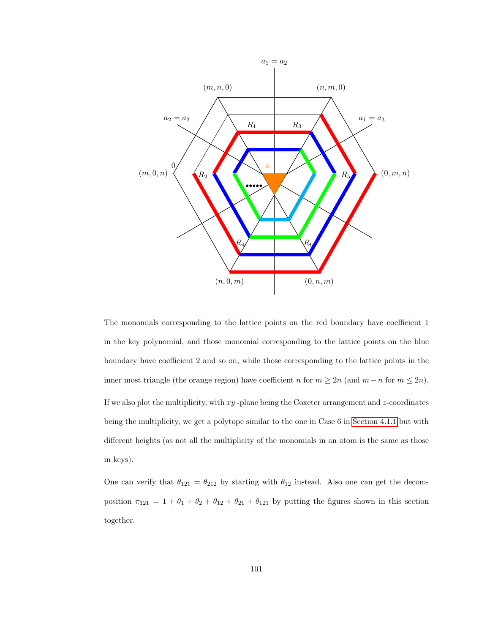

The monomials corresponding to the lattice points on the red boundary have coefficient 1 in the key polynomial, and those monomial corresponding to the lattice points on the blue boundary have coefficient 2 and so on, while those corresponding to the lattice points in the inner most triangle (the orange region) have coefficient n for  $m \ge 2n$  (and  $m - n$  for  $m \le 2n$ ). If we also plot the multiplicity, with  $xy$ -plane being the Coxeter arrangement and  $z$ -coordinates being the multiplicity, we get a polytope similar to the one in Case 6 in [Section 4.1.1](#page-85-0) but with different heights (as not all the multiplicity of the monomials in an atom is the same as those in keys).

One can verify that  $\theta_{121} = \theta_{212}$  by starting with  $\theta_{12}$  instead. Also one can get the decomposition  $\pi_{121} = 1 + \theta_1 + \theta_2 + \theta_{12} + \theta_{21} + \theta_{121}$  by putting the figures shown in this section together.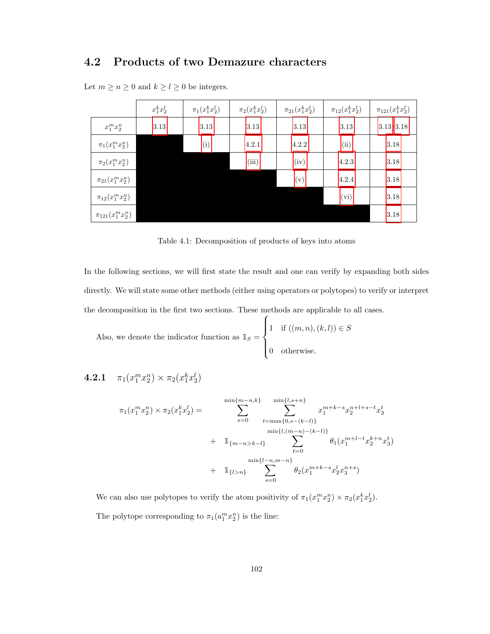## 4.2 Products of two Demazure characters

|                          | $x_1^k x_2^l$ | $\pi_1(x_1^k x_2^l)$ | $\pi_2(x_1^k x_2^l)$ | $\pi_{21}(x_1^k x_2^l)$ | $\pi_{12}(x_1^k x_2^l)$ | $\pi_{121}(x_1^k x_2^l)$ |
|--------------------------|---------------|----------------------|----------------------|-------------------------|-------------------------|--------------------------|
| $x_1^m x_2^n$            | 3.13          | 3.13                 | 3.13                 | 3.13                    | 3.13                    | 3.13/3.18                |
| $\pi_1(x_1^m x_2^n)$     |               | (i)                  | 4.2.1                | 4.2.2                   | (ii)                    | 3.18                     |
| $\pi_2(x_1^m x_2^n)$     |               |                      | (iii)                | (iv)                    | 4.2.3                   | 3.18                     |
| $\pi_{21}(x_1^m x_2^n)$  |               |                      |                      | $(\mathrm{v})$          | 4.2.4                   | 3.18                     |
| $\pi_{12}(x_1^m x_2^n)$  |               |                      |                      |                         | (vi)                    | 3.18                     |
| $\pi_{121}(x_1^m x_2^n)$ |               |                      |                      |                         |                         | 3.18                     |

Let  $m \ge n \ge 0$  and  $k \ge l \ge 0$  be integers.

Table 4.1: Decomposition of products of keys into atoms

In the following sections, we will first state the result and one can verify by expanding both sides directly. We will state some other methods (either using operators or polytopes) to verify or interpret the decomposition in the first two sections. These methods are applicable to all cases.

Also, we denote the indicator function as  $\mathbb{1}_S =$  $\sqrt{ }$  $\int$  $\overline{\mathcal{L}}$ 1 if  $((m, n), (k, l)) \in S$ 0 otherwise.

<span id="page-106-0"></span>4.2.1  $\pi_1(x_1^m x_2^n) \times \pi_2(x_1^k x_2^l)$  $\pi_1(x_1^m x_2^n) \times \pi_2(x_1^k x_2^l) =$  $\sum^{ \min\{m-n,k\} }$  $s=0$ min{  $\sum$  $l, s+n$ }  $t=\max\{0,s-(k-l)\}\$  $x_1^{m+k-s}x_2^{n+l+s-t}x_3^t$  $+$  1<sub>{m-n>k-l}</sub>  $\sum^{\min\{l,(m-n)-(k-l)\}}$  $t=0$  $\theta_1(x_1^{m+l-t}x_2^{k+n}x_3^t)$  $+ \mathbb{1}_{\{l > n\}}$  $\sum^{\min\{l-n,m-n\}}$  $s=0$  $\theta_2(x_1^{m+k-s}x_2^lx_3^{n+s})$ 

We can also use polytopes to verify the atom positivity of  $\pi_1(x_1^m x_2^n) \times \pi_2(x_1^k x_2^l)$ . The polytope corresponding to  $\pi_1(a_1^m x_2^n)$  is the line: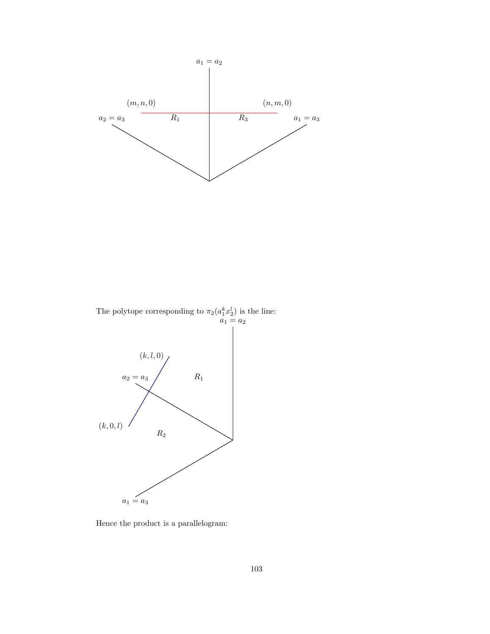

The polytope corresponding to  $\pi_2(a_1^k x_2^l)$  is the line:  $a_1 = a_2$  $a_2 = a_3$   $R_1$  $R_2$  $(k, l, 0)$  $(k, 0, l)$ 

Hence the product is a parallelogram:

 $a_1 = a_3$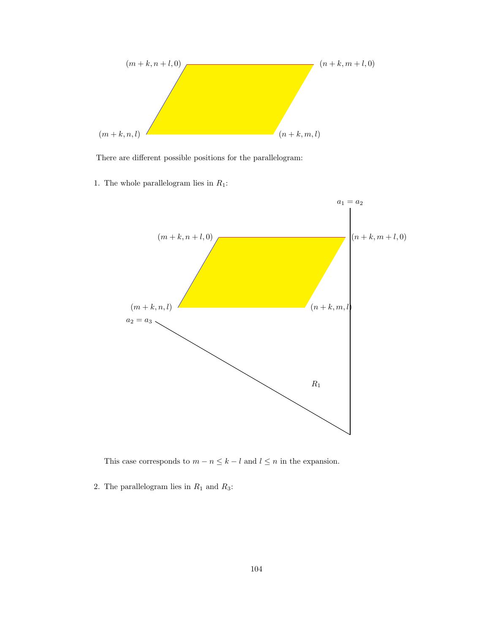

There are different possible positions for the parallelogram:

1. The whole parallelogram lies in  $R_1$ :



This case corresponds to  $m-n\leq k-l$  and  $l\leq n$  in the expansion.

2. The parallelogram lies in  $\mathcal{R}_1$  and  $\mathcal{R}_3:$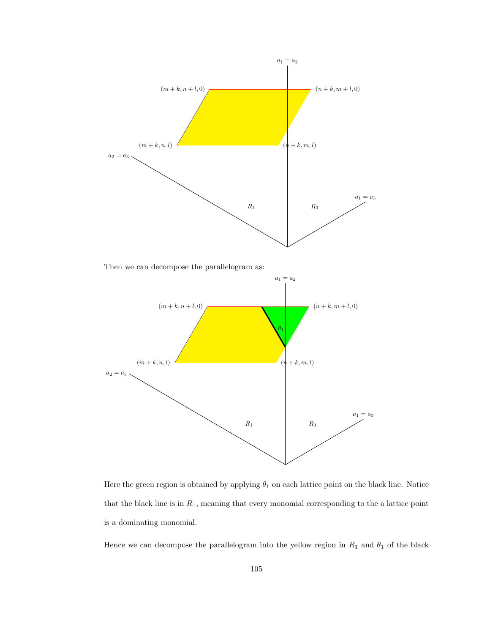

Then we can decompose the parallelogram as:



Here the green region is obtained by applying  $\theta_1$  on each lattice point on the black line. Notice that the black line is in  $R_1$ , meaning that every monomial corresponding to the a lattice point is a dominating monomial.

Hence we can decompose the parallelogram into the yellow region in  $R_1$  and  $\theta_1$  of the black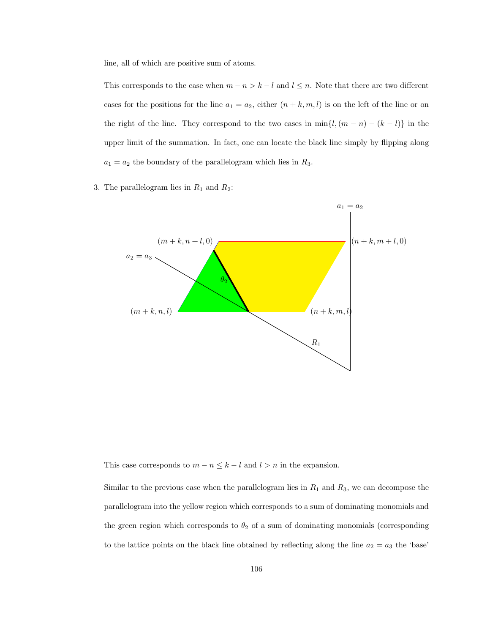line, all of which are positive sum of atoms.

This corresponds to the case when  $m - n > k - l$  and  $l \leq n$ . Note that there are two different cases for the positions for the line  $a_1 = a_2$ , either  $(n + k, m, l)$  is on the left of the line or on the right of the line. They correspond to the two cases in  $\min\{l,(m-n)-(k-l)\}$  in the upper limit of the summation. In fact, one can locate the black line simply by flipping along  $a_1 = a_2$  the boundary of the parallelogram which lies in  $R_3$ .

3. The parallelogram lies in  $R_1$  and  $R_2$ :



This case corresponds to  $m - n \leq k - l$  and  $l > n$  in the expansion.

Similar to the previous case when the parallelogram lies in  $R_1$  and  $R_3$ , we can decompose the parallelogram into the yellow region which corresponds to a sum of dominating monomials and the green region which corresponds to  $\theta_2$  of a sum of dominating monomials (corresponding to the lattice points on the black line obtained by reflecting along the line  $a_2 = a_3$  the 'base'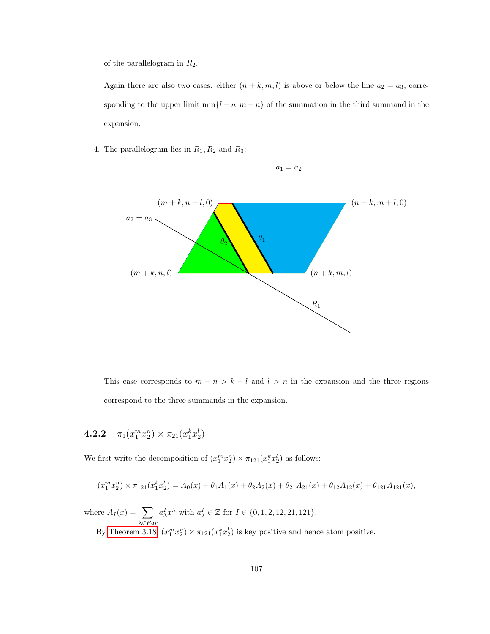of the parallelogram in  $R_2$ .

Again there are also two cases: either  $(n + k, m, l)$  is above or below the line  $a_2 = a_3$ , corresponding to the upper limit  $\min\{l - n, m - n\}$  of the summation in the third summand in the expansion.

4. The parallelogram lies in  $R_1, R_2$  and  $R_3$ :



This case corresponds to  $m - n > k - l$  and  $l > n$  in the expansion and the three regions correspond to the three summands in the expansion.

<span id="page-111-0"></span> $4.2.2$  $\binom{m}{1}x_2^n \times \pi_{21}(x_1^k x_2^l)$ 

We first write the decomposition of  $(x_1^m x_2^n) \times \pi_{121}(x_1^k x_2^l)$  as follows:

$$
(x_1^m x_2^n) \times \pi_{121}(x_1^k x_2^l) = A_0(x) + \theta_1 A_1(x) + \theta_2 A_2(x) + \theta_{21} A_{21}(x) + \theta_{12} A_{12}(x) + \theta_{121} A_{121}(x),
$$

where  $A_I(x) = \sum$  $\lambda \in Par$  $a_{\lambda}^{\{I\}} x^{\lambda}$  with  $a_{\lambda}^{\{I\}} \in \mathbb{Z}$  for  $I \in \{0, 1, 2, 12, 21, 121\}.$ 

By [Theorem 3.18,](#page-81-0)  $(x_1^m x_2^n) \times \pi_{121}(x_1^k x_2^l)$  is key positive and hence atom positive.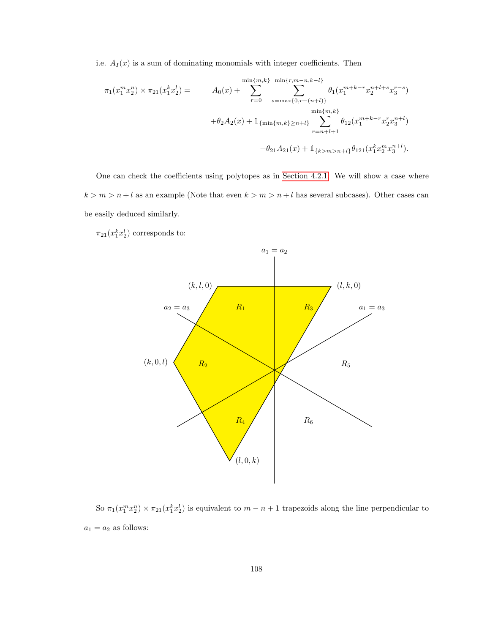i.e.  $A_I(x)$  is a sum of dominating monomials with integer coefficients. Then

$$
\pi_1(x_1^m x_2^n) \times \pi_{21}(x_1^k x_2^l) = \qquad A_0(x) + \sum_{r=0}^{\min\{m,k\}} \sum_{s=\max\{0,r-(n+l)\}}^{\min\{r,m-n,k-l\}} \theta_1(x_1^{m+k-r} x_2^{n+l+s} x_3^{r-s})
$$

$$
+ \theta_2 A_2(x) + \mathbb{1}_{\{\min\{m,k\}\geq n+l\}} \sum_{r=n+l+1}^{\min\{m,k\}} \theta_{12}(x_1^{m+k-r} x_2^r x_3^{n+l})
$$

$$
+ \theta_{21} A_{21}(x) + \mathbb{1}_{\{k>m>n+l\}} \theta_{121}(x_1^k x_2^m x_3^{n+l}).
$$

One can check the coefficients using polytopes as in [Section 4.2.1.](#page-106-0) We will show a case where  $k > m > n + l$  as an example (Note that even  $k > m > n + l$  has several subcases). Other cases can be easily deduced similarly.

 $\pi_{21}(x_1^k x_2^l)$  corresponds to:



So  $\pi_1(x_1^m x_2^n) \times \pi_{21}(x_1^k x_2^l)$  is equivalent to  $m-n+1$  trapezoids along the line perpendicular to  $\ensuremath{\mathnormal{a}}\xspace_1 = \ensuremath{\mathnormal{a}}\xspace_2$  as follows: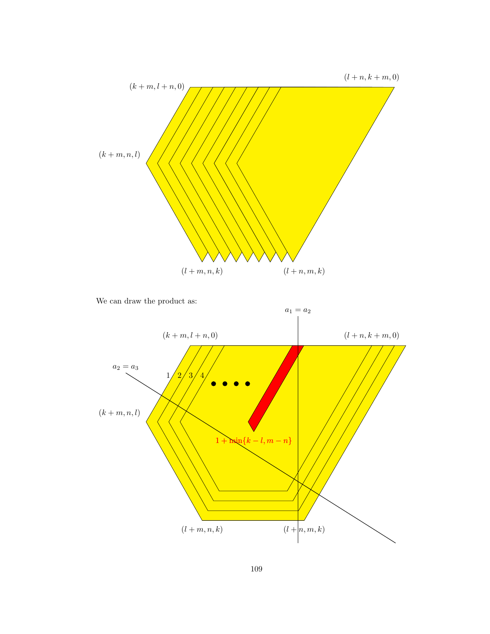



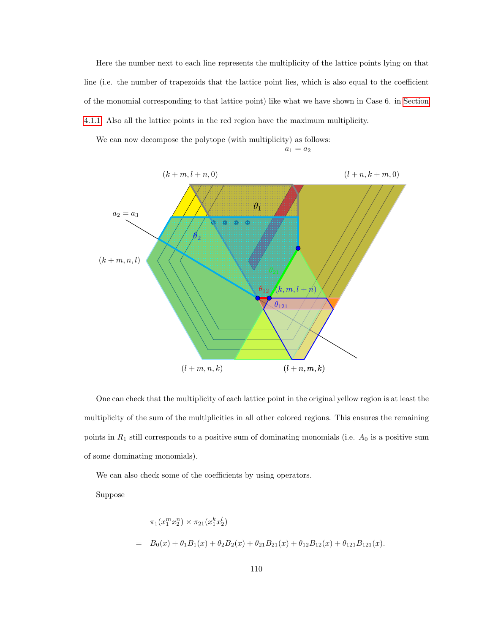Here the number next to each line represents the multiplicity of the lattice points lying on that line (i.e. the number of trapezoids that the lattice point lies, which is also equal to the coefficient of the monomial corresponding to that lattice point) like what we have shown in Case 6. in [Section](#page-85-0) [4.1.1.](#page-85-0) Also all the lattice points in the red region have the maximum multiplicity.

 $a_1 = a_2$  $(k + m, l + n, 0)$   $(l + n, k + m, 0)$  $\theta_1$  $a_2 = a_3$ ö ю  $\theta_2$  $(k+m, n, l)$  $\theta_{12}$   $(k, m, l + n)$  $\theta_{121}$  $(l + m, n, k)$   $(l + n, m, k)$ 

We can now decompose the polytope (with multiplicity) as follows:

One can check that the multiplicity of each lattice point in the original yellow region is at least the multiplicity of the sum of the multiplicities in all other colored regions. This ensures the remaining points in  $R_1$  still corresponds to a positive sum of dominating monomials (i.e.  $A_0$  is a positive sum of some dominating monomials).

We can also check some of the coefficients by using operators.

Suppose

$$
\pi_1(x_1^m x_2^n) \times \pi_{21}(x_1^k x_2^l)
$$
  
=  $B_0(x) + \theta_1 B_1(x) + \theta_2 B_2(x) + \theta_{21} B_{21}(x) + \theta_{12} B_{12}(x) + \theta_{121} B_{121}(x)$ .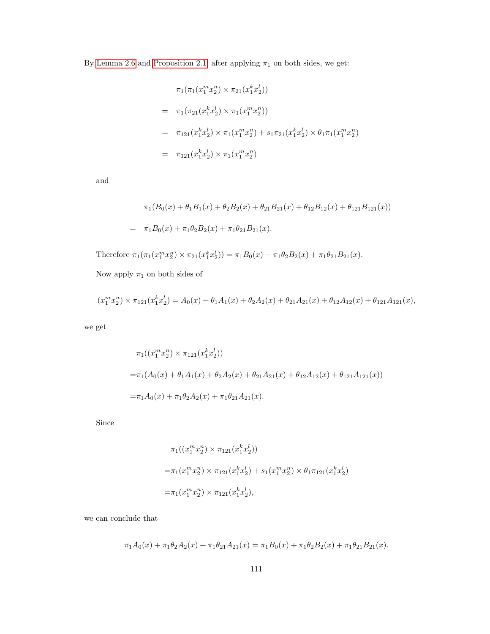By [Lemma 2.6](#page-27-0) and [Proposition 2.1,](#page-18-0) after applying  $\pi_1$  on both sides, we get:

$$
\pi_1(\pi_1(x_1^m x_2^n) \times \pi_{21}(x_1^k x_2^l))
$$
\n
$$
= \pi_1(\pi_{21}(x_1^k x_2^l) \times \pi_1(x_1^m x_2^n))
$$
\n
$$
= \pi_{121}(x_1^k x_2^l) \times \pi_1(x_1^m x_2^n) + s_1 \pi_{21}(x_1^k x_2^l) \times \theta_1 \pi_1(x_1^m x_2^n)
$$
\n
$$
= \pi_{121}(x_1^k x_2^l) \times \pi_1(x_1^m x_2^n)
$$

and

$$
\pi_1(B_0(x) + \theta_1 B_1(x) + \theta_2 B_2(x) + \theta_{21} B_{21}(x) + \theta_{12} B_{12}(x) + \theta_{121} B_{121}(x))
$$
  
= 
$$
\pi_1 B_0(x) + \pi_1 \theta_2 B_2(x) + \pi_1 \theta_{21} B_{21}(x).
$$

Therefore  $\pi_1(\pi_1(x_1^m x_2^n) \times \pi_{21}(x_1^k x_2^l)) = \pi_1 B_0(x) + \pi_1 \theta_2 B_2(x) + \pi_1 \theta_{21} B_{21}(x)$ .

Now apply  $\pi_1$  on both sides of

$$
(x_1^m x_2^n) \times \pi_{121}(x_1^k x_2^l) = A_0(x) + \theta_1 A_1(x) + \theta_2 A_2(x) + \theta_{21} A_{21}(x) + \theta_{12} A_{12}(x) + \theta_{121} A_{121}(x),
$$

we get

$$
\pi_1((x_1^m x_2^n) \times \pi_{121}(x_1^k x_2^l))
$$
  
=  $\pi_1(A_0(x) + \theta_1 A_1(x) + \theta_2 A_2(x) + \theta_{21} A_{21}(x) + \theta_{12} A_{12}(x) + \theta_{121} A_{121}(x))$   
=  $\pi_1 A_0(x) + \pi_1 \theta_2 A_2(x) + \pi_1 \theta_{21} A_{21}(x)$ .

Since

$$
\pi_1((x_1^m x_2^n) \times \pi_{121}(x_1^k x_2^l))
$$
  
=  $\pi_1(x_1^m x_2^n) \times \pi_{121}(x_1^k x_2^l) + s_1(x_1^m x_2^n) \times \theta_1 \pi_{121}(x_1^k x_2^l)$   
=  $\pi_1(x_1^m x_2^n) \times \pi_{121}(x_1^k x_2^l)$ ,

we can conclude that

$$
\pi_1 A_0(x) + \pi_1 \theta_2 A_2(x) + \pi_1 \theta_{21} A_{21}(x) = \pi_1 B_0(x) + \pi_1 \theta_2 B_2(x) + \pi_1 \theta_{21} B_{21}(x).
$$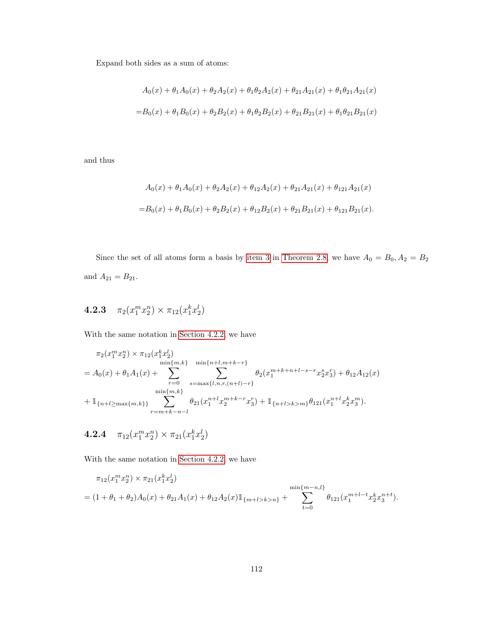Expand both sides as a sum of atoms:

$$
A_0(x) + \theta_1 A_0(x) + \theta_2 A_2(x) + \theta_1 \theta_2 A_2(x) + \theta_{21} A_{21}(x) + \theta_1 \theta_{21} A_{21}(x)
$$
  
=  $B_0(x) + \theta_1 B_0(x) + \theta_2 B_2(x) + \theta_1 \theta_2 B_2(x) + \theta_{21} B_{21}(x) + \theta_1 \theta_{21} B_{21}(x)$ 

and thus

$$
A_0(x) + \theta_1 A_0(x) + \theta_2 A_2(x) + \theta_{12} A_2(x) + \theta_{21} A_{21}(x) + \theta_{121} A_{21}(x)
$$
  
=  $B_0(x) + \theta_1 B_0(x) + \theta_2 B_2(x) + \theta_{12} B_2(x) + \theta_{21} B_{21}(x) + \theta_{121} B_{21}(x)$ .

Since the set of all atoms form a basis by [item 3](#page-33-0) in [Theorem 2.8,](#page-33-1) we have  $A_0 = B_0, A_2 = B_2$ and  $A_{21} = B_{21}$ .

<span id="page-116-0"></span>**4.2.3** 
$$
\pi_2(x_1^m x_2^n) \times \pi_{12}(x_1^k x_2^l)
$$

With the same notation in [Section 4.2.2,](#page-111-0) we have

$$
\pi_2(x_1^m x_2^n) \times \pi_{12}(x_1^k x_2^l)
$$
  
\n
$$
= A_0(x) + \theta_1 A_1(x) + \sum_{r=0}^{\min\{m,k\}} \sum_{s=\max\{l,n,r,(n+l)-r\}}^{\min\{n+k\}} \theta_2(x_1^{m+k+n+l-s-r} x_2^s x_3^r) + \theta_{12} A_{12}(x)
$$
  
\n
$$
+ 1_{\{n+l\geq \max\{m,k\}\}} \sum_{r=m+k-n-l}^{\min\{m,k\}} \theta_2(x_1^{n+l} x_2^{m+k-r} x_3^r) + 1_{\{n+l>k>m\}} \theta_{121}(x_1^{n+l} x_2^k x_3^m).
$$

**4.2.4** 
$$
\pi_{12}(x_1^m x_2^n) \times \pi_{21}(x_1^k x_2^l)
$$

With the same notation in [Section 4.2.2,](#page-111-0) we have

$$
\pi_{12}(x_1^m x_2^n) \times \pi_{21}(x_1^k x_2^l)
$$
  
=  $(1 + \theta_1 + \theta_2)A_0(x) + \theta_{21}A_1(x) + \theta_{12}A_2(x)1_{\{m+l>k>n\}} + \sum_{t=0}^{\min\{m-n,l\}} \theta_{121}(x_1^{m+l-t} x_2^k x_3^{n+t}).$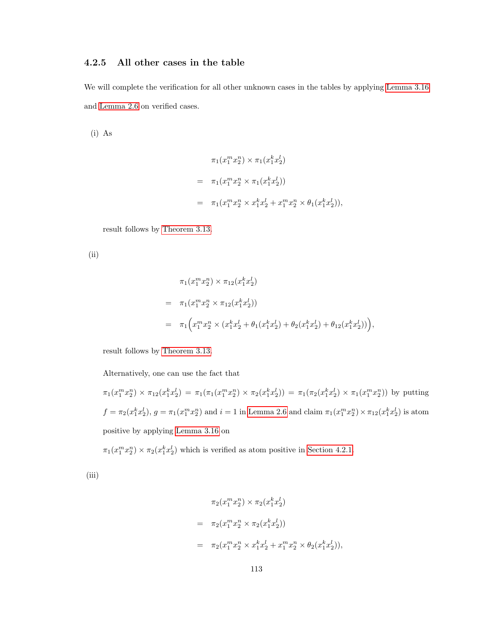## 4.2.5 All other cases in the table

We will complete the verification for all other unknown cases in the tables by applying [Lemma 3.16](#page-80-0) and [Lemma 2.6](#page-27-0) on verified cases.

(i) As

$$
\pi_1(x_1^m x_2^n) \times \pi_1(x_1^k x_2^l)
$$
  
= 
$$
\pi_1(x_1^m x_2^n \times \pi_1(x_1^k x_2^l))
$$
  
= 
$$
\pi_1(x_1^m x_2^n \times x_1^k x_2^l + x_1^m x_2^n \times \theta_1(x_1^k x_2^l)),
$$

result follows by [Theorem 3.13.](#page-74-0)

<span id="page-117-0"></span>(ii)

$$
\pi_1(x_1^m x_2^n) \times \pi_{12}(x_1^k x_2^l)
$$
\n
$$
= \pi_1(x_1^m x_2^n \times \pi_{12}(x_1^k x_2^l))
$$
\n
$$
= \pi_1\Big(x_1^m x_2^n \times (x_1^k x_2^l + \theta_1(x_1^k x_2^l) + \theta_2(x_1^k x_2^l) + \theta_{12}(x_1^k x_2^l))\Big),
$$

result follows by [Theorem 3.13.](#page-74-0)

Alternatively, one can use the fact that

$$
\pi_1(x_1^m x_2^n) \times \pi_{12}(x_1^k x_2^l) = \pi_1(\pi_1(x_1^m x_2^n) \times \pi_2(x_1^k x_2^l)) = \pi_1(\pi_2(x_1^k x_2^l) \times \pi_1(x_1^m x_2^n))
$$
 by putting 
$$
f = \pi_2(x_1^k x_2^l), g = \pi_1(x_1^m x_2^n)
$$
 and  $i = 1$  in Lemma 2.6 and claim  $\pi_1(x_1^m x_2^n) \times \pi_{12}(x_1^k x_2^l)$  is atom positive by applying Lemma 3.16 on

 $\pi_1(x_1^m x_2^n) \times \pi_2(x_1^k x_2^l)$  which is verified as atom positive in [Section 4.2.1.](#page-106-0)

(iii)

$$
\pi_2(x_1^m x_2^n) \times \pi_2(x_1^k x_2^l)
$$
  
=  $\pi_2(x_1^m x_2^n \times \pi_2(x_1^k x_2^l))$   
=  $\pi_2(x_1^m x_2^n \times x_1^k x_2^l + x_1^m x_2^n \times \theta_2(x_1^k x_2^l)),$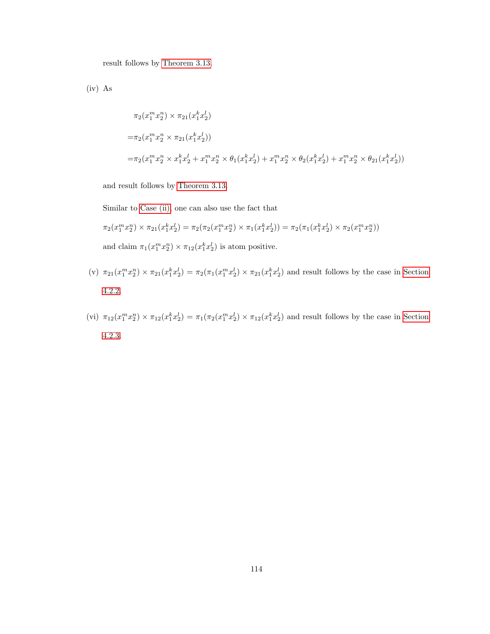result follows by [Theorem 3.13.](#page-74-0)

(iv) As

$$
\pi_2(x_1^m x_2^n) \times \pi_{21}(x_1^k x_2^l)
$$
  
= $\pi_2(x_1^m x_2^n \times \pi_{21}(x_1^k x_2^l))$   
= $\pi_2(x_1^m x_2^n \times x_1^k x_2^l + x_1^m x_2^n \times \theta_1(x_1^k x_2^l) + x_1^m x_2^n \times \theta_2(x_1^k x_2^l) + x_1^m x_2^n \times \theta_{21}(x_1^k x_2^l))$ 

and result follows by [Theorem 3.13.](#page-74-0)

Similar to [Case \(ii\),](#page-117-0) one can also use the fact that

$$
\pi_2(x_1^m x_2^n) \times \pi_{21}(x_1^k x_2^l) = \pi_2(\pi_2(x_1^m x_2^n) \times \pi_1(x_1^k x_2^l)) = \pi_2(\pi_1(x_1^k x_2^l) \times \pi_2(x_1^m x_2^n))
$$
  
and claim  $\pi_1(x_1^m x_2^n) \times \pi_{12}(x_1^k x_2^l)$  is atom positive.

- (v)  $\pi_{21}(x_1^m x_2^n) \times \pi_{21}(x_1^k x_2^l) = \pi_2(\pi_1(x_1^m x_2^l) \times \pi_{21}(x_1^k x_2^l)$  and result follows by the case in [Section](#page-111-0) [4.2.2.](#page-111-0)
- (vi)  $\pi_{12}(x_1^m x_2^n) \times \pi_{12}(x_1^k x_2^l) = \pi_1(\pi_2(x_1^m x_2^l) \times \pi_{12}(x_1^k x_2^l)$  and result follows by the case in [Section](#page-116-0) [4.2.3.](#page-116-0)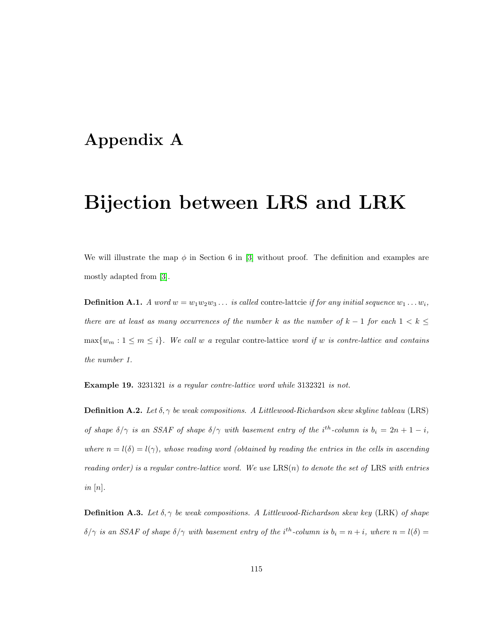## Appendix A

## Bijection between LRS and LRK

We will illustrate the map  $\phi$  in Section 6 in [\[3\]](#page-123-0) without proof. The definition and examples are mostly adapted from [\[3\]](#page-123-0).

**Definition A.1.** A word  $w = w_1w_2w_3...$  is called contre-lattice if for any initial sequence  $w_1...w_i$ , there are at least as many occurrences of the number k as the number of  $k-1$  for each  $1 < k \leq$  $\max\{w_m: 1 \leq m \leq i\}$ . We call w a regular contre-lattice word if w is contre-lattice and contains the number 1.

Example 19. 3231321 is a regular contre-lattice word while 3132321 is not.

**Definition A.2.** Let  $\delta, \gamma$  be weak compositions. A Littlewood-Richardson skew skyline tableau (LRS) of shape  $\delta/\gamma$  is an SSAF of shape  $\delta/\gamma$  with basement entry of the i<sup>th</sup>-column is  $b_i = 2n + 1 - i$ , where  $n = l(\delta) = l(\gamma)$ , whose reading word (obtained by reading the entries in the cells in ascending reading order) is a regular contre-lattice word. We use  $\text{LRS}(n)$  to denote the set of LRS with entries in  $[n]$ .

**Definition A.3.** Let  $\delta, \gamma$  be weak compositions. A Littlewood-Richardson skew key (LRK) of shape  $\delta/\gamma$  is an SSAF of shape  $\delta/\gamma$  with basement entry of the i<sup>th</sup>-column is  $b_i = n + i$ , where  $n = l(\delta)$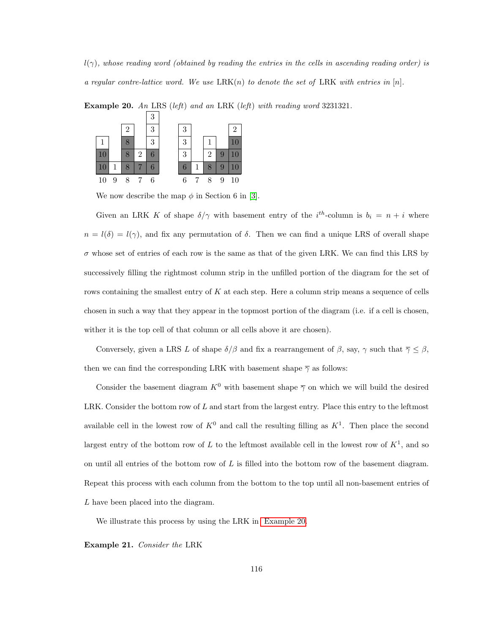$l(\gamma)$ , whose reading word (obtained by reading the entries in the cells in ascending reading order) is a regular contre-lattice word. We use  $LRK(n)$  to denote the set of LRK with entries in [n].

|    |   |   |                | 3 |   |                |   |    |
|----|---|---|----------------|---|---|----------------|---|----|
|    |   | 2 |                | 3 | 3 |                |   | 2  |
|    |   |   |                | 3 | 3 |                |   |    |
| 10 |   |   | $\overline{2}$ | 6 | 3 | $\overline{2}$ | 9 |    |
| 10 |   |   |                | 6 | 6 | 8              | 9 |    |
| 10 | 9 |   |                | 6 | 6 |                | 9 | 10 |

<span id="page-120-0"></span>**Example 20.** An LRS (left) and an LRK (left) with reading word 3231321.

We now describe the map  $\phi$  in Section 6 in [\[3\]](#page-123-0).

Given an LRK K of shape  $\delta/\gamma$  with basement entry of the  $i^{th}$ -column is  $b_i = n + i$  where  $n = l(\delta) = l(\gamma)$ , and fix any permutation of  $\delta$ . Then we can find a unique LRS of overall shape  $\sigma$  whose set of entries of each row is the same as that of the given LRK. We can find this LRS by successively filling the rightmost column strip in the unfilled portion of the diagram for the set of rows containing the smallest entry of K at each step. Here a column strip means a sequence of cells chosen in such a way that they appear in the topmost portion of the diagram (i.e. if a cell is chosen, wither it is the top cell of that column or all cells above it are chosen).

Conversely, given a LRS L of shape  $\delta/\beta$  and fix a rearrangement of  $\beta$ , say,  $\gamma$  such that  $\overline{\gamma} \leq \beta$ , then we can find the corresponding LRK with basement shape  $\overline{\gamma}$  as follows:

Consider the basement diagram  $K^0$  with basement shape  $\overline{\gamma}$  on which we will build the desired LRK. Consider the bottom row of L and start from the largest entry. Place this entry to the leftmost available cell in the lowest row of  $K^0$  and call the resulting filling as  $K^1$ . Then place the second largest entry of the bottom row of L to the leftmost available cell in the lowest row of  $K^1$ , and so on until all entries of the bottom row of  $L$  is filled into the bottom row of the basement diagram. Repeat this process with each column from the bottom to the top until all non-basement entries of L have been placed into the diagram.

We illustrate this process by using the LRK in [Example 20.](#page-120-0)

Example 21. Consider the LRK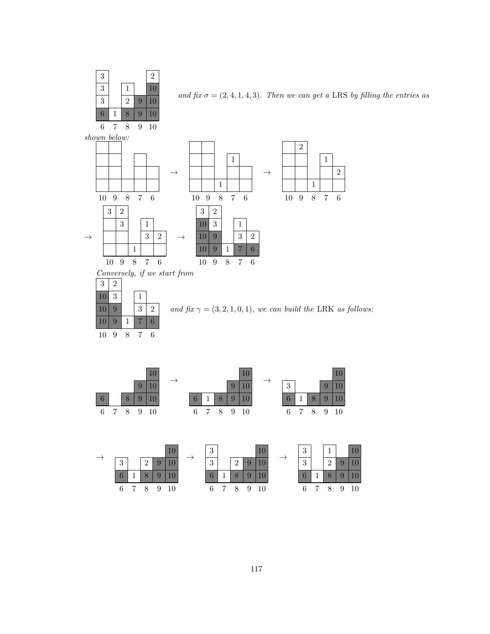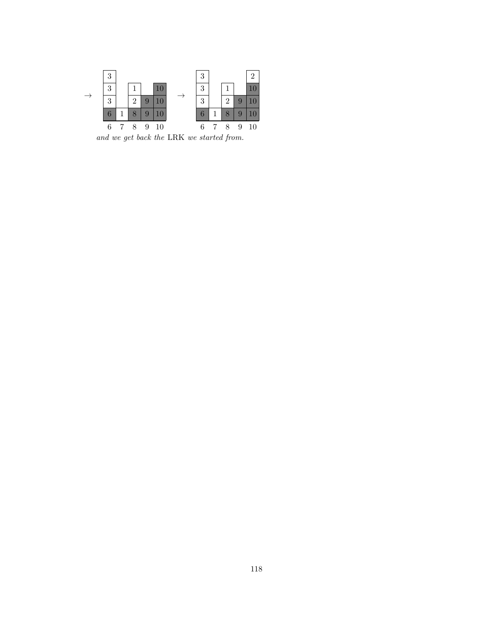

and we get back the LRK we started from.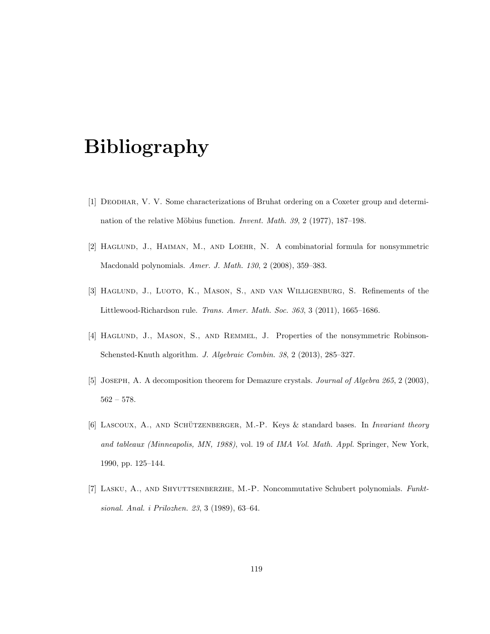## Bibliography

- [1] Deodhar, V. V. Some characterizations of Bruhat ordering on a Coxeter group and determination of the relative Möbius function. *Invent. Math. 39*, 2 (1977), 187–198.
- [2] Haglund, J., Haiman, M., and Loehr, N. A combinatorial formula for nonsymmetric Macdonald polynomials. Amer. J. Math. 130, 2 (2008), 359–383.
- <span id="page-123-0"></span>[3] Haglund, J., Luoto, K., Mason, S., and van Willigenburg, S. Refinements of the Littlewood-Richardson rule. Trans. Amer. Math. Soc. 363, 3 (2011), 1665–1686.
- [4] Haglund, J., Mason, S., and Remmel, J. Properties of the nonsymmetric Robinson-Schensted-Knuth algorithm. J. Algebraic Combin. 38, 2 (2013), 285–327.
- [5] Joseph, A. A decomposition theorem for Demazure crystals. Journal of Algebra 265, 2 (2003), 562 – 578.
- [6] LASCOUX, A., AND SCHÜTZENBERGER, M.-P. Keys & standard bases. In *Invariant theory* and tableaux (Minneapolis, MN, 1988), vol. 19 of IMA Vol. Math. Appl. Springer, New York, 1990, pp. 125–144.
- [7] Lasku, A., and Shyuttsenberzhe, M.-P. Noncommutative Schubert polynomials. Funktsional. Anal. i Prilozhen. 23, 3 (1989), 63–64.